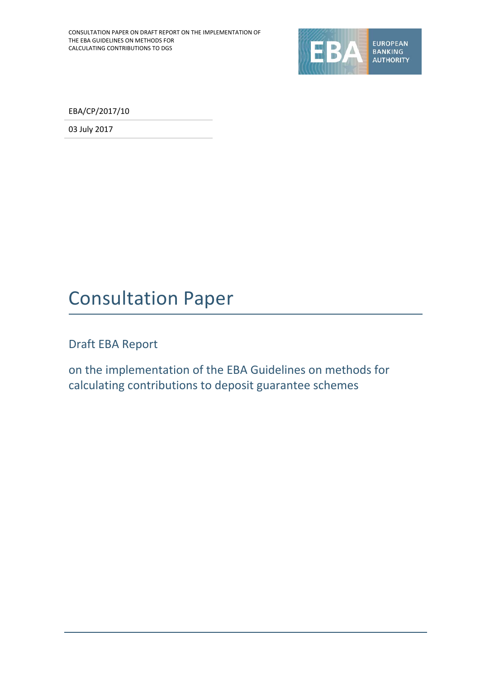

EBA/CP/2017/10

03 July 2017

# Consultation Paper

Draft EBA Report

on the implementation of the EBA Guidelines on methods for calculating contributions to deposit guarantee schemes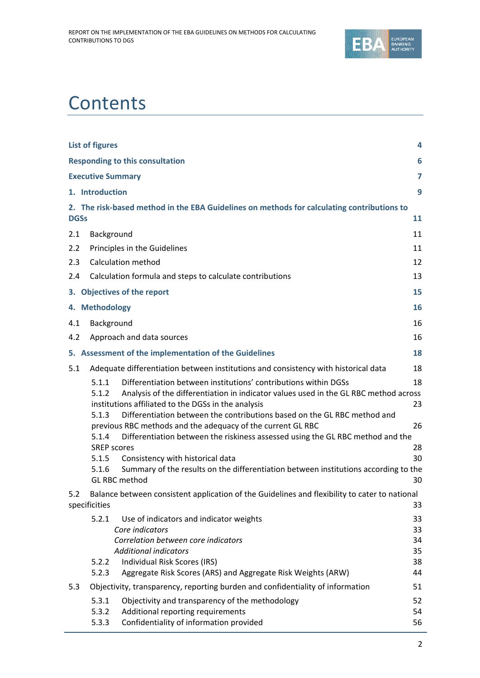

# **Contents**

| <b>List of figures</b>                                                                                                                   | 4        |
|------------------------------------------------------------------------------------------------------------------------------------------|----------|
| <b>Responding to this consultation</b>                                                                                                   | 6        |
| <b>Executive Summary</b>                                                                                                                 | 7        |
| 1. Introduction                                                                                                                          | 9        |
| 2. The risk-based method in the EBA Guidelines on methods for calculating contributions to                                               |          |
| <b>DGSs</b>                                                                                                                              | 11       |
| 2.1<br>Background                                                                                                                        | 11       |
| 2.2<br>Principles in the Guidelines                                                                                                      | 11       |
| <b>Calculation method</b><br>2.3                                                                                                         | 12       |
| Calculation formula and steps to calculate contributions<br>2.4                                                                          | 13       |
| 3. Objectives of the report                                                                                                              | 15       |
| 4. Methodology                                                                                                                           | 16       |
| Background<br>4.1                                                                                                                        | 16       |
| 4.2<br>Approach and data sources                                                                                                         | 16       |
| 5. Assessment of the implementation of the Guidelines                                                                                    | 18       |
| 5.1<br>Adequate differentiation between institutions and consistency with historical data                                                | 18       |
| Differentiation between institutions' contributions within DGSs<br>5.1.1                                                                 | 18       |
| 5.1.2<br>Analysis of the differentiation in indicator values used in the GL RBC method across                                            |          |
| institutions affiliated to the DGSs in the analysis<br>5.1.3<br>Differentiation between the contributions based on the GL RBC method and | 23       |
| previous RBC methods and the adequacy of the current GL RBC                                                                              | 26       |
| 5.1.4<br>Differentiation between the riskiness assessed using the GL RBC method and the                                                  |          |
| <b>SREP scores</b><br>5.1.5                                                                                                              | 28<br>30 |
| Consistency with historical data<br>Summary of the results on the differentiation between institutions according to the<br>5.1.6         |          |
| <b>GL RBC method</b>                                                                                                                     | 30       |
| Balance between consistent application of the Guidelines and flexibility to cater to national<br>5.2                                     |          |
| specificities                                                                                                                            | 33       |
| 5.2.1<br>Use of indicators and indicator weights                                                                                         | 33       |
| Core indicators<br>Correlation between core indicators                                                                                   | 33<br>34 |
| <b>Additional indicators</b>                                                                                                             | 35       |
| Individual Risk Scores (IRS)<br>5.2.2                                                                                                    | 38       |
| Aggregate Risk Scores (ARS) and Aggregate Risk Weights (ARW)<br>5.2.3                                                                    | 44       |
| 5.3<br>Objectivity, transparency, reporting burden and confidentiality of information                                                    | 51       |
| 5.3.1<br>Objectivity and transparency of the methodology                                                                                 | 52       |
| Additional reporting requirements<br>5.3.2<br>Confidentiality of information provided<br>5.3.3                                           | 54<br>56 |
|                                                                                                                                          |          |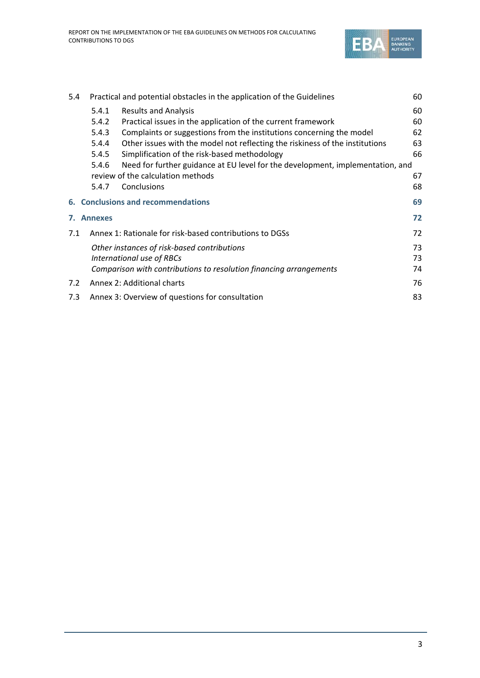

| 5.4 |            | Practical and potential obstacles in the application of the Guidelines         | 60 |
|-----|------------|--------------------------------------------------------------------------------|----|
|     | 5.4.1      | <b>Results and Analysis</b>                                                    | 60 |
|     | 5.4.2      | Practical issues in the application of the current framework                   | 60 |
|     | 5.4.3      | Complaints or suggestions from the institutions concerning the model           | 62 |
|     | 5.4.4      | Other issues with the model not reflecting the riskiness of the institutions   | 63 |
|     | 5.4.5      | Simplification of the risk-based methodology                                   | 66 |
|     | 5.4.6      | Need for further guidance at EU level for the development, implementation, and |    |
|     |            | review of the calculation methods                                              | 67 |
|     | 5.4.7      | Conclusions                                                                    | 68 |
|     |            | 6. Conclusions and recommendations                                             | 69 |
|     | 7. Annexes |                                                                                | 72 |
| 7.1 |            | Annex 1: Rationale for risk-based contributions to DGSs                        | 72 |
|     |            | Other instances of risk-based contributions                                    | 73 |
|     |            | International use of RBCs                                                      | 73 |
|     |            | Comparison with contributions to resolution financing arrangements             | 74 |
| 7.2 |            | Annex 2: Additional charts                                                     | 76 |
| 7.3 |            | Annex 3: Overview of questions for consultation                                | 83 |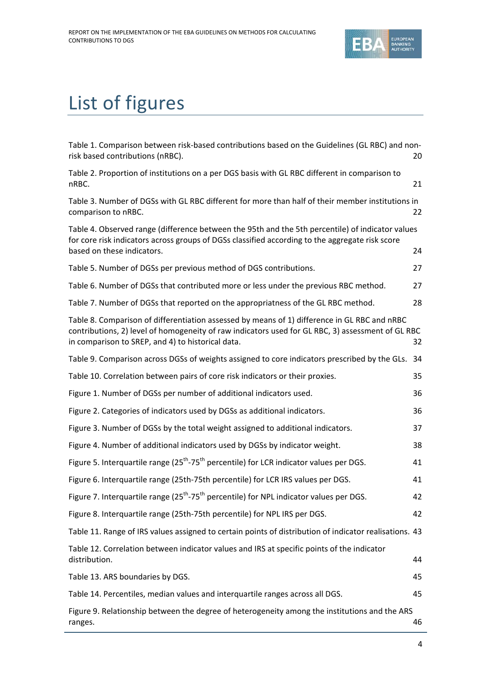

# List of figures

| Table 1. Comparison between risk-based contributions based on the Guidelines (GL RBC) and non-<br>risk based contributions (nRBC).                                                                                                                     | 20 |
|--------------------------------------------------------------------------------------------------------------------------------------------------------------------------------------------------------------------------------------------------------|----|
| Table 2. Proportion of institutions on a per DGS basis with GL RBC different in comparison to<br>nRBC.                                                                                                                                                 | 21 |
| Table 3. Number of DGSs with GL RBC different for more than half of their member institutions in<br>comparison to nRBC.                                                                                                                                | 22 |
| Table 4. Observed range (difference between the 95th and the 5th percentile) of indicator values<br>for core risk indicators across groups of DGSs classified according to the aggregate risk score<br>based on these indicators.                      | 24 |
| Table 5. Number of DGSs per previous method of DGS contributions.                                                                                                                                                                                      | 27 |
| Table 6. Number of DGSs that contributed more or less under the previous RBC method.                                                                                                                                                                   | 27 |
| Table 7. Number of DGSs that reported on the appropriatness of the GL RBC method.                                                                                                                                                                      | 28 |
| Table 8. Comparison of differentiation assessed by means of 1) difference in GL RBC and nRBC<br>contributions, 2) level of homogeneity of raw indicators used for GL RBC, 3) assessment of GL RBC<br>in comparison to SREP, and 4) to historical data. | 32 |
| Table 9. Comparison across DGSs of weights assigned to core indicators prescribed by the GLs.                                                                                                                                                          | 34 |
| Table 10. Correlation between pairs of core risk indicators or their proxies.                                                                                                                                                                          | 35 |
| Figure 1. Number of DGSs per number of additional indicators used.                                                                                                                                                                                     | 36 |
| Figure 2. Categories of indicators used by DGSs as additional indicators.                                                                                                                                                                              | 36 |
| Figure 3. Number of DGSs by the total weight assigned to additional indicators.                                                                                                                                                                        | 37 |
| Figure 4. Number of additional indicators used by DGSs by indicator weight.                                                                                                                                                                            | 38 |
| Figure 5. Interquartile range (25 <sup>th</sup> -75 <sup>th</sup> percentile) for LCR indicator values per DGS.                                                                                                                                        | 41 |
| Figure 6. Interquartile range (25th-75th percentile) for LCR IRS values per DGS.                                                                                                                                                                       | 41 |
| Figure 7. Interquartile range (25 <sup>th</sup> -75 <sup>th</sup> percentile) for NPL indicator values per DGS.                                                                                                                                        | 42 |
| Figure 8. Interquartile range (25th-75th percentile) for NPL IRS per DGS.                                                                                                                                                                              | 42 |
| Table 11. Range of IRS values assigned to certain points of distribution of indicator realisations. 43                                                                                                                                                 |    |
| Table 12. Correlation between indicator values and IRS at specific points of the indicator<br>distribution.                                                                                                                                            | 44 |
| Table 13. ARS boundaries by DGS.                                                                                                                                                                                                                       | 45 |
| Table 14. Percentiles, median values and interquartile ranges across all DGS.                                                                                                                                                                          | 45 |
| Figure 9. Relationship between the degree of heterogeneity among the institutions and the ARS<br>ranges.                                                                                                                                               | 46 |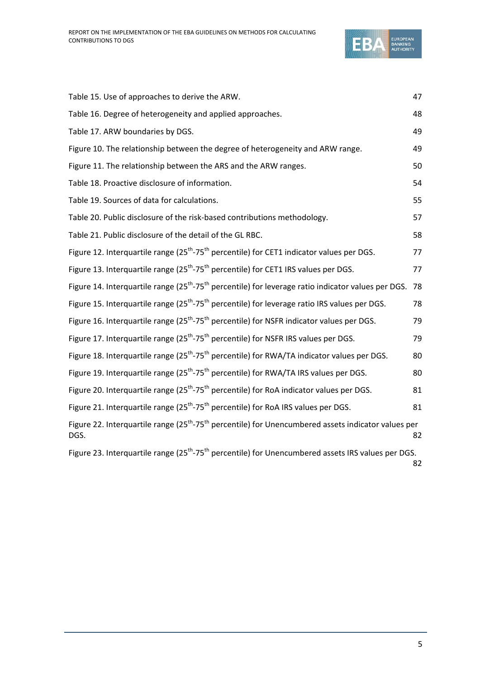

| Table 15. Use of approaches to derive the ARW.                                                                                      | 47 |
|-------------------------------------------------------------------------------------------------------------------------------------|----|
| Table 16. Degree of heterogeneity and applied approaches.                                                                           | 48 |
| Table 17. ARW boundaries by DGS.                                                                                                    | 49 |
| Figure 10. The relationship between the degree of heterogeneity and ARW range.                                                      | 49 |
| Figure 11. The relationship between the ARS and the ARW ranges.                                                                     | 50 |
| Table 18. Proactive disclosure of information.                                                                                      | 54 |
| Table 19. Sources of data for calculations.                                                                                         | 55 |
| Table 20. Public disclosure of the risk-based contributions methodology.                                                            | 57 |
| Table 21. Public disclosure of the detail of the GL RBC.                                                                            | 58 |
| Figure 12. Interquartile range (25 <sup>th</sup> -75 <sup>th</sup> percentile) for CET1 indicator values per DGS.                   | 77 |
| Figure 13. Interquartile range (25 <sup>th</sup> -75 <sup>th</sup> percentile) for CET1 IRS values per DGS.                         | 77 |
| Figure 14. Interquartile range (25 <sup>th</sup> -75 <sup>th</sup> percentile) for leverage ratio indicator values per DGS.         | 78 |
| Figure 15. Interquartile range (25 <sup>th</sup> -75 <sup>th</sup> percentile) for leverage ratio IRS values per DGS.               | 78 |
| Figure 16. Interquartile range (25 <sup>th</sup> -75 <sup>th</sup> percentile) for NSFR indicator values per DGS.                   | 79 |
| Figure 17. Interquartile range (25 <sup>th</sup> -75 <sup>th</sup> percentile) for NSFR IRS values per DGS.                         | 79 |
| Figure 18. Interquartile range (25 <sup>th</sup> -75 <sup>th</sup> percentile) for RWA/TA indicator values per DGS.                 | 80 |
| Figure 19. Interquartile range (25 <sup>th</sup> -75 <sup>th</sup> percentile) for RWA/TA IRS values per DGS.                       | 80 |
| Figure 20. Interquartile range (25 <sup>th</sup> -75 <sup>th</sup> percentile) for RoA indicator values per DGS.                    | 81 |
| Figure 21. Interquartile range (25 <sup>th</sup> -75 <sup>th</sup> percentile) for RoA IRS values per DGS.                          | 81 |
| Figure 22. Interquartile range (25 <sup>th</sup> -75 <sup>th</sup> percentile) for Unencumbered assets indicator values per<br>DGS. | 82 |
| Figure 23. Interquartile range (25 <sup>th</sup> -75 <sup>th</sup> percentile) for Unencumbered assets IRS values per DGS.          | 82 |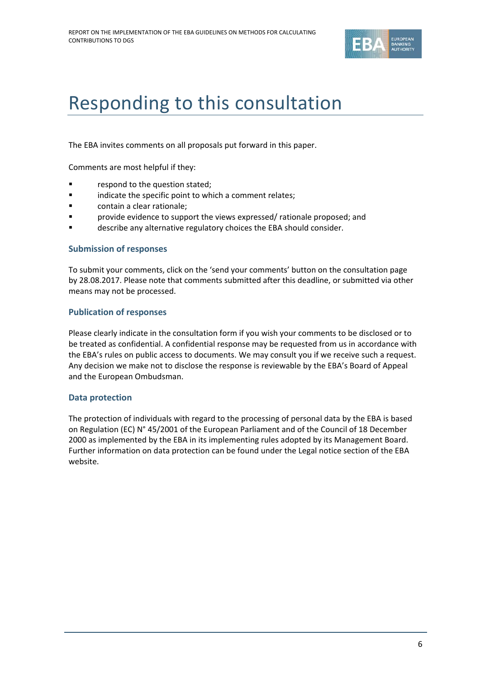

# Responding to this consultation

The EBA invites comments on all proposals put forward in this paper.

Comments are most helpful if they:

- **F** respond to the question stated;
- **Example 3** indicate the specific point to which a comment relates;
- **Example 2** contain a clear rationale;
- provide evidence to support the views expressed/ rationale proposed; and
- **Example 2** describe any alternative regulatory choices the EBA should consider.

### **Submission of responses**

To submit your comments, click on the 'send your comments' button on the consultation page by 28.08.2017. Please note that comments submitted after this deadline, or submitted via other means may not be processed.

### **Publication of responses**

Please clearly indicate in the consultation form if you wish your comments to be disclosed or to be treated as confidential. A confidential response may be requested from us in accordance with the EBA's rules on public access to documents. We may consult you if we receive such a request. Any decision we make not to disclose the response is reviewable by the EBA's Board of Appeal and the European Ombudsman.

## **Data protection**

The protection of individuals with regard to the processing of personal data by the EBA is based on Regulation (EC) N° 45/2001 of the European Parliament and of the Council of 18 December 2000 as implemented by the EBA in its implementing rules adopted by its Management Board. Further information on data protection can be found under the [Legal notice section](http://eba.europa.eu/legal-notice) of the EBA website.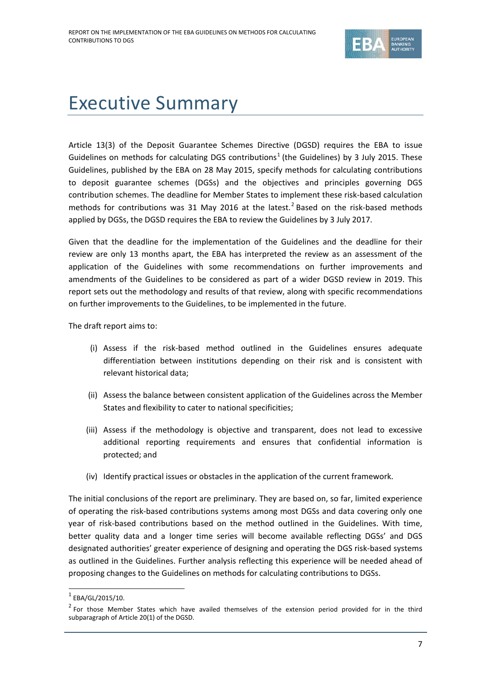

# Executive Summary

Article 13(3) of the Deposit Guarantee Schemes Directive (DGSD) requires the EBA to issue Guidelines on methods for calculating DGS contributions<sup>[1](#page-6-0)</sup> (the Guidelines) by 3 July 2015. These Guidelines, published by the EBA on 28 May 2015, specify methods for calculating contributions to deposit guarantee schemes (DGSs) and the objectives and principles governing DGS contribution schemes. The deadline for Member States to implement these risk-based calculation methods for contributions was 31 May [2](#page-6-1)016 at the latest.<sup>2</sup> Based on the risk-based methods applied by DGSs, the DGSD requires the EBA to review the Guidelines by 3 July 2017.

Given that the deadline for the implementation of the Guidelines and the deadline for their review are only 13 months apart, the EBA has interpreted the review as an assessment of the application of the Guidelines with some recommendations on further improvements and amendments of the Guidelines to be considered as part of a wider DGSD review in 2019. This report sets out the methodology and results of that review, along with specific recommendations on further improvements to the Guidelines, to be implemented in the future.

The draft report aims to:

- (i) Assess if the risk-based method outlined in the Guidelines ensures adequate differentiation between institutions depending on their risk and is consistent with relevant historical data;
- (ii) Assess the balance between consistent application of the Guidelines across the Member States and flexibility to cater to national specificities;
- (iii) Assess if the methodology is objective and transparent, does not lead to excessive additional reporting requirements and ensures that confidential information is protected; and
- (iv) Identify practical issues or obstacles in the application of the current framework.

The initial conclusions of the report are preliminary. They are based on, so far, limited experience of operating the risk-based contributions systems among most DGSs and data covering only one year of risk-based contributions based on the method outlined in the Guidelines. With time, better quality data and a longer time series will become available reflecting DGSs' and DGS designated authorities' greater experience of designing and operating the DGS risk-based systems as outlined in the Guidelines. Further analysis reflecting this experience will be needed ahead of proposing changes to the Guidelines on methods for calculating contributions to DGSs.

 $^{1}$  EBA/GL/2015/10.

<span id="page-6-1"></span><span id="page-6-0"></span> $2$  For those Member States which have availed themselves of the extension period provided for in the third subparagraph of Article 20(1) of the DGSD.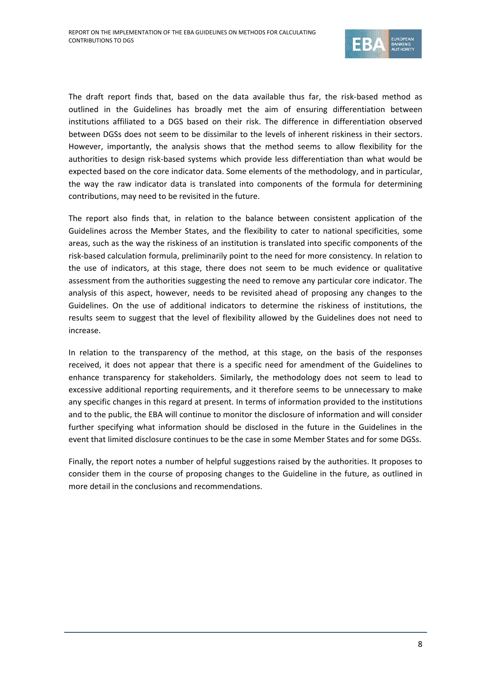

The draft report finds that, based on the data available thus far, the risk-based method as outlined in the Guidelines has broadly met the aim of ensuring differentiation between institutions affiliated to a DGS based on their risk. The difference in differentiation observed between DGSs does not seem to be dissimilar to the levels of inherent riskiness in their sectors. However, importantly, the analysis shows that the method seems to allow flexibility for the authorities to design risk-based systems which provide less differentiation than what would be expected based on the core indicator data. Some elements of the methodology, and in particular, the way the raw indicator data is translated into components of the formula for determining contributions, may need to be revisited in the future.

The report also finds that, in relation to the balance between consistent application of the Guidelines across the Member States, and the flexibility to cater to national specificities, some areas, such as the way the riskiness of an institution is translated into specific components of the risk-based calculation formula, preliminarily point to the need for more consistency. In relation to the use of indicators, at this stage, there does not seem to be much evidence or qualitative assessment from the authorities suggesting the need to remove any particular core indicator. The analysis of this aspect, however, needs to be revisited ahead of proposing any changes to the Guidelines. On the use of additional indicators to determine the riskiness of institutions, the results seem to suggest that the level of flexibility allowed by the Guidelines does not need to increase.

In relation to the transparency of the method, at this stage, on the basis of the responses received, it does not appear that there is a specific need for amendment of the Guidelines to enhance transparency for stakeholders. Similarly, the methodology does not seem to lead to excessive additional reporting requirements, and it therefore seems to be unnecessary to make any specific changes in this regard at present. In terms of information provided to the institutions and to the public, the EBA will continue to monitor the disclosure of information and will consider further specifying what information should be disclosed in the future in the Guidelines in the event that limited disclosure continues to be the case in some Member States and for some DGSs.

Finally, the report notes a number of helpful suggestions raised by the authorities. It proposes to consider them in the course of proposing changes to the Guideline in the future, as outlined in more detail in the conclusions and recommendations.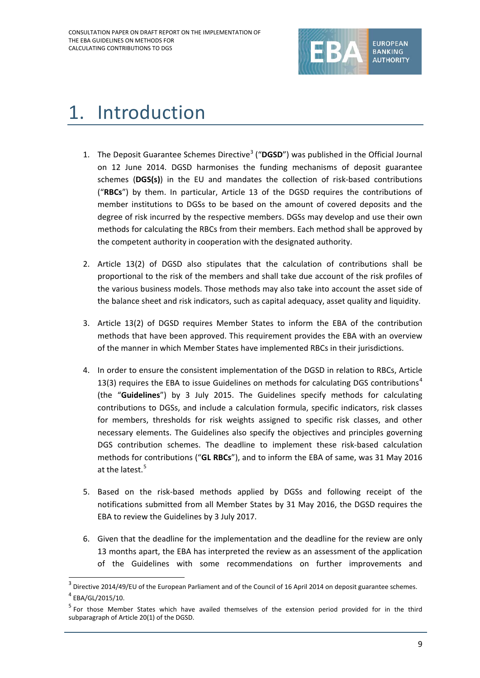

# 1. Introduction

- 1. The Deposit Guarantee Schemes Directive<sup>[3](#page-8-0)</sup> ("DGSD") was published in the Official Journal on 12 June 2014. DGSD harmonises the funding mechanisms of deposit guarantee schemes (**DGS(s)**) in the EU and mandates the collection of risk-based contributions ("**RBCs**") by them. In particular, Article 13 of the DGSD requires the contributions of member institutions to DGSs to be based on the amount of covered deposits and the degree of risk incurred by the respective members. DGSs may develop and use their own methods for calculating the RBCs from their members. Each method shall be approved by the competent authority in cooperation with the designated authority.
- 2. Article 13(2) of DGSD also stipulates that the calculation of contributions shall be proportional to the risk of the members and shall take due account of the risk profiles of the various business models. Those methods may also take into account the asset side of the balance sheet and risk indicators, such as capital adequacy, asset quality and liquidity.
- 3. Article 13(2) of DGSD requires Member States to inform the EBA of the contribution methods that have been approved. This requirement provides the EBA with an overview of the manner in which Member States have implemented RBCs in their jurisdictions.
- 4. In order to ensure the consistent implementation of the DGSD in relation to RBCs, Article 13(3) requires the EBA to issue Guidelines on methods for calculating DGS contributions<sup>[4](#page-8-1)</sup> (the "**Guidelines**") by 3 July 2015. The Guidelines specify methods for calculating contributions to DGSs, and include a calculation formula, specific indicators, risk classes for members, thresholds for risk weights assigned to specific risk classes, and other necessary elements. The Guidelines also specify the objectives and principles governing DGS contribution schemes. The deadline to implement these risk-based calculation methods for contributions ("**GL RBCs**"), and to inform the EBA of same, was 31 May 2016 at the latest.<sup>[5](#page-8-2)</sup>
- 5. Based on the risk-based methods applied by DGSs and following receipt of the notifications submitted from all Member States by 31 May 2016, the DGSD requires the EBA to review the Guidelines by 3 July 2017.
- 6. Given that the deadline for the implementation and the deadline for the review are only 13 months apart, the EBA has interpreted the review as an assessment of the application of the Guidelines with some recommendations on further improvements and

<span id="page-8-0"></span><sup>&</sup>lt;sup>3</sup> Directive 2014/49/EU of the European Parliament and of the Council of 16 April 2014 on deposit guarantee schemes.

<span id="page-8-1"></span><sup>4</sup> EBA/GL/2015/10.

<span id="page-8-2"></span><sup>&</sup>lt;sup>5</sup> For those Member States which have availed themselves of the extension period provided for in the third subparagraph of Article 20(1) of the DGSD.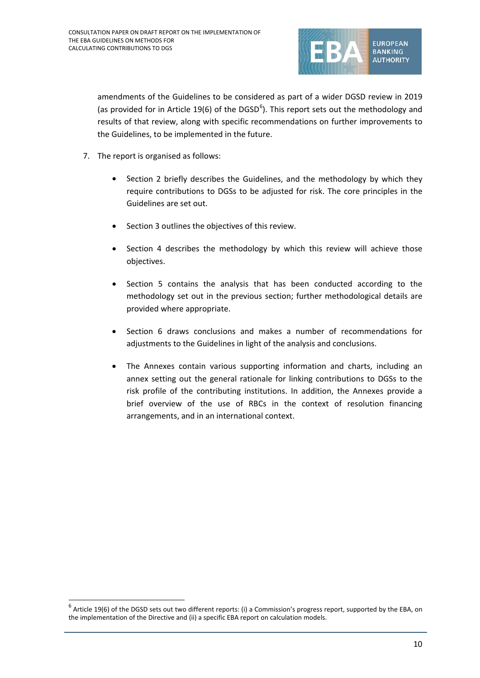

amendments of the Guidelines to be considered as part of a wider DGSD review in 2019 (as provided for in Article 19([6](#page-9-0)) of the DGSD<sup>6</sup>). This report sets out the methodology and results of that review, along with specific recommendations on further improvements to the Guidelines, to be implemented in the future.

- 7. The report is organised as follows:
	- Section 2 briefly describes the Guidelines, and the methodology by which they require contributions to DGSs to be adjusted for risk. The core principles in the Guidelines are set out.
	- Section 3 outlines the objectives of this review.
	- Section 4 describes the methodology by which this review will achieve those objectives.
	- Section 5 contains the analysis that has been conducted according to the methodology set out in the previous section; further methodological details are provided where appropriate.
	- Section 6 draws conclusions and makes a number of recommendations for adjustments to the Guidelines in light of the analysis and conclusions.
	- The Annexes contain various supporting information and charts, including an annex setting out the general rationale for linking contributions to DGSs to the risk profile of the contributing institutions. In addition, the Annexes provide a brief overview of the use of RBCs in the context of resolution financing arrangements, and in an international context.

<span id="page-9-0"></span> $6$  Article 19(6) of the DGSD sets out two different reports: (i) a Commission's progress report, supported by the EBA, on the implementation of the Directive and (ii) a specific EBA report on calculation models.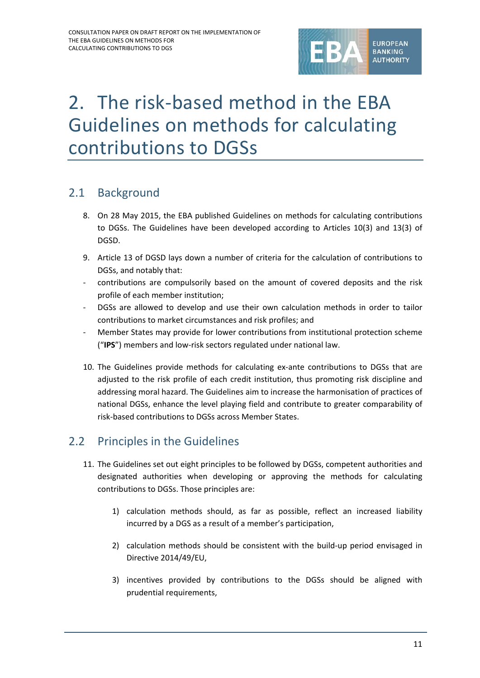

# 2. The risk-based method in the EBA Guidelines on methods for calculating contributions to DGSs

# 2.1 Background

- 8. On 28 May 2015, the EBA published Guidelines on methods for calculating contributions to DGSs. The Guidelines have been developed according to Articles 10(3) and 13(3) of DGSD.
- 9. Article 13 of DGSD lays down a number of criteria for the calculation of contributions to DGSs, and notably that:
- contributions are compulsorily based on the amount of covered deposits and the risk profile of each member institution;
- DGSs are allowed to develop and use their own calculation methods in order to tailor contributions to market circumstances and risk profiles; and
- Member States may provide for lower contributions from institutional protection scheme ("**IPS**") members and low-risk sectors regulated under national law.
- 10. The Guidelines provide methods for calculating ex-ante contributions to DGSs that are adjusted to the risk profile of each credit institution, thus promoting risk discipline and addressing moral hazard. The Guidelines aim to increase the harmonisation of practices of national DGSs, enhance the level playing field and contribute to greater comparability of risk-based contributions to DGSs across Member States.

# 2.2 Principles in the Guidelines

- 11. The Guidelines set out eight principles to be followed by DGSs, competent authorities and designated authorities when developing or approving the methods for calculating contributions to DGSs. Those principles are:
	- 1) calculation methods should, as far as possible, reflect an increased liability incurred by a DGS as a result of a member's participation,
	- 2) calculation methods should be consistent with the build-up period envisaged in Directive 2014/49/EU,
	- 3) incentives provided by contributions to the DGSs should be aligned with prudential requirements,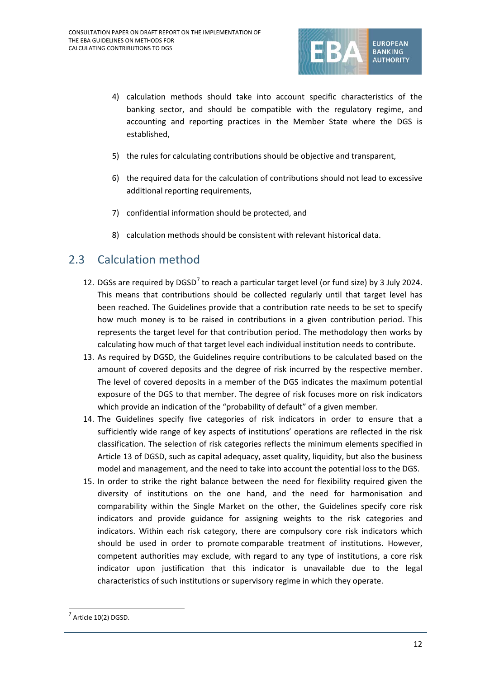

- 4) calculation methods should take into account specific characteristics of the banking sector, and should be compatible with the regulatory regime, and accounting and reporting practices in the Member State where the DGS is established,
- 5) the rules for calculating contributions should be objective and transparent,
- 6) the required data for the calculation of contributions should not lead to excessive additional reporting requirements,
- 7) confidential information should be protected, and
- 8) calculation methods should be consistent with relevant historical data.

# 2.3 Calculation method

- 12. DGSs are required by DGSD<sup>[7](#page-11-0)</sup> to reach a particular target level (or fund size) by 3 July 2024. This means that contributions should be collected regularly until that target level has been reached. The Guidelines provide that a contribution rate needs to be set to specify how much money is to be raised in contributions in a given contribution period. This represents the target level for that contribution period. The methodology then works by calculating how much of that target level each individual institution needs to contribute.
- 13. As required by DGSD, the Guidelines require contributions to be calculated based on the amount of covered deposits and the degree of risk incurred by the respective member. The level of covered deposits in a member of the DGS indicates the maximum potential exposure of the DGS to that member. The degree of risk focuses more on risk indicators which provide an indication of the "probability of default" of a given member.
- 14. The Guidelines specify five categories of risk indicators in order to ensure that a sufficiently wide range of key aspects of institutions' operations are reflected in the risk classification. The selection of risk categories reflects the minimum elements specified in Article 13 of DGSD, such as capital adequacy, asset quality, liquidity, but also the business model and management, and the need to take into account the potential loss to the DGS.
- 15. In order to strike the right balance between the need for flexibility required given the diversity of institutions on the one hand, and the need for harmonisation and comparability within the Single Market on the other, the Guidelines specify core risk indicators and provide guidance for assigning weights to the risk categories and indicators. Within each risk category, there are compulsory core risk indicators which should be used in order to promote comparable treatment of institutions. However, competent authorities may exclude, with regard to any type of institutions, a core risk indicator upon justification that this indicator is unavailable due to the legal characteristics of such institutions or supervisory regime in which they operate.

 $\overline{a}$ 

<span id="page-11-0"></span><sup>7</sup> Article 10(2) DGSD.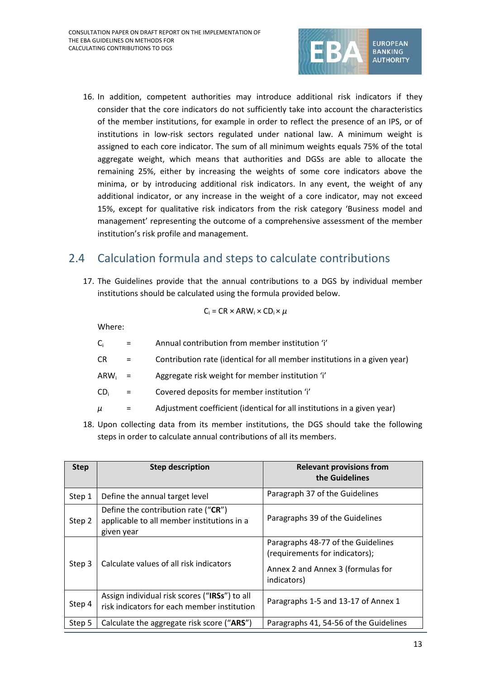

16. In addition, competent authorities may introduce additional risk indicators if they consider that the core indicators do not sufficiently take into account the characteristics of the member institutions, for example in order to reflect the presence of an IPS, or of institutions in low-risk sectors regulated under national law. A minimum weight is assigned to each core indicator. The sum of all minimum weights equals 75% of the total aggregate weight, which means that authorities and DGSs are able to allocate the remaining 25%, either by increasing the weights of some core indicators above the minima, or by introducing additional risk indicators. In any event, the weight of any additional indicator, or any increase in the weight of a core indicator, may not exceed 15%, except for qualitative risk indicators from the risk category 'Business model and management' representing the outcome of a comprehensive assessment of the member institution's risk profile and management.

# 2.4 Calculation formula and steps to calculate contributions

17. The Guidelines provide that the annual contributions to a DGS by individual member institutions should be calculated using the formula provided below.

$$
C_i = CR \times ARW_i \times CD_i \times \mu
$$

Where:

- $C_i$  = Annual contribution from member institution 'i'
- CR = Contribution rate (identical for all member institutions in a given year)
- $ARW_i$  = Aggregate risk weight for member institution 'i'
- $CD_i$  = Covered deposits for member institution 'i'
- $\mu$  = Adjustment coefficient (identical for all institutions in a given year)
- 18. Upon collecting data from its member institutions, the DGS should take the following steps in order to calculate annual contributions of all its members.

| <b>Step</b> | <b>Step description</b>                                                                             | <b>Relevant provisions from</b><br>the Guidelines                                                                        |
|-------------|-----------------------------------------------------------------------------------------------------|--------------------------------------------------------------------------------------------------------------------------|
| Step 1      | Define the annual target level                                                                      | Paragraph 37 of the Guidelines                                                                                           |
| Step 2      | Define the contribution rate (" $CR$ ")<br>applicable to all member institutions in a<br>given year | Paragraphs 39 of the Guidelines                                                                                          |
| Step 3      | Calculate values of all risk indicators                                                             | Paragraphs 48-77 of the Guidelines<br>(requirements for indicators);<br>Annex 2 and Annex 3 (formulas for<br>indicators) |
| Step 4      | Assign individual risk scores ("IRSs") to all<br>risk indicators for each member institution        | Paragraphs 1-5 and 13-17 of Annex 1                                                                                      |
| Step 5      | Calculate the aggregate risk score ("ARS")                                                          | Paragraphs 41, 54-56 of the Guidelines                                                                                   |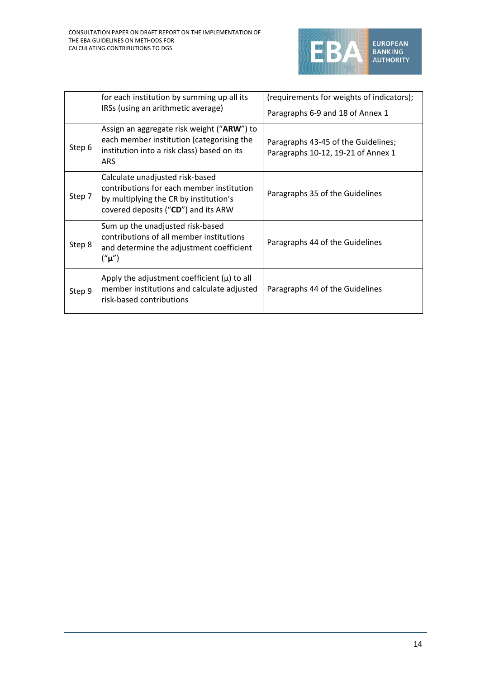

|        | for each institution by summing up all its<br>IRSs (using an arithmetic average)                                                                              | (requirements for weights of indicators);<br>Paragraphs 6-9 and 18 of Annex 1 |
|--------|---------------------------------------------------------------------------------------------------------------------------------------------------------------|-------------------------------------------------------------------------------|
| Step 6 | Assign an aggregate risk weight ("ARW") to<br>each member institution (categorising the<br>institution into a risk class) based on its<br><b>ARS</b>          | Paragraphs 43-45 of the Guidelines;<br>Paragraphs 10-12, 19-21 of Annex 1     |
| Step 7 | Calculate unadjusted risk-based<br>contributions for each member institution<br>by multiplying the CR by institution's<br>covered deposits ("CD") and its ARW | Paragraphs 35 of the Guidelines                                               |
| Step 8 | Sum up the unadjusted risk-based<br>contributions of all member institutions<br>and determine the adjustment coefficient<br>("µ")                             | Paragraphs 44 of the Guidelines                                               |
| Step 9 | Apply the adjustment coefficient $(\mu)$ to all<br>member institutions and calculate adjusted<br>risk-based contributions                                     | Paragraphs 44 of the Guidelines                                               |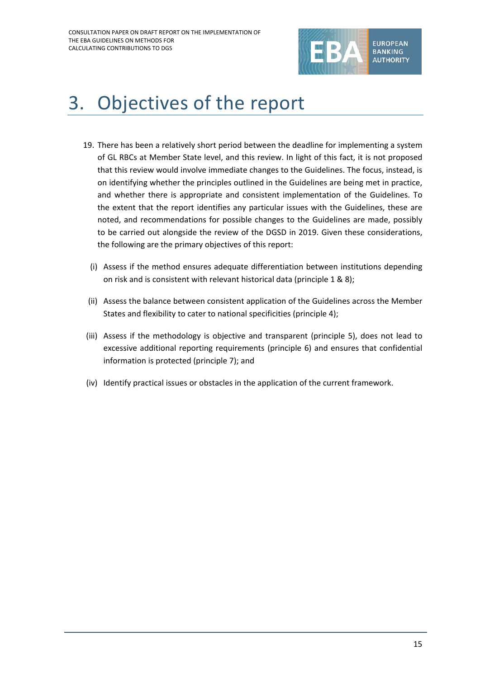

# 3. Objectives of the report

- 19. There has been a relatively short period between the deadline for implementing a system of GL RBCs at Member State level, and this review. In light of this fact, it is not proposed that this review would involve immediate changes to the Guidelines. The focus, instead, is on identifying whether the principles outlined in the Guidelines are being met in practice, and whether there is appropriate and consistent implementation of the Guidelines. To the extent that the report identifies any particular issues with the Guidelines, these are noted, and recommendations for possible changes to the Guidelines are made, possibly to be carried out alongside the review of the DGSD in 2019. Given these considerations, the following are the primary objectives of this report:
	- (i) Assess if the method ensures adequate differentiation between institutions depending on risk and is consistent with relevant historical data (principle 1 & 8);
	- (ii) Assess the balance between consistent application of the Guidelines across the Member States and flexibility to cater to national specificities (principle 4);
- (iii) Assess if the methodology is objective and transparent (principle 5), does not lead to excessive additional reporting requirements (principle 6) and ensures that confidential information is protected (principle 7); and
- (iv) Identify practical issues or obstacles in the application of the current framework.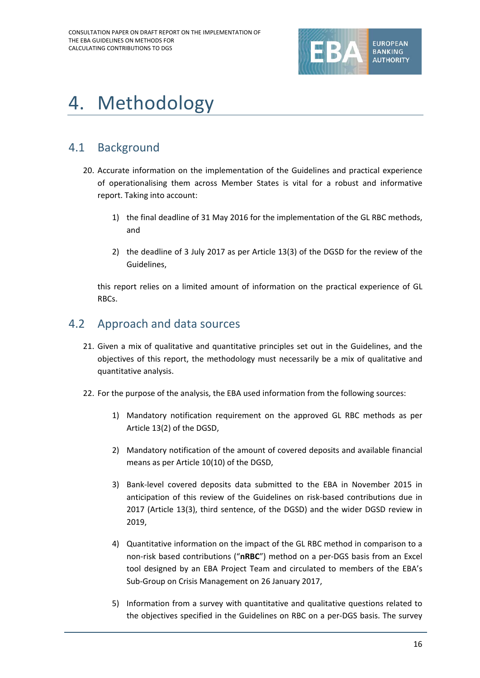

# 4. Methodology

# 4.1 Background

- 20. Accurate information on the implementation of the Guidelines and practical experience of operationalising them across Member States is vital for a robust and informative report. Taking into account:
	- 1) the final deadline of 31 May 2016 for the implementation of the GL RBC methods, and
	- 2) the deadline of 3 July 2017 as per Article 13(3) of the DGSD for the review of the Guidelines,

this report relies on a limited amount of information on the practical experience of GL RBCs.

# 4.2 Approach and data sources

- 21. Given a mix of qualitative and quantitative principles set out in the Guidelines, and the objectives of this report, the methodology must necessarily be a mix of qualitative and quantitative analysis.
- 22. For the purpose of the analysis, the EBA used information from the following sources:
	- 1) Mandatory notification requirement on the approved GL RBC methods as per Article 13(2) of the DGSD,
	- 2) Mandatory notification of the amount of covered deposits and available financial means as per Article 10(10) of the DGSD,
	- 3) Bank-level covered deposits data submitted to the EBA in November 2015 in anticipation of this review of the Guidelines on risk-based contributions due in 2017 (Article 13(3), third sentence, of the DGSD) and the wider DGSD review in 2019,
	- 4) Quantitative information on the impact of the GL RBC method in comparison to a non-risk based contributions ("**nRBC**") method on a per-DGS basis from an Excel tool designed by an EBA Project Team and circulated to members of the EBA's Sub-Group on Crisis Management on 26 January 2017,
	- 5) Information from a survey with quantitative and qualitative questions related to the objectives specified in the Guidelines on RBC on a per-DGS basis. The survey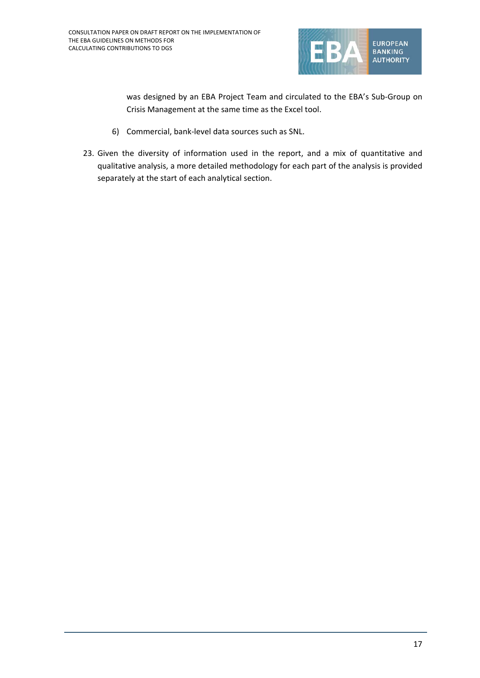

was designed by an EBA Project Team and circulated to the EBA's Sub-Group on Crisis Management at the same time as the Excel tool.

- 6) Commercial, bank-level data sources such as SNL.
- 23. Given the diversity of information used in the report, and a mix of quantitative and qualitative analysis, a more detailed methodology for each part of the analysis is provided separately at the start of each analytical section.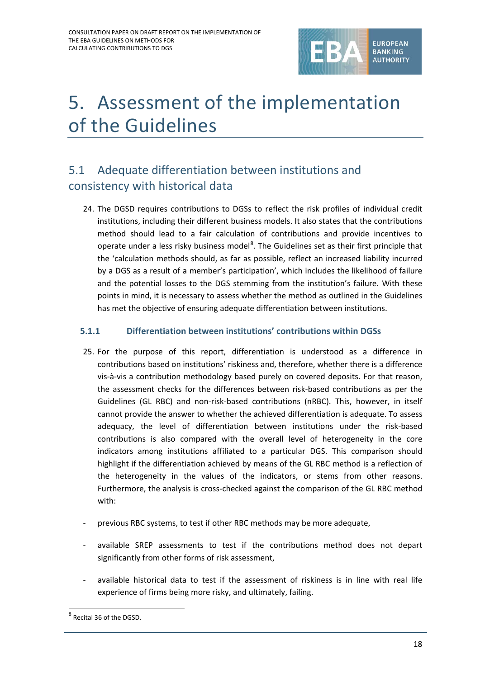

# 5. Assessment of the implementation of the Guidelines

# 5.1 Adequate differentiation between institutions and consistency with historical data

24. The DGSD requires contributions to DGSs to reflect the risk profiles of individual credit institutions, including their different business models. It also states that the contributions method should lead to a fair calculation of contributions and provide incentives to operate under a less risky business model<sup>[8](#page-17-0)</sup>. The Guidelines set as their first principle that the 'calculation methods should, as far as possible, reflect an increased liability incurred by a DGS as a result of a member's participation', which includes the likelihood of failure and the potential losses to the DGS stemming from the institution's failure. With these points in mind, it is necessary to assess whether the method as outlined in the Guidelines has met the objective of ensuring adequate differentiation between institutions.

## **5.1.1 Differentiation between institutions' contributions within DGSs**

- 25. For the purpose of this report, differentiation is understood as a difference in contributions based on institutions' riskiness and, therefore, whether there is a difference vis-à-vis a contribution methodology based purely on covered deposits. For that reason, the assessment checks for the differences between risk-based contributions as per the Guidelines (GL RBC) and non-risk-based contributions (nRBC). This, however, in itself cannot provide the answer to whether the achieved differentiation is adequate. To assess adequacy, the level of differentiation between institutions under the risk-based contributions is also compared with the overall level of heterogeneity in the core indicators among institutions affiliated to a particular DGS. This comparison should highlight if the differentiation achieved by means of the GL RBC method is a reflection of the heterogeneity in the values of the indicators, or stems from other reasons. Furthermore, the analysis is cross-checked against the comparison of the GL RBC method with:
- previous RBC systems, to test if other RBC methods may be more adequate,
- available SREP assessments to test if the contributions method does not depart significantly from other forms of risk assessment,
- available historical data to test if the assessment of riskiness is in line with real life experience of firms being more risky, and ultimately, failing.

 $\overline{a}$ 

<span id="page-17-0"></span><sup>8</sup> Recital 36 of the DGSD.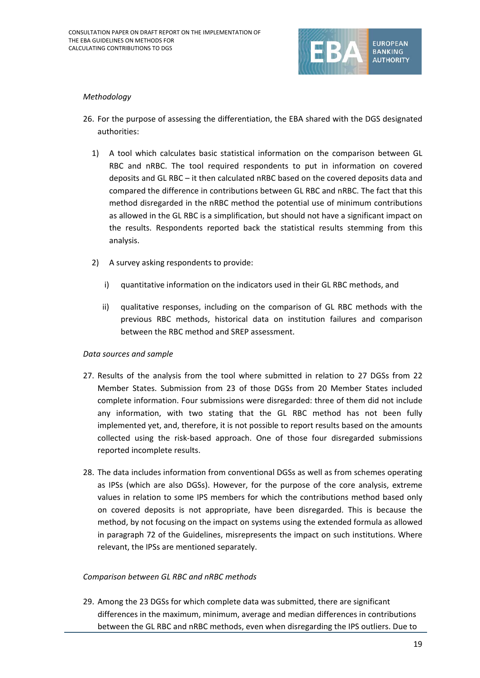

### *Methodology*

- 26. For the purpose of assessing the differentiation, the EBA shared with the DGS designated authorities:
	- 1) A tool which calculates basic statistical information on the comparison between GL RBC and nRBC. The tool required respondents to put in information on covered deposits and GL RBC – it then calculated nRBC based on the covered deposits data and compared the difference in contributions between GL RBC and nRBC. The fact that this method disregarded in the nRBC method the potential use of minimum contributions as allowed in the GL RBC is a simplification, but should not have a significant impact on the results. Respondents reported back the statistical results stemming from this analysis.
	- 2) A survey asking respondents to provide:
		- i) quantitative information on the indicators used in their GL RBC methods, and
		- ii) qualitative responses, including on the comparison of GL RBC methods with the previous RBC methods, historical data on institution failures and comparison between the RBC method and SREP assessment.

#### *Data sources and sample*

- 27. Results of the analysis from the tool where submitted in relation to 27 DGSs from 22 Member States. Submission from 23 of those DGSs from 20 Member States included complete information. Four submissions were disregarded: three of them did not include any information, with two stating that the GL RBC method has not been fully implemented yet, and, therefore, it is not possible to report results based on the amounts collected using the risk-based approach. One of those four disregarded submissions reported incomplete results.
- 28. The data includes information from conventional DGSs as well as from schemes operating as IPSs (which are also DGSs). However, for the purpose of the core analysis, extreme values in relation to some IPS members for which the contributions method based only on covered deposits is not appropriate, have been disregarded. This is because the method, by not focusing on the impact on systems using the extended formula as allowed in paragraph 72 of the Guidelines, misrepresents the impact on such institutions. Where relevant, the IPSs are mentioned separately.

## *Comparison between GL RBC and nRBC methods*

29. Among the 23 DGSs for which complete data was submitted, there are significant differences in the maximum, minimum, average and median differences in contributions between the GL RBC and nRBC methods, even when disregarding the IPS outliers. Due to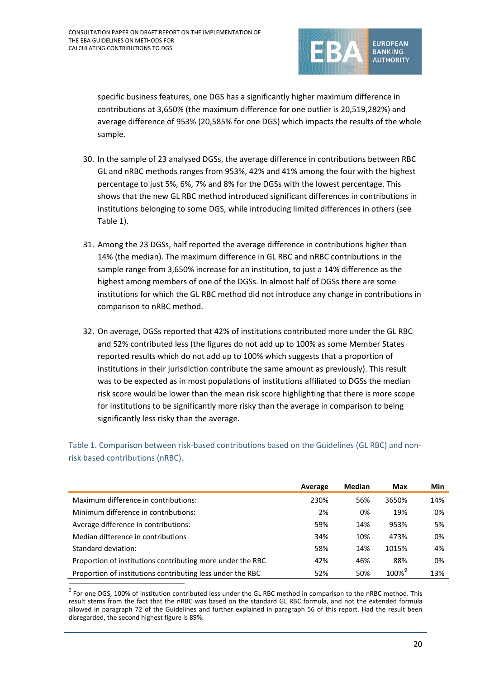

specific business features, one DGS has a significantly higher maximum difference in contributions at 3,650% (the maximum difference for one outlier is 20,519,282%) and average difference of 953% (20,585% for one DGS) which impacts the results of the whole sample.

- 30. In the sample of 23 analysed DGSs, the average difference in contributions between RBC GL and nRBC methods ranges from 953%, 42% and 41% among the four with the highest percentage to just 5%, 6%, 7% and 8% for the DGSs with the lowest percentage. This shows that the new GL RBC method introduced significant differences in contributions in institutions belonging to some DGS, while introducing limited differences in others (see Table 1).
- 31. Among the 23 DGSs, half reported the average difference in contributions higher than 14% (the median). The maximum difference in GL RBC and nRBC contributions in the sample range from 3,650% increase for an institution, to just a 14% difference as the highest among members of one of the DGSs. In almost half of DGSs there are some institutions for which the GL RBC method did not introduce any change in contributions in comparison to nRBC method.
- 32. On average, DGSs reported that 42% of institutions contributed more under the GL RBC and 52% contributed less (the figures do not add up to 100% as some Member States reported results which do not add up to 100% which suggests that a proportion of institutions in their jurisdiction contribute the same amount as previously). This result was to be expected as in most populations of institutions affiliated to DGSs the median risk score would be lower than the mean risk score highlighting that there is more scope for institutions to be significantly more risky than the average in comparison to being significantly less risky than the average.

Table 1. Comparison between risk-based contributions based on the Guidelines (GL RBC) and nonrisk based contributions (nRBC).

|                                                            | Average | Median | Max                  | Min |
|------------------------------------------------------------|---------|--------|----------------------|-----|
| Maximum difference in contributions:                       | 230%    | 56%    | 3650%                | 14% |
| Minimum difference in contributions:                       | 2%      | 0%     | 19%                  | 0%  |
| Average difference in contributions:                       | 59%     | 14%    | 953%                 | 5%  |
| Median difference in contributions                         | 34%     | 10%    | 473%                 | 0%  |
| Standard deviation:                                        | 58%     | 14%    | 1015%                | 4%  |
| Proportion of institutions contributing more under the RBC | 42%     | 46%    | 88%                  | 0%  |
| Proportion of institutions contributing less under the RBC | 52%     | 50%    | $100\%$ <sup>9</sup> | 13% |

<span id="page-19-0"></span><sup>&</sup>lt;sup>9</sup> For one DGS, 100% of institution contributed less under the GL RBC method in comparison to the nRBC method. This result stems from the fact that the nRBC was based on the standard GL RBC formula, and not the extended formula allowed in paragraph 72 of the Guidelines and further explained in paragraph 56 of this report. Had the result been disregarded, the second highest figure is 89%.

 $\overline{a}$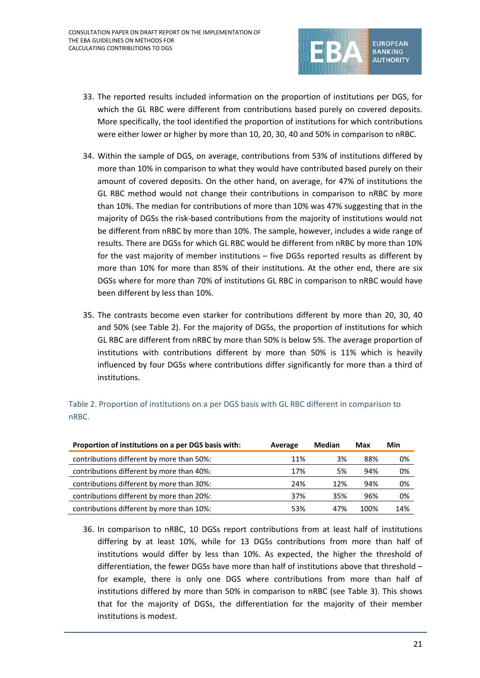

- 33. The reported results included information on the proportion of institutions per DGS, for which the GL RBC were different from contributions based purely on covered deposits. More specifically, the tool identified the proportion of institutions for which contributions were either lower or higher by more than 10, 20, 30, 40 and 50% in comparison to nRBC.
- 34. Within the sample of DGS, on average, contributions from 53% of institutions differed by more than 10% in comparison to what they would have contributed based purely on their amount of covered deposits. On the other hand, on average, for 47% of institutions the GL RBC method would not change their contributions in comparison to nRBC by more than 10%. The median for contributions of more than 10% was 47% suggesting that in the majority of DGSs the risk-based contributions from the majority of institutions would not be different from nRBC by more than 10%. The sample, however, includes a wide range of results. There are DGSs for which GL RBC would be different from nRBC by more than 10% for the vast majority of member institutions – five DGSs reported results as different by more than 10% for more than 85% of their institutions. At the other end, there are six DGSs where for more than 70% of institutions GL RBC in comparison to nRBC would have been different by less than 10%.
- 35. The contrasts become even starker for contributions different by more than 20, 30, 40 and 50% (see Table 2). For the majority of DGSs, the proportion of institutions for which GL RBC are different from nRBC by more than 50% is below 5%. The average proportion of institutions with contributions different by more than 50% is 11% which is heavily influenced by four DGSs where contributions differ significantly for more than a third of institutions.

| Proportion of institutions on a per DGS basis with: | Average | Median | Max  | Min |
|-----------------------------------------------------|---------|--------|------|-----|
| contributions different by more than 50%:           | 11%     | 3%     | 88%  | 0%  |
| contributions different by more than 40%:           | 17%     | 5%     | 94%  | 0%  |
| contributions different by more than 30%:           | 24%     | 12%    | 94%  | 0%  |
| contributions different by more than 20%:           | 37%     | 35%    | 96%  | 0%  |
| contributions different by more than 10%:           | 53%     | 47%    | 100% | 14% |

Table 2. Proportion of institutions on a per DGS basis with GL RBC different in comparison to nRBC.

36. In comparison to nRBC, 10 DGSs report contributions from at least half of institutions differing by at least 10%, while for 13 DGSs contributions from more than half of institutions would differ by less than 10%. As expected, the higher the threshold of differentiation, the fewer DGSs have more than half of institutions above that threshold – for example, there is only one DGS where contributions from more than half of institutions differed by more than 50% in comparison to nRBC (see Table 3). This shows that for the majority of DGSs, the differentiation for the majority of their member institutions is modest.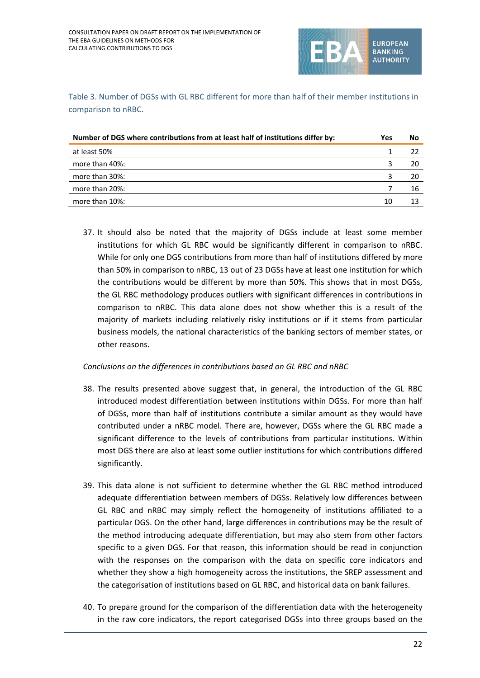

Table 3. Number of DGSs with GL RBC different for more than half of their member institutions in comparison to nRBC.

| Number of DGS where contributions from at least half of institutions differ by: | Yes | No  |
|---------------------------------------------------------------------------------|-----|-----|
| at least 50%                                                                    |     |     |
| more than 40%:                                                                  |     | -20 |
| more than 30%:                                                                  |     | -20 |
| more than 20%:                                                                  |     | 16  |
| more than 10%:                                                                  | 10  |     |

37. It should also be noted that the majority of DGSs include at least some member institutions for which GL RBC would be significantly different in comparison to nRBC. While for only one DGS contributions from more than half of institutions differed by more than 50% in comparison to nRBC, 13 out of 23 DGSs have at least one institution for which the contributions would be different by more than 50%. This shows that in most DGSs, the GL RBC methodology produces outliers with significant differences in contributions in comparison to nRBC. This data alone does not show whether this is a result of the majority of markets including relatively risky institutions or if it stems from particular business models, the national characteristics of the banking sectors of member states, or other reasons.

*Conclusions on the differences in contributions based on GL RBC and nRBC*

- 38. The results presented above suggest that, in general, the introduction of the GL RBC introduced modest differentiation between institutions within DGSs. For more than half of DGSs, more than half of institutions contribute a similar amount as they would have contributed under a nRBC model. There are, however, DGSs where the GL RBC made a significant difference to the levels of contributions from particular institutions. Within most DGS there are also at least some outlier institutions for which contributions differed significantly.
- 39. This data alone is not sufficient to determine whether the GL RBC method introduced adequate differentiation between members of DGSs. Relatively low differences between GL RBC and nRBC may simply reflect the homogeneity of institutions affiliated to a particular DGS. On the other hand, large differences in contributions may be the result of the method introducing adequate differentiation, but may also stem from other factors specific to a given DGS. For that reason, this information should be read in conjunction with the responses on the comparison with the data on specific core indicators and whether they show a high homogeneity across the institutions, the SREP assessment and the categorisation of institutions based on GL RBC, and historical data on bank failures.
- 40. To prepare ground for the comparison of the differentiation data with the heterogeneity in the raw core indicators, the report categorised DGSs into three groups based on the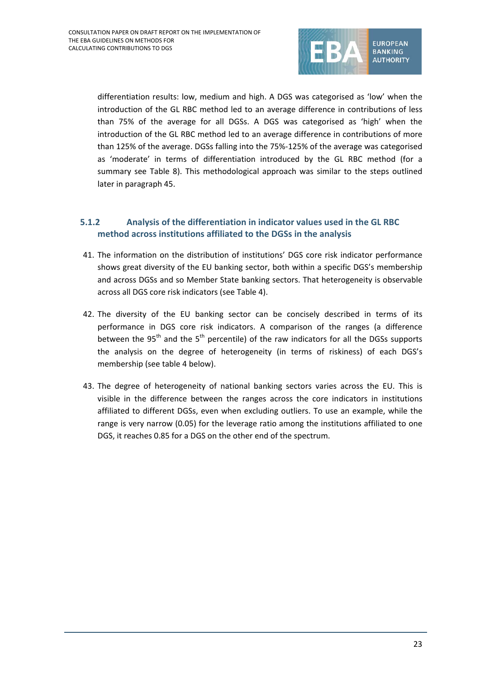

differentiation results: low, medium and high. A DGS was categorised as 'low' when the introduction of the GL RBC method led to an average difference in contributions of less than 75% of the average for all DGSs. A DGS was categorised as 'high' when the introduction of the GL RBC method led to an average difference in contributions of more than 125% of the average. DGSs falling into the 75%-125% of the average was categorised as 'moderate' in terms of differentiation introduced by the GL RBC method (for a summary see Table 8). This methodological approach was similar to the steps outlined later in paragraph 45.

# **5.1.2 Analysis of the differentiation in indicator values used in the GL RBC method across institutions affiliated to the DGSs in the analysis**

- 41. The information on the distribution of institutions' DGS core risk indicator performance shows great diversity of the EU banking sector, both within a specific DGS's membership and across DGSs and so Member State banking sectors. That heterogeneity is observable across all DGS core risk indicators (see Table 4).
- 42. The diversity of the EU banking sector can be concisely described in terms of its performance in DGS core risk indicators. A comparison of the ranges (a difference between the 95<sup>th</sup> and the 5<sup>th</sup> percentile) of the raw indicators for all the DGSs supports the analysis on the degree of heterogeneity (in terms of riskiness) of each DGS's membership (see table 4 below).
- 43. The degree of heterogeneity of national banking sectors varies across the EU. This is visible in the difference between the ranges across the core indicators in institutions affiliated to different DGSs, even when excluding outliers. To use an example, while the range is very narrow (0.05) for the leverage ratio among the institutions affiliated to one DGS, it reaches 0.85 for a DGS on the other end of the spectrum.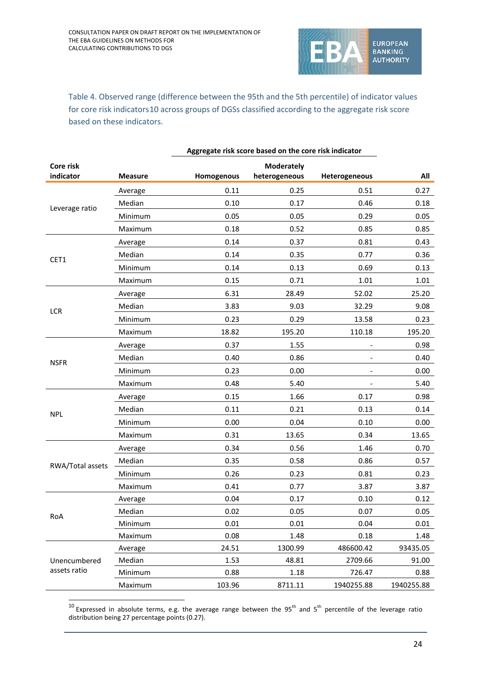

Table 4. Observed range (difference between the 95th and the 5th percentile) of indicator values for core risk indicators[10](#page-23-0) across groups of DGSs classified according to the aggregate risk score based on these indicators.

| Core risk        |                |            | <b>Moderately</b> |                          |            |
|------------------|----------------|------------|-------------------|--------------------------|------------|
| indicator        | <b>Measure</b> | Homogenous | heterogeneous     | Heterogeneous            | All        |
|                  | Average        | 0.11       | 0.25              | 0.51                     | 0.27       |
| Leverage ratio   | Median         | 0.10       | 0.17              | 0.46                     | 0.18       |
|                  | Minimum        | 0.05       | 0.05              | 0.29                     | 0.05       |
|                  | Maximum        | 0.18       | 0.52              | 0.85                     | 0.85       |
|                  | Average        | 0.14       | 0.37              | 0.81                     | 0.43       |
| CET1             | Median         | 0.14       | 0.35              | 0.77                     | 0.36       |
|                  | Minimum        | 0.14       | 0.13              | 0.69                     | 0.13       |
|                  | Maximum        | 0.15       | 0.71              | 1.01                     | 1.01       |
|                  | Average        | 6.31       | 28.49             | 52.02                    | 25.20      |
| LCR              | Median         | 3.83       | 9.03              | 32.29                    | 9.08       |
|                  | Minimum        | 0.23       | 0.29              | 13.58                    | 0.23       |
|                  | Maximum        | 18.82      | 195.20            | 110.18                   | 195.20     |
|                  | Average        | 0.37       | 1.55              |                          | 0.98       |
|                  | Median         | 0.40       | 0.86              | $\overline{\phantom{a}}$ | 0.40       |
| <b>NSFR</b>      | Minimum        | 0.23       | 0.00              |                          | 0.00       |
|                  | Maximum        | 0.48       | 5.40              |                          | 5.40       |
|                  | Average        | 0.15       | 1.66              | 0.17                     | 0.98       |
|                  | Median         | 0.11       | 0.21              | 0.13                     | 0.14       |
| <b>NPL</b>       | Minimum        | 0.00       | 0.04              | 0.10                     | 0.00       |
|                  | Maximum        | 0.31       | 13.65             | 0.34                     | 13.65      |
|                  | Average        | 0.34       | 0.56              | 1.46                     | 0.70       |
| RWA/Total assets | Median         | 0.35       | 0.58              | 0.86                     | 0.57       |
|                  | Minimum        | 0.26       | 0.23              | 0.81                     | 0.23       |
|                  | Maximum        | 0.41       | 0.77              | 3.87                     | 3.87       |
|                  | Average        | 0.04       | 0.17              | 0.10                     | 0.12       |
| RoA              | Median         | 0.02       | 0.05              | 0.07                     | 0.05       |
|                  | Minimum        | 0.01       | 0.01              | 0.04                     | 0.01       |
|                  | Maximum        | 0.08       | 1.48              | 0.18                     | 1.48       |
|                  | Average        | 24.51      | 1300.99           | 486600.42                | 93435.05   |
| Unencumbered     | Median         | 1.53       | 48.81             | 2709.66                  | 91.00      |
| assets ratio     | Minimum        | 0.88       | 1.18              | 726.47                   | 0.88       |
|                  | Maximum        | 103.96     | 8711.11           | 1940255.88               | 1940255.88 |

## **Aggregate risk score based on the core risk indicator**

<span id="page-23-0"></span> $10$  Expressed in absolute terms, e.g. the average range between the 95<sup>th</sup> and 5<sup>th</sup> percentile of the leverage ratio distribution being 27 percentage points (0.27).

 $\overline{a}$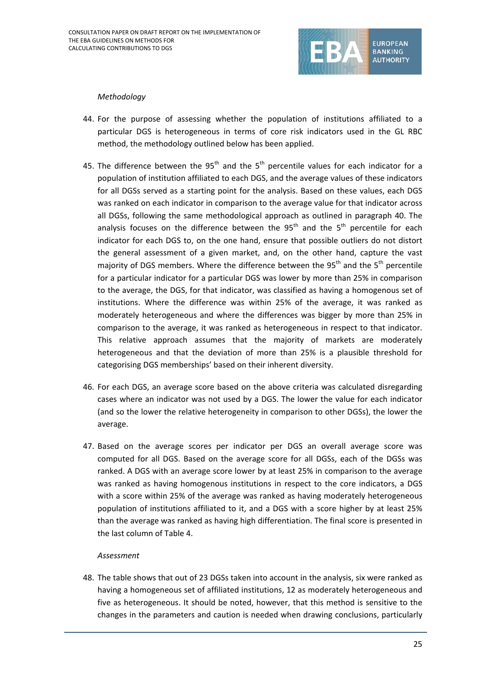

### *Methodology*

- 44. For the purpose of assessing whether the population of institutions affiliated to a particular DGS is heterogeneous in terms of core risk indicators used in the GL RBC method, the methodology outlined below has been applied.
- 45. The difference between the  $95<sup>th</sup>$  and the  $5<sup>th</sup>$  percentile values for each indicator for a population of institution affiliated to each DGS, and the average values of these indicators for all DGSs served as a starting point for the analysis. Based on these values, each DGS was ranked on each indicator in comparison to the average value for that indicator across all DGSs, following the same methodological approach as outlined in paragraph 40. The analysis focuses on the difference between the  $95<sup>th</sup>$  and the  $5<sup>th</sup>$  percentile for each indicator for each DGS to, on the one hand, ensure that possible outliers do not distort the general assessment of a given market, and, on the other hand, capture the vast majority of DGS members. Where the difference between the  $95<sup>th</sup>$  and the  $5<sup>th</sup>$  percentile for a particular indicator for a particular DGS was lower by more than 25% in comparison to the average, the DGS, for that indicator, was classified as having a homogenous set of institutions. Where the difference was within 25% of the average, it was ranked as moderately heterogeneous and where the differences was bigger by more than 25% in comparison to the average, it was ranked as heterogeneous in respect to that indicator. This relative approach assumes that the majority of markets are moderately heterogeneous and that the deviation of more than 25% is a plausible threshold for categorising DGS memberships' based on their inherent diversity.
- 46. For each DGS, an average score based on the above criteria was calculated disregarding cases where an indicator was not used by a DGS. The lower the value for each indicator (and so the lower the relative heterogeneity in comparison to other DGSs), the lower the average.
- 47. Based on the average scores per indicator per DGS an overall average score was computed for all DGS. Based on the average score for all DGSs, each of the DGSs was ranked. A DGS with an average score lower by at least 25% in comparison to the average was ranked as having homogenous institutions in respect to the core indicators, a DGS with a score within 25% of the average was ranked as having moderately heterogeneous population of institutions affiliated to it, and a DGS with a score higher by at least 25% than the average was ranked as having high differentiation. The final score is presented in the last column of Table 4.

## *Assessment*

48. The table shows that out of 23 DGSs taken into account in the analysis, six were ranked as having a homogeneous set of affiliated institutions, 12 as moderately heterogeneous and five as heterogeneous. It should be noted, however, that this method is sensitive to the changes in the parameters and caution is needed when drawing conclusions, particularly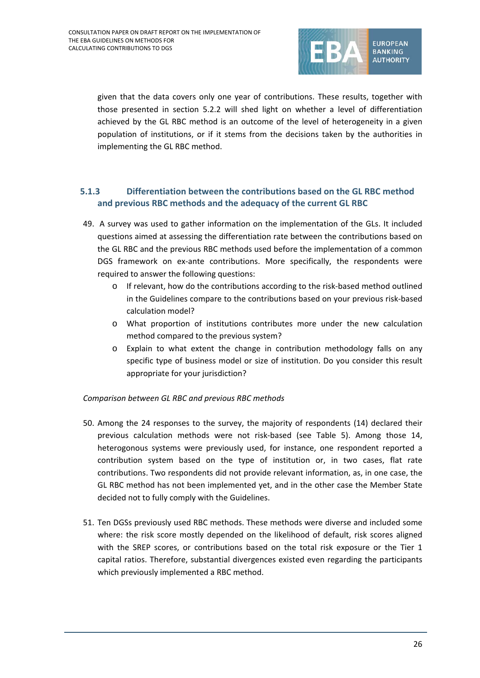

given that the data covers only one year of contributions. These results, together with those presented in section 5.2.2 will shed light on whether a level of differentiation achieved by the GL RBC method is an outcome of the level of heterogeneity in a given population of institutions, or if it stems from the decisions taken by the authorities in implementing the GL RBC method.

# **5.1.3 Differentiation between the contributions based on the GL RBC method and previous RBC methods and the adequacy of the current GL RBC**

- 49. A survey was used to gather information on the implementation of the GLs. It included questions aimed at assessing the differentiation rate between the contributions based on the GL RBC and the previous RBC methods used before the implementation of a common DGS framework on ex-ante contributions. More specifically, the respondents were required to answer the following questions:
	- o If relevant, how do the contributions according to the risk-based method outlined in the Guidelines compare to the contributions based on your previous risk-based calculation model?
	- o What proportion of institutions contributes more under the new calculation method compared to the previous system?
	- o Explain to what extent the change in contribution methodology falls on any specific type of business model or size of institution. Do you consider this result appropriate for your jurisdiction?

## *Comparison between GL RBC and previous RBC methods*

- 50. Among the 24 responses to the survey, the majority of respondents (14) declared their previous calculation methods were not risk-based (see Table 5). Among those 14, heterogonous systems were previously used, for instance, one respondent reported a contribution system based on the type of institution or, in two cases, flat rate contributions. Two respondents did not provide relevant information, as, in one case, the GL RBC method has not been implemented yet, and in the other case the Member State decided not to fully comply with the Guidelines.
- 51. Ten DGSs previously used RBC methods. These methods were diverse and included some where: the risk score mostly depended on the likelihood of default, risk scores aligned with the SREP scores, or contributions based on the total risk exposure or the Tier 1 capital ratios. Therefore, substantial divergences existed even regarding the participants which previously implemented a RBC method.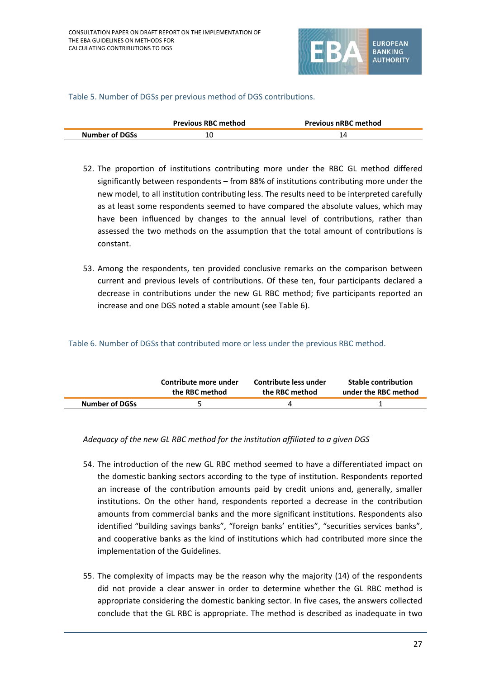

### Table 5. Number of DGSs per previous method of DGS contributions.

|                       | <b>Previous RBC method</b> | <b>Previous nRBC method</b> |  |
|-----------------------|----------------------------|-----------------------------|--|
| <b>Number of DGSs</b> | 10                         |                             |  |

- 52. The proportion of institutions contributing more under the RBC GL method differed significantly between respondents – from 88% of institutions contributing more under the new model, to all institution contributing less. The results need to be interpreted carefully as at least some respondents seemed to have compared the absolute values, which may have been influenced by changes to the annual level of contributions, rather than assessed the two methods on the assumption that the total amount of contributions is constant.
- 53. Among the respondents, ten provided conclusive remarks on the comparison between current and previous levels of contributions. Of these ten, four participants declared a decrease in contributions under the new GL RBC method; five participants reported an increase and one DGS noted a stable amount (see Table 6).

#### Table 6. Number of DGSs that contributed more or less under the previous RBC method.

|                       | Contribute more under | Contribute less under | <b>Stable contribution</b> |
|-----------------------|-----------------------|-----------------------|----------------------------|
|                       | the RBC method        | the RBC method        | under the RBC method       |
| <b>Number of DGSs</b> |                       |                       |                            |

## *Adequacy of the new GL RBC method for the institution affiliated to a given DGS*

- 54. The introduction of the new GL RBC method seemed to have a differentiated impact on the domestic banking sectors according to the type of institution. Respondents reported an increase of the contribution amounts paid by credit unions and, generally, smaller institutions. On the other hand, respondents reported a decrease in the contribution amounts from commercial banks and the more significant institutions. Respondents also identified "building savings banks", "foreign banks' entities", "securities services banks", and cooperative banks as the kind of institutions which had contributed more since the implementation of the Guidelines.
- 55. The complexity of impacts may be the reason why the majority (14) of the respondents did not provide a clear answer in order to determine whether the GL RBC method is appropriate considering the domestic banking sector. In five cases, the answers collected conclude that the GL RBC is appropriate. The method is described as inadequate in two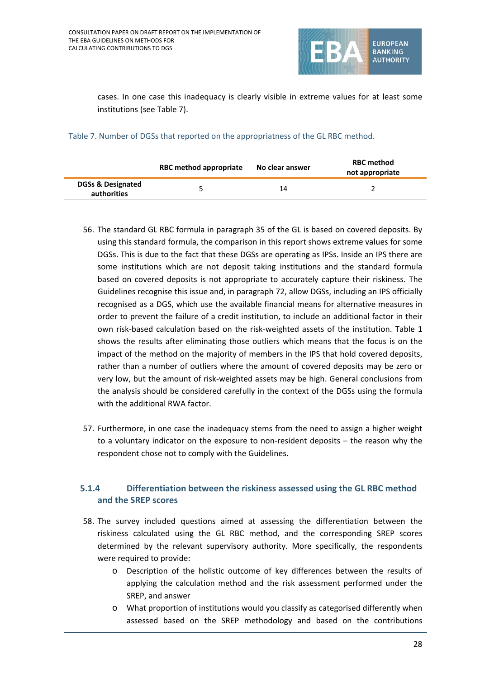

cases. In one case this inadequacy is clearly visible in extreme values for at least some institutions (see Table 7).

Table 7. Number of DGSs that reported on the appropriatness of the GL RBC method.

|                                             | RBC method appropriate | No clear answer | <b>RBC method</b><br>not appropriate |
|---------------------------------------------|------------------------|-----------------|--------------------------------------|
| <b>DGSs &amp; Designated</b><br>authorities |                        | 14              |                                      |

- 56. The standard GL RBC formula in paragraph 35 of the GL is based on covered deposits. By using this standard formula, the comparison in this report shows extreme values for some DGSs. This is due to the fact that these DGSs are operating as IPSs. Inside an IPS there are some institutions which are not deposit taking institutions and the standard formula based on covered deposits is not appropriate to accurately capture their riskiness. The Guidelines recognise this issue and, in paragraph 72, allow DGSs, including an IPS officially recognised as a DGS, which use the available financial means for alternative measures in order to prevent the failure of a credit institution, to include an additional factor in their own risk-based calculation based on the risk-weighted assets of the institution. Table 1 shows the results after eliminating those outliers which means that the focus is on the impact of the method on the majority of members in the IPS that hold covered deposits, rather than a number of outliers where the amount of covered deposits may be zero or very low, but the amount of risk-weighted assets may be high. General conclusions from the analysis should be considered carefully in the context of the DGSs using the formula with the additional RWA factor.
- 57. Furthermore, in one case the inadequacy stems from the need to assign a higher weight to a voluntary indicator on the exposure to non-resident deposits – the reason why the respondent chose not to comply with the Guidelines.

# **5.1.4 Differentiation between the riskiness assessed using the GL RBC method and the SREP scores**

- 58. The survey included questions aimed at assessing the differentiation between the riskiness calculated using the GL RBC method, and the corresponding SREP scores determined by the relevant supervisory authority. More specifically, the respondents were required to provide:
	- o Description of the holistic outcome of key differences between the results of applying the calculation method and the risk assessment performed under the SREP, and answer
	- o What proportion of institutions would you classify as categorised differently when assessed based on the SREP methodology and based on the contributions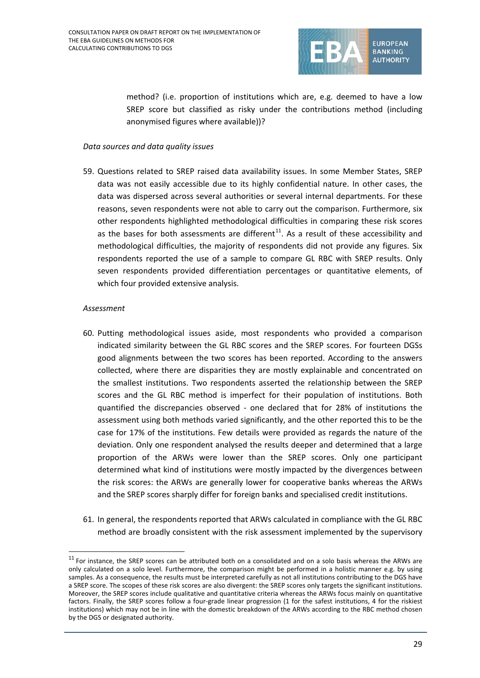

method? (i.e. proportion of institutions which are, e.g. deemed to have a low SREP score but classified as risky under the contributions method (including anonymised figures where available))?

### *Data sources and data quality issues*

59. Questions related to SREP raised data availability issues. In some Member States, SREP data was not easily accessible due to its highly confidential nature. In other cases, the data was dispersed across several authorities or several internal departments. For these reasons, seven respondents were not able to carry out the comparison. Furthermore, six other respondents highlighted methodological difficulties in comparing these risk scores as the bases for both assessments are different<sup>[11](#page-28-0)</sup>. As a result of these accessibility and methodological difficulties, the majority of respondents did not provide any figures. Six respondents reported the use of a sample to compare GL RBC with SREP results. Only seven respondents provided differentiation percentages or quantitative elements, of which four provided extensive analysis.

### *Assessment*

 $\overline{a}$ 

- 60. Putting methodological issues aside, most respondents who provided a comparison indicated similarity between the GL RBC scores and the SREP scores. For fourteen DGSs good alignments between the two scores has been reported. According to the answers collected, where there are disparities they are mostly explainable and concentrated on the smallest institutions. Two respondents asserted the relationship between the SREP scores and the GL RBC method is imperfect for their population of institutions. Both quantified the discrepancies observed - one declared that for 28% of institutions the assessment using both methods varied significantly, and the other reported this to be the case for 17% of the institutions. Few details were provided as regards the nature of the deviation. Only one respondent analysed the results deeper and determined that a large proportion of the ARWs were lower than the SREP scores. Only one participant determined what kind of institutions were mostly impacted by the divergences between the risk scores: the ARWs are generally lower for cooperative banks whereas the ARWs and the SREP scores sharply differ for foreign banks and specialised credit institutions.
- 61. In general, the respondents reported that ARWs calculated in compliance with the GL RBC method are broadly consistent with the risk assessment implemented by the supervisory

<span id="page-28-0"></span> $11$  For instance, the SREP scores can be attributed both on a consolidated and on a solo basis whereas the ARWs are only calculated on a solo level. Furthermore, the comparison might be performed in a holistic manner e.g. by using samples. As a consequence, the results must be interpreted carefully as not all institutions contributing to the DGS have a SREP score. The scopes of these risk scores are also divergent: the SREP scores only targets the significant institutions. Moreover, the SREP scores include qualitative and quantitative criteria whereas the ARWs focus mainly on quantitative factors. Finally, the SREP scores follow a four-grade linear progression (1 for the safest institutions, 4 for the riskiest institutions) which may not be in line with the domestic breakdown of the ARWs according to the RBC method chosen by the DGS or designated authority.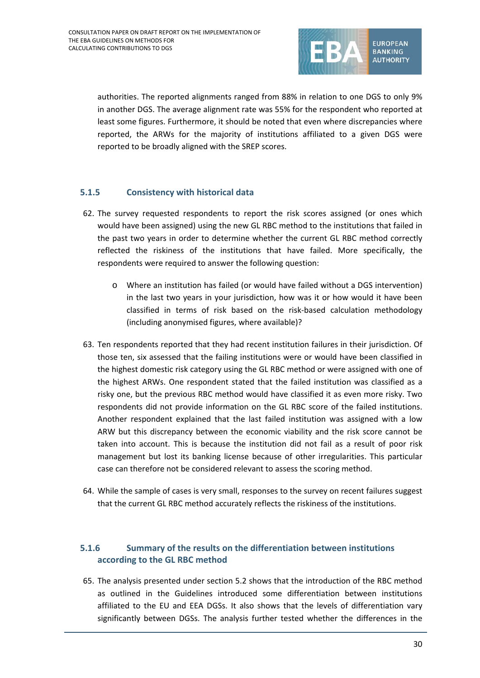

authorities. The reported alignments ranged from 88% in relation to one DGS to only 9% in another DGS. The average alignment rate was 55% for the respondent who reported at least some figures. Furthermore, it should be noted that even where discrepancies where reported, the ARWs for the majority of institutions affiliated to a given DGS were reported to be broadly aligned with the SREP scores.

## **5.1.5 Consistency with historical data**

- 62. The survey requested respondents to report the risk scores assigned (or ones which would have been assigned) using the new GL RBC method to the institutions that failed in the past two years in order to determine whether the current GL RBC method correctly reflected the riskiness of the institutions that have failed. More specifically, the respondents were required to answer the following question:
	- o Where an institution has failed (or would have failed without a DGS intervention) in the last two years in your jurisdiction, how was it or how would it have been classified in terms of risk based on the risk-based calculation methodology (including anonymised figures, where available)?
- 63. Ten respondents reported that they had recent institution failures in their jurisdiction. Of those ten, six assessed that the failing institutions were or would have been classified in the highest domestic risk category using the GL RBC method or were assigned with one of the highest ARWs. One respondent stated that the failed institution was classified as a risky one, but the previous RBC method would have classified it as even more risky. Two respondents did not provide information on the GL RBC score of the failed institutions. Another respondent explained that the last failed institution was assigned with a low ARW but this discrepancy between the economic viability and the risk score cannot be taken into account. This is because the institution did not fail as a result of poor risk management but lost its banking license because of other irregularities. This particular case can therefore not be considered relevant to assess the scoring method.
- 64. While the sample of cases is very small, responses to the survey on recent failures suggest that the current GL RBC method accurately reflects the riskiness of the institutions.

# **5.1.6 Summary of the results on the differentiation between institutions according to the GL RBC method**

65. The analysis presented under section 5.2 shows that the introduction of the RBC method as outlined in the Guidelines introduced some differentiation between institutions affiliated to the EU and EEA DGSs. It also shows that the levels of differentiation vary significantly between DGSs. The analysis further tested whether the differences in the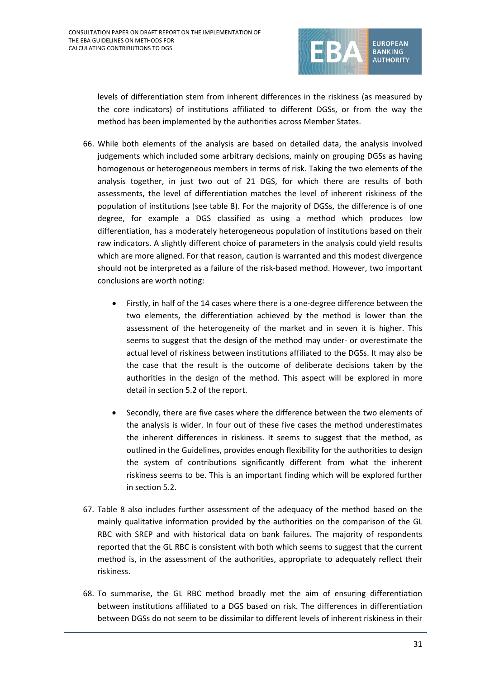

levels of differentiation stem from inherent differences in the riskiness (as measured by the core indicators) of institutions affiliated to different DGSs, or from the way the method has been implemented by the authorities across Member States.

- 66. While both elements of the analysis are based on detailed data, the analysis involved judgements which included some arbitrary decisions, mainly on grouping DGSs as having homogenous or heterogeneous members in terms of risk. Taking the two elements of the analysis together, in just two out of 21 DGS, for which there are results of both assessments, the level of differentiation matches the level of inherent riskiness of the population of institutions (see table 8). For the majority of DGSs, the difference is of one degree, for example a DGS classified as using a method which produces low differentiation, has a moderately heterogeneous population of institutions based on their raw indicators. A slightly different choice of parameters in the analysis could yield results which are more aligned. For that reason, caution is warranted and this modest divergence should not be interpreted as a failure of the risk-based method. However, two important conclusions are worth noting:
	- Firstly, in half of the 14 cases where there is a one-degree difference between the two elements, the differentiation achieved by the method is lower than the assessment of the heterogeneity of the market and in seven it is higher. This seems to suggest that the design of the method may under- or overestimate the actual level of riskiness between institutions affiliated to the DGSs. It may also be the case that the result is the outcome of deliberate decisions taken by the authorities in the design of the method. This aspect will be explored in more detail in section 5.2 of the report.
	- Secondly, there are five cases where the difference between the two elements of the analysis is wider. In four out of these five cases the method underestimates the inherent differences in riskiness. It seems to suggest that the method, as outlined in the Guidelines, provides enough flexibility for the authorities to design the system of contributions significantly different from what the inherent riskiness seems to be. This is an important finding which will be explored further in section 5.2.
- 67. Table 8 also includes further assessment of the adequacy of the method based on the mainly qualitative information provided by the authorities on the comparison of the GL RBC with SREP and with historical data on bank failures. The majority of respondents reported that the GL RBC is consistent with both which seems to suggest that the current method is, in the assessment of the authorities, appropriate to adequately reflect their riskiness.
- 68. To summarise, the GL RBC method broadly met the aim of ensuring differentiation between institutions affiliated to a DGS based on risk. The differences in differentiation between DGSs do not seem to be dissimilar to different levels of inherent riskiness in their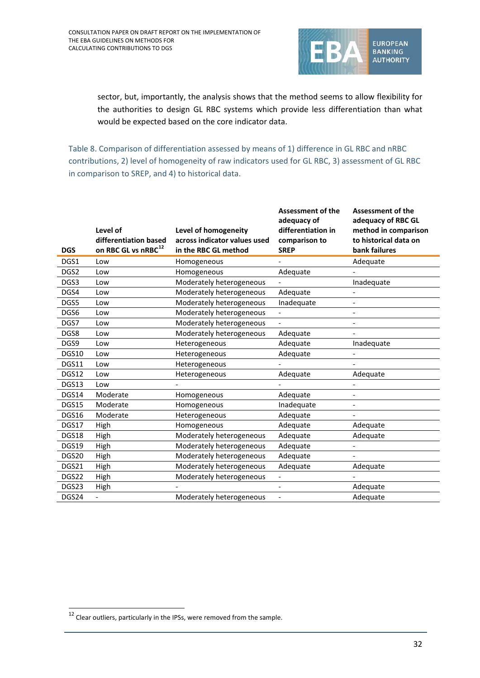

sector, but, importantly, the analysis shows that the method seems to allow flexibility for the authorities to design GL RBC systems which provide less differentiation than what would be expected based on the core indicator data.

Table 8. Comparison of differentiation assessed by means of 1) difference in GL RBC and nRBC contributions, 2) level of homogeneity of raw indicators used for GL RBC, 3) assessment of GL RBC in comparison to SREP, and 4) to historical data.

| <b>DGS</b>        | Level of<br>differentiation based<br>on RBC GL vs nRBC <sup>12</sup> | Level of homogeneity<br>across indicator values used<br>in the RBC GL method | <b>Assessment of the</b><br>adequacy of<br>differentiation in<br>comparison to<br><b>SREP</b> | <b>Assessment of the</b><br>adequacy of RBC GL<br>method in comparison<br>to historical data on<br>bank failures |
|-------------------|----------------------------------------------------------------------|------------------------------------------------------------------------------|-----------------------------------------------------------------------------------------------|------------------------------------------------------------------------------------------------------------------|
| DGS1              | Low                                                                  | Homogeneous                                                                  |                                                                                               | Adequate                                                                                                         |
| DGS2              | Low                                                                  | Homogeneous                                                                  | Adequate                                                                                      |                                                                                                                  |
| DGS3              | Low                                                                  | Moderately heterogeneous                                                     |                                                                                               | Inadequate                                                                                                       |
| DGS4              | Low                                                                  | Moderately heterogeneous                                                     | Adequate                                                                                      |                                                                                                                  |
| DGS5              | Low                                                                  | Moderately heterogeneous                                                     | Inadequate                                                                                    | $\overline{\phantom{a}}$                                                                                         |
| DGS6              | Low                                                                  | Moderately heterogeneous                                                     |                                                                                               | $\overline{\phantom{0}}$                                                                                         |
| DGS7              | Low                                                                  | Moderately heterogeneous                                                     |                                                                                               | $\overline{\phantom{a}}$                                                                                         |
| DGS8              | Low                                                                  | Moderately heterogeneous                                                     | Adequate                                                                                      | $\overline{\phantom{a}}$                                                                                         |
| DGS9              | Low                                                                  | Heterogeneous                                                                | Adequate                                                                                      | Inadequate                                                                                                       |
| DGS10             | Low                                                                  | Heterogeneous                                                                | Adequate                                                                                      |                                                                                                                  |
| DGS11             | Low                                                                  | Heterogeneous                                                                |                                                                                               |                                                                                                                  |
| DGS12             | Low                                                                  | Heterogeneous                                                                | Adequate                                                                                      | Adequate                                                                                                         |
| DGS13             | Low                                                                  |                                                                              |                                                                                               | $\overline{\phantom{0}}$                                                                                         |
| DGS14             | Moderate                                                             | Homogeneous                                                                  | Adequate                                                                                      | $\overline{\phantom{a}}$                                                                                         |
| DGS15             | Moderate                                                             | Homogeneous                                                                  | Inadequate                                                                                    | $\overline{\phantom{0}}$                                                                                         |
| DGS16             | Moderate                                                             | Heterogeneous                                                                | Adequate                                                                                      |                                                                                                                  |
| DGS17             | High                                                                 | Homogeneous                                                                  | Adequate                                                                                      | Adequate                                                                                                         |
| DGS18             | High                                                                 | Moderately heterogeneous                                                     | Adequate                                                                                      | Adequate                                                                                                         |
| DGS19             | High                                                                 | Moderately heterogeneous                                                     | Adequate                                                                                      |                                                                                                                  |
| DGS <sub>20</sub> | High                                                                 | Moderately heterogeneous                                                     | Adequate                                                                                      |                                                                                                                  |
| DGS21             | High                                                                 | Moderately heterogeneous                                                     | Adequate                                                                                      | Adequate                                                                                                         |
| DGS22             | High                                                                 | Moderately heterogeneous                                                     |                                                                                               |                                                                                                                  |
| DGS23             | High                                                                 |                                                                              |                                                                                               | Adequate                                                                                                         |
| DGS24             |                                                                      | Moderately heterogeneous                                                     | $\overline{\phantom{0}}$                                                                      | Adequate                                                                                                         |

<span id="page-31-0"></span> $\frac{12}{12}$  Clear outliers, particularly in the IPSs, were removed from the sample.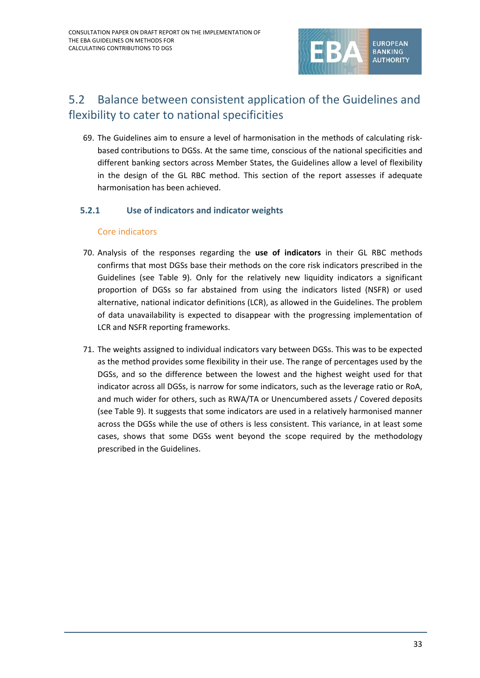

# 5.2 Balance between consistent application of the Guidelines and flexibility to cater to national specificities

69. The Guidelines aim to ensure a level of harmonisation in the methods of calculating riskbased contributions to DGSs. At the same time, conscious of the national specificities and different banking sectors across Member States, the Guidelines allow a level of flexibility in the design of the GL RBC method. This section of the report assesses if adequate harmonisation has been achieved.

## **5.2.1 Use of indicators and indicator weights**

### Core indicators

- 70. Analysis of the responses regarding the **use of indicators** in their GL RBC methods confirms that most DGSs base their methods on the core risk indicators prescribed in the Guidelines (see Table 9). Only for the relatively new liquidity indicators a significant proportion of DGSs so far abstained from using the indicators listed (NSFR) or used alternative, national indicator definitions (LCR), as allowed in the Guidelines. The problem of data unavailability is expected to disappear with the progressing implementation of LCR and NSFR reporting frameworks.
- 71. The weights assigned to individual indicators vary between DGSs. This was to be expected as the method provides some flexibility in their use. The range of percentages used by the DGSs, and so the difference between the lowest and the highest weight used for that indicator across all DGSs, is narrow for some indicators, such as the leverage ratio or RoA, and much wider for others, such as RWA/TA or Unencumbered assets / Covered deposits (see Table 9). It suggests that some indicators are used in a relatively harmonised manner across the DGSs while the use of others is less consistent. This variance, in at least some cases, shows that some DGSs went beyond the scope required by the methodology prescribed in the Guidelines.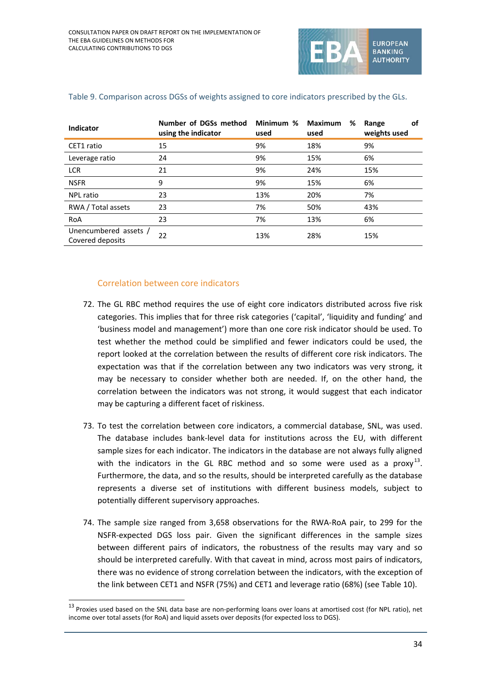

| <b>Indicator</b>                          | Number of DGSs method<br>using the indicator | Minimum %<br>used | <b>Maximum</b><br>%<br>used | Range<br>оf<br>weights used |
|-------------------------------------------|----------------------------------------------|-------------------|-----------------------------|-----------------------------|
| CET1 ratio                                | 15                                           | 9%                | 18%                         | 9%                          |
| Leverage ratio                            | 24                                           | 9%                | 15%                         | 6%                          |
| <b>LCR</b>                                | 21                                           | 9%                | 24%                         | 15%                         |
| <b>NSFR</b>                               | 9                                            | 9%                | 15%                         | 6%                          |
| <b>NPL ratio</b>                          | 23                                           | 13%               | 20%                         | 7%                          |
| RWA / Total assets                        | 23                                           | 7%                | 50%                         | 43%                         |
| RoA                                       | 23                                           | 7%                | 13%                         | 6%                          |
| Unencumbered assets /<br>Covered deposits | 22                                           | 13%               | 28%                         | 15%                         |

#### Table 9. Comparison across DGSs of weights assigned to core indicators prescribed by the GLs.

### Correlation between core indicators

 $\overline{a}$ 

- 72. The GL RBC method requires the use of eight core indicators distributed across five risk categories. This implies that for three risk categories ('capital', 'liquidity and funding' and 'business model and management') more than one core risk indicator should be used. To test whether the method could be simplified and fewer indicators could be used, the report looked at the correlation between the results of different core risk indicators. The expectation was that if the correlation between any two indicators was very strong, it may be necessary to consider whether both are needed. If, on the other hand, the correlation between the indicators was not strong, it would suggest that each indicator may be capturing a different facet of riskiness.
- 73. To test the correlation between core indicators, a commercial database, SNL, was used. The database includes bank-level data for institutions across the EU, with different sample sizes for each indicator. The indicators in the database are not always fully aligned with the indicators in the GL RBC method and so some were used as a proxy<sup>[13](#page-33-0)</sup>. Furthermore, the data, and so the results, should be interpreted carefully as the database represents a diverse set of institutions with different business models, subject to potentially different supervisory approaches.
- 74. The sample size ranged from 3,658 observations for the RWA-RoA pair, to 299 for the NSFR-expected DGS loss pair. Given the significant differences in the sample sizes between different pairs of indicators, the robustness of the results may vary and so should be interpreted carefully. With that caveat in mind, across most pairs of indicators, there was no evidence of strong correlation between the indicators, with the exception of the link between CET1 and NSFR (75%) and CET1 and leverage ratio (68%) (see Table 10).

<span id="page-33-0"></span> $13$  Proxies used based on the SNL data base are non-performing loans over loans at amortised cost (for NPL ratio), net income over total assets (for RoA) and liquid assets over deposits (for expected loss to DGS).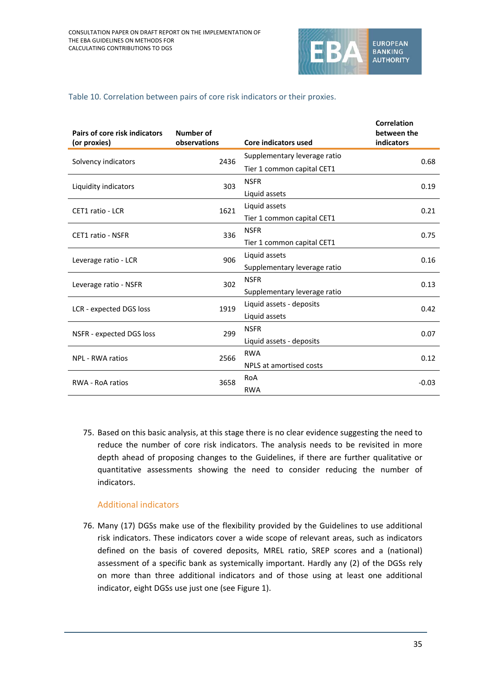

### Table 10. Correlation between pairs of core risk indicators or their proxies.

| Pairs of core risk indicators<br>(or proxies) | <b>Number of</b><br>observations | Core indicators used         | <b>Correlation</b><br>between the<br>indicators |
|-----------------------------------------------|----------------------------------|------------------------------|-------------------------------------------------|
|                                               | 2436                             | Supplementary leverage ratio | 0.68                                            |
| Solvency indicators                           |                                  | Tier 1 common capital CET1   |                                                 |
| Liquidity indicators                          | 303                              | <b>NSFR</b>                  | 0.19                                            |
|                                               |                                  | Liquid assets                |                                                 |
| CET1 ratio - LCR                              | 1621                             | Liquid assets                | 0.21                                            |
|                                               |                                  | Tier 1 common capital CET1   |                                                 |
| <b>CET1 ratio - NSFR</b>                      | 336                              | <b>NSFR</b>                  | 0.75                                            |
|                                               |                                  | Tier 1 common capital CET1   |                                                 |
| Leverage ratio - LCR                          | 906                              | Liquid assets                | 0.16                                            |
|                                               |                                  | Supplementary leverage ratio |                                                 |
| Leverage ratio - NSFR                         | 302                              | <b>NSFR</b>                  | 0.13                                            |
|                                               |                                  | Supplementary leverage ratio |                                                 |
| LCR - expected DGS loss                       | 1919                             | Liquid assets - deposits     | 0.42                                            |
|                                               |                                  | Liquid assets                |                                                 |
| NSFR - expected DGS loss                      | 299                              | <b>NSFR</b>                  | 0.07                                            |
|                                               |                                  | Liquid assets - deposits     |                                                 |
| NPL - RWA ratios                              | 2566                             | <b>RWA</b>                   | 0.12                                            |
|                                               |                                  | NPLS at amortised costs      |                                                 |
| <b>RWA - RoA ratios</b>                       | 3658                             | RoA                          | $-0.03$                                         |
|                                               |                                  | <b>RWA</b>                   |                                                 |

75. Based on this basic analysis, at this stage there is no clear evidence suggesting the need to reduce the number of core risk indicators. The analysis needs to be revisited in more depth ahead of proposing changes to the Guidelines, if there are further qualitative or quantitative assessments showing the need to consider reducing the number of indicators.

## Additional indicators

76. Many (17) DGSs make use of the flexibility provided by the Guidelines to use additional risk indicators. These indicators cover a wide scope of relevant areas, such as indicators defined on the basis of covered deposits, MREL ratio, SREP scores and a (national) assessment of a specific bank as systemically important. Hardly any (2) of the DGSs rely on more than three additional indicators and of those using at least one additional indicator, eight DGSs use just one (see Figure 1).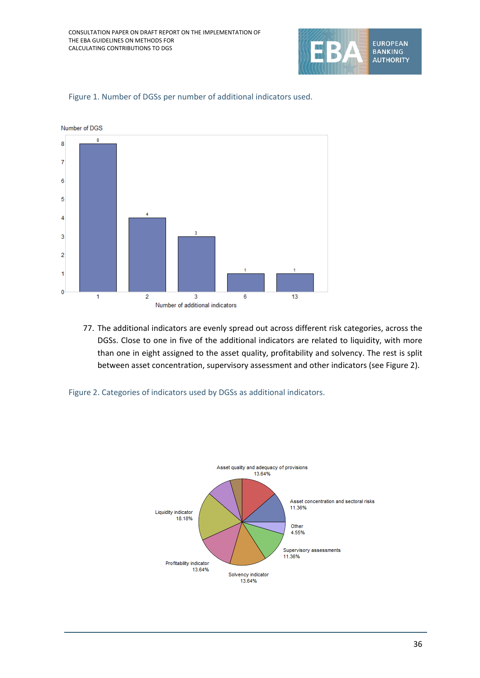



Figure 1. Number of DGSs per number of additional indicators used.

77. The additional indicators are evenly spread out across different risk categories, across the DGSs. Close to one in five of the additional indicators are related to liquidity, with more than one in eight assigned to the asset quality, profitability and solvency. The rest is split between asset concentration, supervisory assessment and other indicators (see Figure 2).



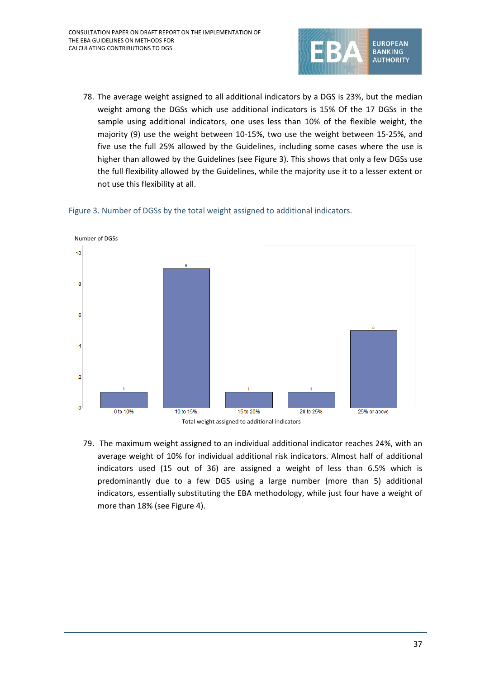

78. The average weight assigned to all additional indicators by a DGS is 23%, but the median weight among the DGSs which use additional indicators is 15% Of the 17 DGSs in the sample using additional indicators, one uses less than 10% of the flexible weight, the majority (9) use the weight between 10-15%, two use the weight between 15-25%, and five use the full 25% allowed by the Guidelines, including some cases where the use is higher than allowed by the Guidelines (see Figure 3). This shows that only a few DGSs use the full flexibility allowed by the Guidelines, while the majority use it to a lesser extent or not use this flexibility at all.



Figure 3. Number of DGSs by the total weight assigned to additional indicators.

79. The maximum weight assigned to an individual additional indicator reaches 24%, with an average weight of 10% for individual additional risk indicators. Almost half of additional indicators used (15 out of 36) are assigned a weight of less than 6.5% which is predominantly due to a few DGS using a large number (more than 5) additional indicators, essentially substituting the EBA methodology, while just four have a weight of more than 18% (see Figure 4).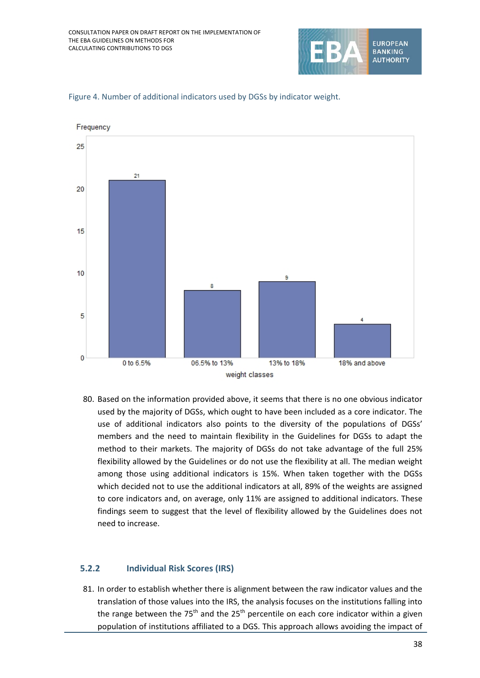



Figure 4. Number of additional indicators used by DGSs by indicator weight.

80. Based on the information provided above, it seems that there is no one obvious indicator used by the majority of DGSs, which ought to have been included as a core indicator. The use of additional indicators also points to the diversity of the populations of DGSs' members and the need to maintain flexibility in the Guidelines for DGSs to adapt the method to their markets. The majority of DGSs do not take advantage of the full 25% flexibility allowed by the Guidelines or do not use the flexibility at all. The median weight among those using additional indicators is 15%. When taken together with the DGSs which decided not to use the additional indicators at all, 89% of the weights are assigned to core indicators and, on average, only 11% are assigned to additional indicators. These findings seem to suggest that the level of flexibility allowed by the Guidelines does not need to increase.

#### **5.2.2 Individual Risk Scores (IRS)**

81. In order to establish whether there is alignment between the raw indicator values and the translation of those values into the IRS, the analysis focuses on the institutions falling into the range between the  $75<sup>th</sup>$  and the  $25<sup>th</sup>$  percentile on each core indicator within a given population of institutions affiliated to a DGS. This approach allows avoiding the impact of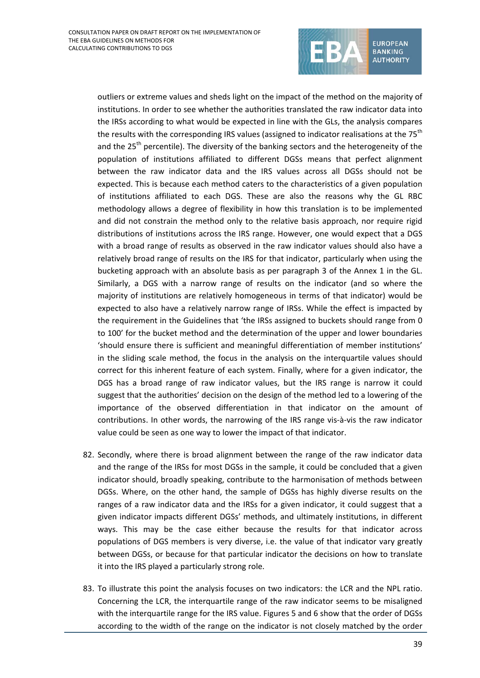

outliers or extreme values and sheds light on the impact of the method on the majority of institutions. In order to see whether the authorities translated the raw indicator data into the IRSs according to what would be expected in line with the GLs, the analysis compares the results with the corresponding IRS values (assigned to indicator realisations at the  $75<sup>th</sup>$ and the  $25<sup>th</sup>$  percentile). The diversity of the banking sectors and the heterogeneity of the population of institutions affiliated to different DGSs means that perfect alignment between the raw indicator data and the IRS values across all DGSs should not be expected. This is because each method caters to the characteristics of a given population of institutions affiliated to each DGS. These are also the reasons why the GL RBC methodology allows a degree of flexibility in how this translation is to be implemented and did not constrain the method only to the relative basis approach, nor require rigid distributions of institutions across the IRS range. However, one would expect that a DGS with a broad range of results as observed in the raw indicator values should also have a relatively broad range of results on the IRS for that indicator, particularly when using the bucketing approach with an absolute basis as per paragraph 3 of the Annex 1 in the GL. Similarly, a DGS with a narrow range of results on the indicator (and so where the majority of institutions are relatively homogeneous in terms of that indicator) would be expected to also have a relatively narrow range of IRSs. While the effect is impacted by the requirement in the Guidelines that 'the IRSs assigned to buckets should range from 0 to 100' for the bucket method and the determination of the upper and lower boundaries 'should ensure there is sufficient and meaningful differentiation of member institutions' in the sliding scale method, the focus in the analysis on the interquartile values should correct for this inherent feature of each system. Finally, where for a given indicator, the DGS has a broad range of raw indicator values, but the IRS range is narrow it could suggest that the authorities' decision on the design of the method led to a lowering of the importance of the observed differentiation in that indicator on the amount of contributions. In other words, the narrowing of the IRS range vis-à-vis the raw indicator value could be seen as one way to lower the impact of that indicator.

- 82. Secondly, where there is broad alignment between the range of the raw indicator data and the range of the IRSs for most DGSs in the sample, it could be concluded that a given indicator should, broadly speaking, contribute to the harmonisation of methods between DGSs. Where, on the other hand, the sample of DGSs has highly diverse results on the ranges of a raw indicator data and the IRSs for a given indicator, it could suggest that a given indicator impacts different DGSs' methods, and ultimately institutions, in different ways. This may be the case either because the results for that indicator across populations of DGS members is very diverse, i.e. the value of that indicator vary greatly between DGSs, or because for that particular indicator the decisions on how to translate it into the IRS played a particularly strong role.
- 83. To illustrate this point the analysis focuses on two indicators: the LCR and the NPL ratio. Concerning the LCR, the interquartile range of the raw indicator seems to be misaligned with the interquartile range for the IRS value. Figures 5 and 6 show that the order of DGSs according to the width of the range on the indicator is not closely matched by the order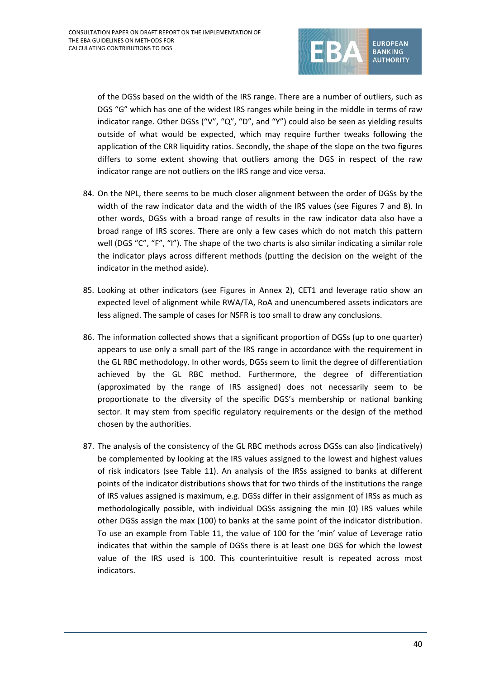

of the DGSs based on the width of the IRS range. There are a number of outliers, such as DGS "G" which has one of the widest IRS ranges while being in the middle in terms of raw indicator range. Other DGSs ("V", "Q", "D", and "Y") could also be seen as yielding results outside of what would be expected, which may require further tweaks following the application of the CRR liquidity ratios. Secondly, the shape of the slope on the two figures differs to some extent showing that outliers among the DGS in respect of the raw indicator range are not outliers on the IRS range and vice versa.

- 84. On the NPL, there seems to be much closer alignment between the order of DGSs by the width of the raw indicator data and the width of the IRS values (see Figures 7 and 8). In other words, DGSs with a broad range of results in the raw indicator data also have a broad range of IRS scores. There are only a few cases which do not match this pattern well (DGS "C", "F", "I"). The shape of the two charts is also similar indicating a similar role the indicator plays across different methods (putting the decision on the weight of the indicator in the method aside).
- 85. Looking at other indicators (see Figures in Annex 2), CET1 and leverage ratio show an expected level of alignment while RWA/TA, RoA and unencumbered assets indicators are less aligned. The sample of cases for NSFR is too small to draw any conclusions.
- 86. The information collected shows that a significant proportion of DGSs (up to one quarter) appears to use only a small part of the IRS range in accordance with the requirement in the GL RBC methodology. In other words, DGSs seem to limit the degree of differentiation achieved by the GL RBC method. Furthermore, the degree of differentiation (approximated by the range of IRS assigned) does not necessarily seem to be proportionate to the diversity of the specific DGS's membership or national banking sector. It may stem from specific regulatory requirements or the design of the method chosen by the authorities.
- 87. The analysis of the consistency of the GL RBC methods across DGSs can also (indicatively) be complemented by looking at the IRS values assigned to the lowest and highest values of risk indicators (see Table 11). An analysis of the IRSs assigned to banks at different points of the indicator distributions shows that for two thirds of the institutions the range of IRS values assigned is maximum, e.g. DGSs differ in their assignment of IRSs as much as methodologically possible, with individual DGSs assigning the min (0) IRS values while other DGSs assign the max (100) to banks at the same point of the indicator distribution. To use an example from Table 11, the value of 100 for the 'min' value of Leverage ratio indicates that within the sample of DGSs there is at least one DGS for which the lowest value of the IRS used is 100. This counterintuitive result is repeated across most indicators.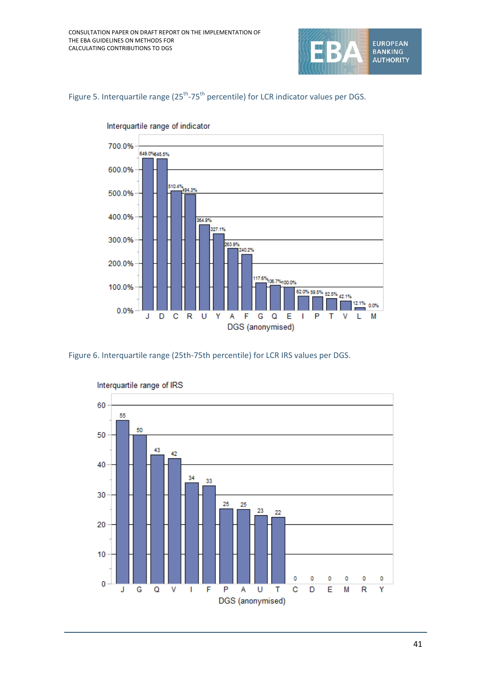

Figure 5. Interquartile range (25<sup>th</sup>-75<sup>th</sup> percentile) for LCR indicator values per DGS.



Interquartile range of indicator

Figure 6. Interquartile range (25th-75th percentile) for LCR IRS values per DGS.



Interquartile range of IRS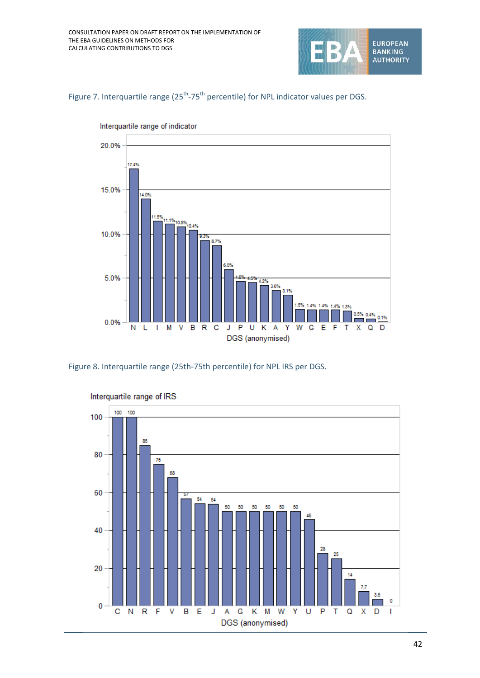





Interquartile range of indicator

Figure 8. Interquartile range (25th-75th percentile) for NPL IRS per DGS.



Interquartile range of IRS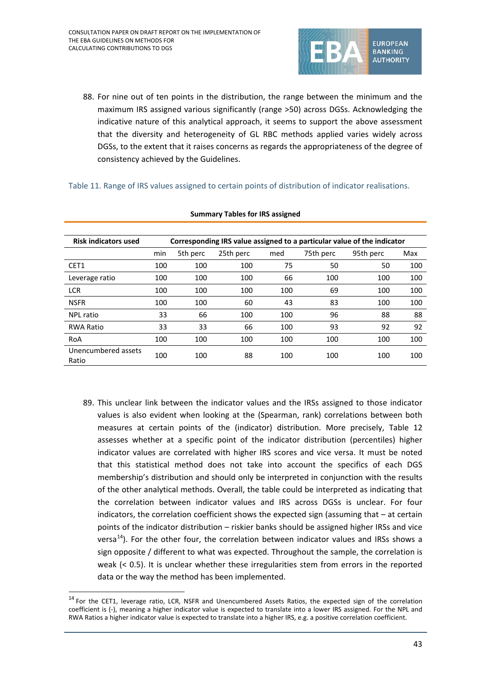

88. For nine out of ten points in the distribution, the range between the minimum and the maximum IRS assigned various significantly (range >50) across DGSs. Acknowledging the indicative nature of this analytical approach, it seems to support the above assessment that the diversity and heterogeneity of GL RBC methods applied varies widely across DGSs, to the extent that it raises concerns as regards the appropriateness of the degree of consistency achieved by the Guidelines.

Table 11. Range of IRS values assigned to certain points of distribution of indicator realisations.

| <b>Risk indicators used</b>  |     | Corresponding IRS value assigned to a particular value of the indicator |           |     |           |           |     |  |
|------------------------------|-----|-------------------------------------------------------------------------|-----------|-----|-----------|-----------|-----|--|
|                              | min | 5th perc                                                                | 25th perc | med | 75th perc | 95th perc | Max |  |
| CET1                         | 100 | 100                                                                     | 100       | 75  | 50        | 50        | 100 |  |
| Leverage ratio               | 100 | 100                                                                     | 100       | 66  | 100       | 100       | 100 |  |
| <b>LCR</b>                   | 100 | 100                                                                     | 100       | 100 | 69        | 100       | 100 |  |
| <b>NSFR</b>                  | 100 | 100                                                                     | 60        | 43  | 83        | 100       | 100 |  |
| NPL ratio                    | 33  | 66                                                                      | 100       | 100 | 96        | 88        | 88  |  |
| <b>RWA Ratio</b>             | 33  | 33                                                                      | 66        | 100 | 93        | 92        | 92  |  |
| RoA                          | 100 | 100                                                                     | 100       | 100 | 100       | 100       | 100 |  |
| Unencumbered assets<br>Ratio | 100 | 100                                                                     | 88        | 100 | 100       | 100       | 100 |  |

#### **Summary Tables for IRS assigned**

89. This unclear link between the indicator values and the IRSs assigned to those indicator values is also evident when looking at the (Spearman, rank) correlations between both measures at certain points of the (indicator) distribution. More precisely, Table 12 assesses whether at a specific point of the indicator distribution (percentiles) higher indicator values are correlated with higher IRS scores and vice versa. It must be noted that this statistical method does not take into account the specifics of each DGS membership's distribution and should only be interpreted in conjunction with the results of the other analytical methods. Overall, the table could be interpreted as indicating that the correlation between indicator values and IRS across DGSs is unclear. For four indicators, the correlation coefficient shows the expected sign (assuming that – at certain points of the indicator distribution – riskier banks should be assigned higher IRSs and vice versa $^{14}$ ). For the other four, the correlation between indicator values and IRSs shows a sign opposite / different to what was expected. Throughout the sample, the correlation is weak (< 0.5). It is unclear whether these irregularities stem from errors in the reported data or the way the method has been implemented.

j

<span id="page-42-0"></span><sup>&</sup>lt;sup>14</sup> For the CET1, leverage ratio, LCR, NSFR and Unencumbered Assets Ratios, the expected sign of the correlation coefficient is (-), meaning a higher indicator value is expected to translate into a lower IRS assigned. For the NPL and RWA Ratios a higher indicator value is expected to translate into a higher IRS, e.g. a positive correlation coefficient.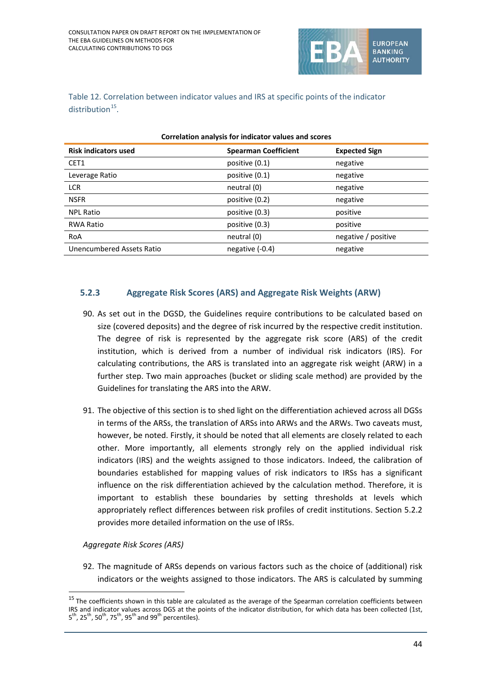

Table 12. Correlation between indicator values and IRS at specific points of the indicator distribution $15$ .

| <b>Risk indicators used</b> | <b>Spearman Coefficient</b> | <b>Expected Sign</b> |  |  |  |
|-----------------------------|-----------------------------|----------------------|--|--|--|
| CET1                        | positive (0.1)              | negative             |  |  |  |
| Leverage Ratio              | positive (0.1)              | negative             |  |  |  |
| <b>LCR</b>                  | neutral (0)                 | negative             |  |  |  |
| <b>NSFR</b>                 | positive (0.2)              | negative             |  |  |  |
| <b>NPL Ratio</b>            | positive (0.3)              | positive             |  |  |  |
| <b>RWA Ratio</b>            | positive (0.3)              | positive             |  |  |  |
| RoA                         | neutral (0)                 | negative / positive  |  |  |  |
| Unencumbered Assets Ratio   | negative (-0.4)             | negative             |  |  |  |
|                             |                             |                      |  |  |  |

### **Correlation analysis for indicator values and scores**

#### **5.2.3 Aggregate Risk Scores (ARS) and Aggregate Risk Weights (ARW)**

- 90. As set out in the DGSD, the Guidelines require contributions to be calculated based on size (covered deposits) and the degree of risk incurred by the respective credit institution. The degree of risk is represented by the aggregate risk score (ARS) of the credit institution, which is derived from a number of individual risk indicators (IRS). For calculating contributions, the ARS is translated into an aggregate risk weight (ARW) in a further step. Two main approaches (bucket or sliding scale method) are provided by the Guidelines for translating the ARS into the ARW.
- 91. The objective of this section is to shed light on the differentiation achieved across all DGSs in terms of the ARSs, the translation of ARSs into ARWs and the ARWs. Two caveats must, however, be noted. Firstly, it should be noted that all elements are closely related to each other. More importantly, all elements strongly rely on the applied individual risk indicators (IRS) and the weights assigned to those indicators. Indeed, the calibration of boundaries established for mapping values of risk indicators to IRSs has a significant influence on the risk differentiation achieved by the calculation method. Therefore, it is important to establish these boundaries by setting thresholds at levels which appropriately reflect differences between risk profiles of credit institutions. Section 5.2.2 provides more detailed information on the use of IRSs.

*Aggregate Risk Scores (ARS)*

j

92. The magnitude of ARSs depends on various factors such as the choice of (additional) risk indicators or the weights assigned to those indicators. The ARS is calculated by summing

<span id="page-43-0"></span> $15$  The coefficients shown in this table are calculated as the average of the Spearman correlation coefficients between IRS and indicator values across DGS at the points of the indicator distribution, for which data has been collected (1st,  $5^{th}$ , 25<sup>th</sup>, 50<sup>th</sup>, 75<sup>th</sup>, 95<sup>th</sup> and 99<sup>th</sup> percentiles).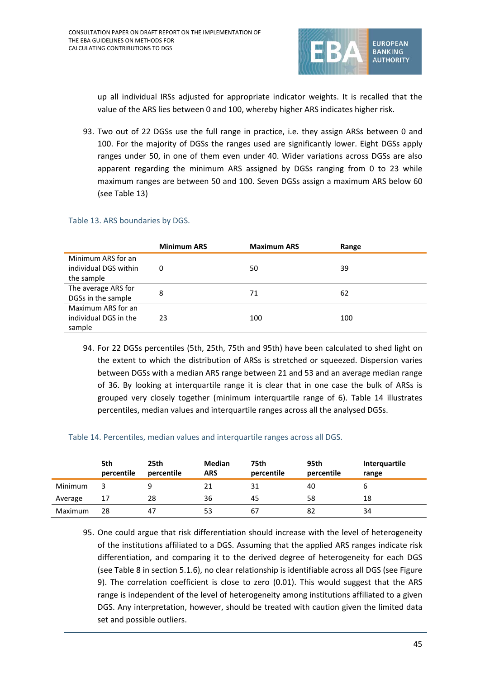

up all individual IRSs adjusted for appropriate indicator weights. It is recalled that the value of the ARS lies between 0 and 100, whereby higher ARS indicates higher risk.

93. Two out of 22 DGSs use the full range in practice, i.e. they assign ARSs between 0 and 100. For the majority of DGSs the ranges used are significantly lower. Eight DGSs apply ranges under 50, in one of them even under 40. Wider variations across DGSs are also apparent regarding the minimum ARS assigned by DGSs ranging from 0 to 23 while maximum ranges are between 50 and 100. Seven DGSs assign a maximum ARS below 60 (see Table 13)

#### Table 13. ARS boundaries by DGS.

|                       | <b>Minimum ARS</b> | <b>Maximum ARS</b> | Range |
|-----------------------|--------------------|--------------------|-------|
| Minimum ARS for an    |                    |                    |       |
| individual DGS within | 0                  | 50                 | 39    |
| the sample            |                    |                    |       |
| The average ARS for   | 8                  | 71                 | 62    |
| DGSs in the sample    |                    |                    |       |
| Maximum ARS for an    |                    |                    |       |
| individual DGS in the | 23                 | 100                | 100   |
| sample                |                    |                    |       |

94. For 22 DGSs percentiles (5th, 25th, 75th and 95th) have been calculated to shed light on the extent to which the distribution of ARSs is stretched or squeezed. Dispersion varies between DGSs with a median ARS range between 21 and 53 and an average median range of 36. By looking at interquartile range it is clear that in one case the bulk of ARSs is grouped very closely together (minimum interquartile range of 6). Table 14 illustrates percentiles, median values and interquartile ranges across all the analysed DGSs.

#### Table 14. Percentiles, median values and interquartile ranges across all DGS.

|         | 5th<br>percentile | 25th<br>percentile | <b>Median</b><br><b>ARS</b> | 75th<br>percentile | 95th<br>percentile | Interquartile<br>range |
|---------|-------------------|--------------------|-----------------------------|--------------------|--------------------|------------------------|
| Minimum |                   |                    |                             | 31                 | 40                 |                        |
| Average | 17                | 28                 | 36                          | 45                 | 58                 | 18                     |
| Maximum | 28                | 47                 | 53                          | 67                 | 82                 | 34                     |

95. One could argue that risk differentiation should increase with the level of heterogeneity of the institutions affiliated to a DGS. Assuming that the applied ARS ranges indicate risk differentiation, and comparing it to the derived degree of heterogeneity for each DGS (see Table 8 in section 5.1.6), no clear relationship is identifiable across all DGS (see Figure 9). The correlation coefficient is close to zero (0.01). This would suggest that the ARS range is independent of the level of heterogeneity among institutions affiliated to a given DGS. Any interpretation, however, should be treated with caution given the limited data set and possible outliers.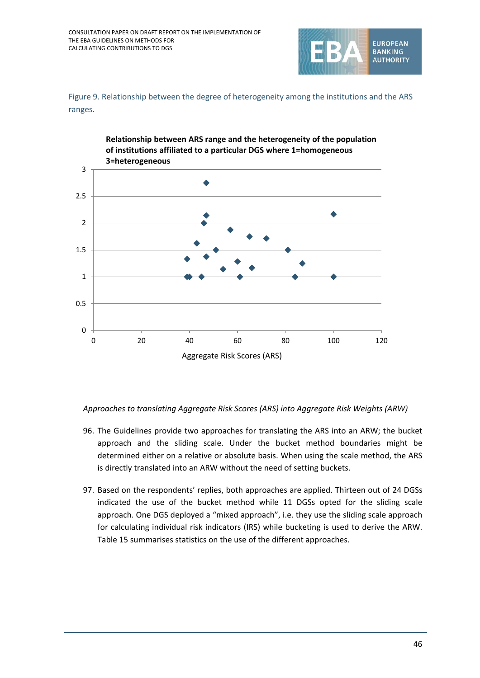

Figure 9. Relationship between the degree of heterogeneity among the institutions and the ARS ranges.



*Approaches to translating Aggregate Risk Scores (ARS) into Aggregate Risk Weights (ARW)*

- 96. The Guidelines provide two approaches for translating the ARS into an ARW; the bucket approach and the sliding scale. Under the bucket method boundaries might be determined either on a relative or absolute basis. When using the scale method, the ARS is directly translated into an ARW without the need of setting buckets.
- 97. Based on the respondents' replies, both approaches are applied. Thirteen out of 24 DGSs indicated the use of the bucket method while 11 DGSs opted for the sliding scale approach. One DGS deployed a "mixed approach", i.e. they use the sliding scale approach for calculating individual risk indicators (IRS) while bucketing is used to derive the ARW. Table 15 summarises statistics on the use of the different approaches.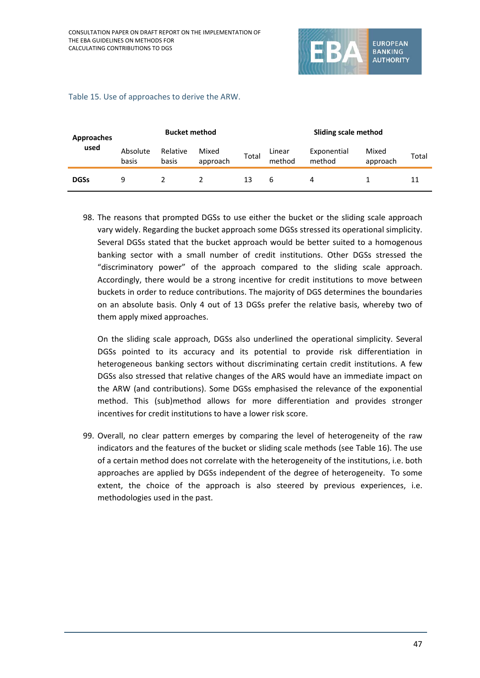

| <b>Bucket method</b><br><b>Approaches</b> |                   |                   | <b>Sliding scale method</b> |       |                  |                       |                   |       |
|-------------------------------------------|-------------------|-------------------|-----------------------------|-------|------------------|-----------------------|-------------------|-------|
| used                                      | Absolute<br>basis | Relative<br>basis | Mixed<br>approach           | Total | Linear<br>method | Exponential<br>method | Mixed<br>approach | Total |
| <b>DGSs</b>                               | q                 |                   |                             |       | b                | 4                     |                   |       |

#### Table 15. Use of approaches to derive the ARW.

98. The reasons that prompted DGSs to use either the bucket or the sliding scale approach vary widely. Regarding the bucket approach some DGSs stressed its operational simplicity. Several DGSs stated that the bucket approach would be better suited to a homogenous banking sector with a small number of credit institutions. Other DGSs stressed the "discriminatory power" of the approach compared to the sliding scale approach. Accordingly, there would be a strong incentive for credit institutions to move between buckets in order to reduce contributions. The majority of DGS determines the boundaries on an absolute basis. Only 4 out of 13 DGSs prefer the relative basis, whereby two of them apply mixed approaches.

On the sliding scale approach, DGSs also underlined the operational simplicity. Several DGSs pointed to its accuracy and its potential to provide risk differentiation in heterogeneous banking sectors without discriminating certain credit institutions. A few DGSs also stressed that relative changes of the ARS would have an immediate impact on the ARW (and contributions). Some DGSs emphasised the relevance of the exponential method. This (sub)method allows for more differentiation and provides stronger incentives for credit institutions to have a lower risk score.

99. Overall, no clear pattern emerges by comparing the level of heterogeneity of the raw indicators and the features of the bucket or sliding scale methods (see Table 16). The use of a certain method does not correlate with the heterogeneity of the institutions, i.e. both approaches are applied by DGSs independent of the degree of heterogeneity. To some extent, the choice of the approach is also steered by previous experiences, i.e. methodologies used in the past.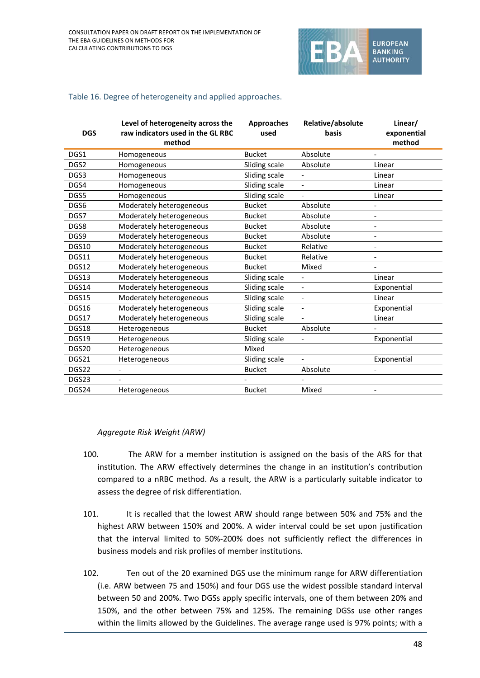

#### Table 16. Degree of heterogeneity and applied approaches.

| <b>DGS</b> | Level of heterogeneity across the<br>raw indicators used in the GL RBC<br>method | <b>Approaches</b><br>used | Relative/absolute<br>basis | Linear/<br>exponential<br>method |
|------------|----------------------------------------------------------------------------------|---------------------------|----------------------------|----------------------------------|
| DGS1       | Homogeneous                                                                      | <b>Bucket</b>             | Absolute                   |                                  |
| DGS2       | Homogeneous                                                                      | Sliding scale             | Absolute                   | Linear                           |
| DGS3       | Homogeneous                                                                      | Sliding scale             | $\overline{\phantom{a}}$   | Linear                           |
| DGS4       | Homogeneous                                                                      | Sliding scale             | $\overline{\phantom{a}}$   | Linear                           |
| DGS5       | Homogeneous                                                                      | Sliding scale             |                            | Linear                           |
| DGS6       | Moderately heterogeneous                                                         | <b>Bucket</b>             | Absolute                   |                                  |
| DGS7       | Moderately heterogeneous                                                         | <b>Bucket</b>             | Absolute                   | $\frac{1}{2}$                    |
| DGS8       | Moderately heterogeneous                                                         | <b>Bucket</b>             | Absolute                   | $\overline{\phantom{a}}$         |
| DGS9       | Moderately heterogeneous                                                         | <b>Bucket</b>             | Absolute                   | $\frac{1}{2}$                    |
| DGS10      | Moderately heterogeneous                                                         | <b>Bucket</b>             | Relative                   | $\qquad \qquad \blacksquare$     |
| DGS11      | Moderately heterogeneous                                                         | <b>Bucket</b>             | Relative                   | $\overline{\phantom{a}}$         |
| DGS12      | Moderately heterogeneous                                                         | <b>Bucket</b>             | Mixed                      |                                  |
| DGS13      | Moderately heterogeneous                                                         | Sliding scale             |                            | Linear                           |
| DGS14      | Moderately heterogeneous                                                         | Sliding scale             | $\overline{\phantom{a}}$   | Exponential                      |
| DGS15      | Moderately heterogeneous                                                         | Sliding scale             | $\overline{\phantom{a}}$   | Linear                           |
| DGS16      | Moderately heterogeneous                                                         | Sliding scale             | $\overline{\phantom{a}}$   | Exponential                      |
| DGS17      | Moderately heterogeneous                                                         | Sliding scale             |                            | Linear                           |
| DGS18      | Heterogeneous                                                                    | <b>Bucket</b>             | Absolute                   |                                  |
| DGS19      | Heterogeneous                                                                    | Sliding scale             |                            | Exponential                      |
| DGS20      | Heterogeneous                                                                    | Mixed                     |                            |                                  |
| DGS21      | Heterogeneous                                                                    | Sliding scale             |                            | Exponential                      |
| DGS22      |                                                                                  | <b>Bucket</b>             | Absolute                   | $\qquad \qquad -$                |
| DGS23      |                                                                                  |                           |                            |                                  |
| DGS24      | Heterogeneous                                                                    | <b>Bucket</b>             | Mixed                      | $\overline{\phantom{a}}$         |

#### *Aggregate Risk Weight (ARW)*

- 100. The ARW for a member institution is assigned on the basis of the ARS for that institution. The ARW effectively determines the change in an institution's contribution compared to a nRBC method. As a result, the ARW is a particularly suitable indicator to assess the degree of risk differentiation.
- 101. It is recalled that the lowest ARW should range between 50% and 75% and the highest ARW between 150% and 200%. A wider interval could be set upon justification that the interval limited to 50%-200% does not sufficiently reflect the differences in business models and risk profiles of member institutions.
- 102. Ten out of the 20 examined DGS use the minimum range for ARW differentiation (i.e. ARW between 75 and 150%) and four DGS use the widest possible standard interval between 50 and 200%. Two DGSs apply specific intervals, one of them between 20% and 150%, and the other between 75% and 125%. The remaining DGSs use other ranges within the limits allowed by the Guidelines. The average range used is 97% points; with a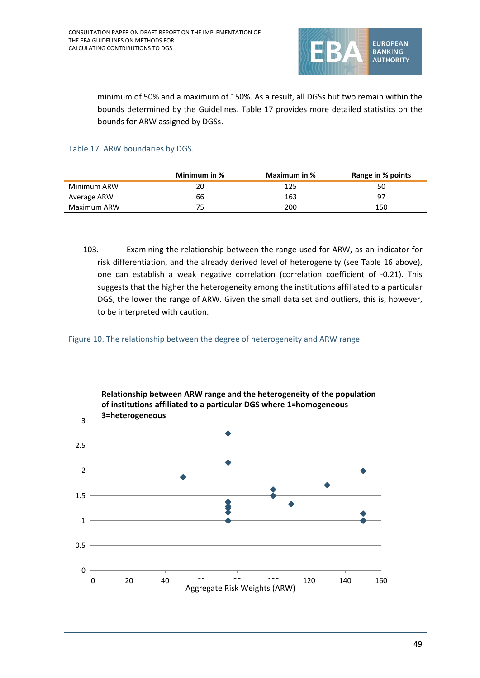

minimum of 50% and a maximum of 150%. As a result, all DGSs but two remain within the bounds determined by the Guidelines. Table 17 provides more detailed statistics on the bounds for ARW assigned by DGSs.

#### Table 17. ARW boundaries by DGS.

|             | Minimum in % | Maximum in % | Range in % points |
|-------------|--------------|--------------|-------------------|
| Minimum ARW | 20           | 125          | 50                |
| Average ARW | 66           | 163          |                   |
| Maximum ARW |              | 200          | 150               |

103. Examining the relationship between the range used for ARW, as an indicator for risk differentiation, and the already derived level of heterogeneity (see Table 16 above), one can establish a weak negative correlation (correlation coefficient of -0.21). This suggests that the higher the heterogeneity among the institutions affiliated to a particular DGS, the lower the range of ARW. Given the small data set and outliers, this is, however, to be interpreted with caution.

Figure 10. The relationship between the degree of heterogeneity and ARW range.

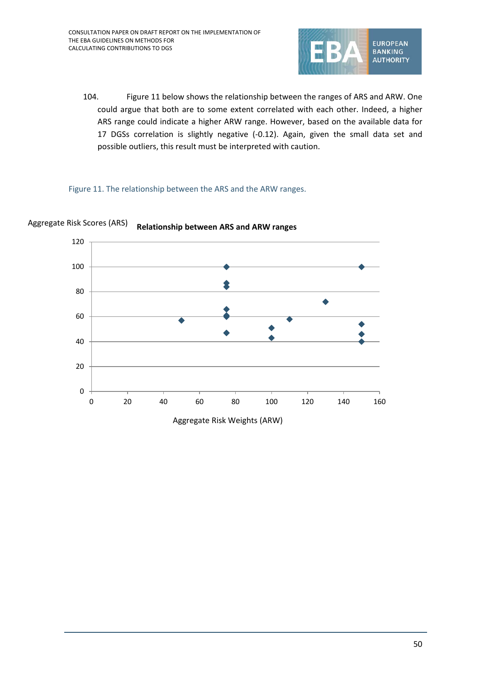

104. Figure 11 below shows the relationship between the ranges of ARS and ARW. One could argue that both are to some extent correlated with each other. Indeed, a higher ARS range could indicate a higher ARW range. However, based on the available data for 17 DGSs correlation is slightly negative (-0.12). Again, given the small data set and possible outliers, this result must be interpreted with caution.

#### Figure 11. The relationship between the ARS and the ARW ranges.



#### **Relationship between ARS and ARW ranges** Aggregate Risk Scores (ARS)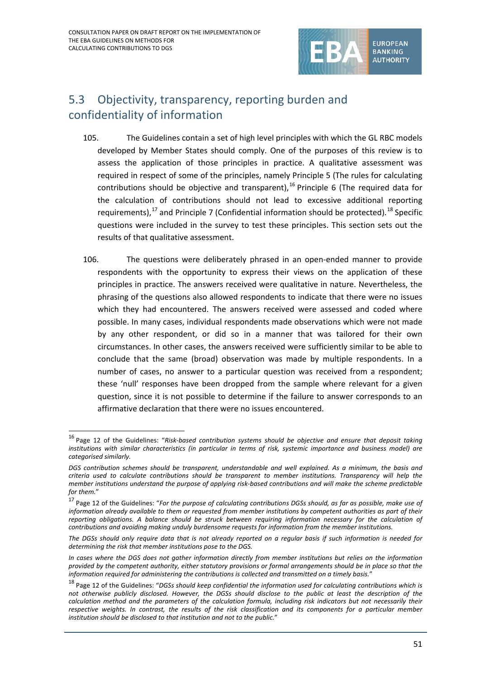$\overline{a}$ 



## 5.3 Objectivity, transparency, reporting burden and confidentiality of information

- 105. The Guidelines contain a set of high level principles with which the GL RBC models developed by Member States should comply. One of the purposes of this review is to assess the application of those principles in practice. A qualitative assessment was required in respect of some of the principles, namely Principle 5 (The rules for calculating contributions should be objective and transparent),  $^{16}$  $^{16}$  $^{16}$  Principle 6 (The required data for the calculation of contributions should not lead to excessive additional reporting requirements), $^{17}$  $^{17}$  $^{17}$  and Principle 7 (Confidential information should be protected).  $^{18}$  $^{18}$  $^{18}$  Specific questions were included in the survey to test these principles. This section sets out the results of that qualitative assessment.
- 106. The questions were deliberately phrased in an open-ended manner to provide respondents with the opportunity to express their views on the application of these principles in practice. The answers received were qualitative in nature. Nevertheless, the phrasing of the questions also allowed respondents to indicate that there were no issues which they had encountered. The answers received were assessed and coded where possible. In many cases, individual respondents made observations which were not made by any other respondent, or did so in a manner that was tailored for their own circumstances. In other cases, the answers received were sufficiently similar to be able to conclude that the same (broad) observation was made by multiple respondents. In a number of cases, no answer to a particular question was received from a respondent; these 'null' responses have been dropped from the sample where relevant for a given question, since it is not possible to determine if the failure to answer corresponds to an affirmative declaration that there were no issues encountered.

<span id="page-50-0"></span><sup>16</sup> Page 12 of the Guidelines: "*Risk-based contribution systems should be objective and ensure that deposit taking institutions with similar characteristics (in particular in terms of risk, systemic importance and business model) are categorised similarly.*

*DGS contribution schemes should be transparent, understandable and well explained. As a minimum, the basis and criteria used to calculate contributions should be transparent to member institutions. Transparency will help the member institutions understand the purpose of applying risk-based contributions and will make the scheme predictable for them.*"

<span id="page-50-1"></span><sup>17</sup> Page 12 of the Guidelines: "*For the purpose of calculating contributions DGSs should, as far as possible, make use of information already available to them or requested from member institutions by competent authorities as part of their reporting obligations. A balance should be struck between requiring information necessary for the calculation of contributions and avoiding making unduly burdensome requests for information from the member institutions.*

*The DGSs should only require data that is not already reported on a regular basis if such information is needed for determining the risk that member institutions pose to the DGS.*

*In cases where the DGS does not gather information directly from member institutions but relies on the information provided by the competent authority, either statutory provisions or formal arrangements should be in place so that the information required for administering the contributions is collected and transmitted on a timely basis.*"

<span id="page-50-2"></span><sup>18</sup> Page 12 of the Guidelines: "*DGSs should keep confidential the information used for calculating contributions which is not otherwise publicly disclosed. However, the DGSs should disclose to the public at least the description of the calculation method and the parameters of the calculation formula, including risk indicators but not necessarily their respective weights. In contrast, the results of the risk classification and its components for a particular member institution should be disclosed to that institution and not to the public.*"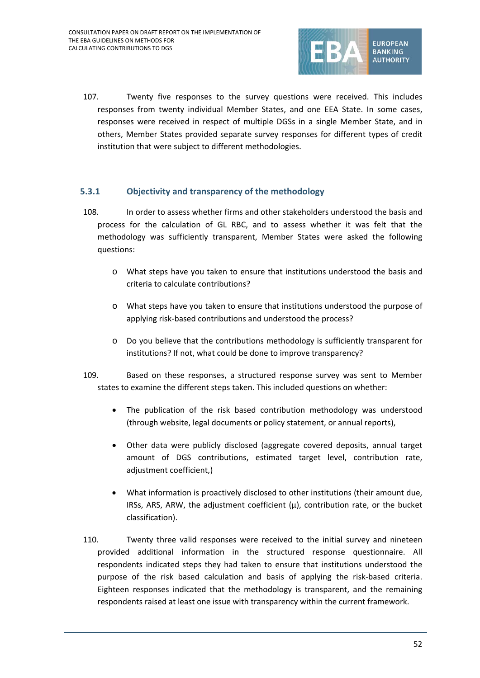

107. Twenty five responses to the survey questions were received. This includes responses from twenty individual Member States, and one EEA State. In some cases, responses were received in respect of multiple DGSs in a single Member State, and in others, Member States provided separate survey responses for different types of credit institution that were subject to different methodologies.

#### **5.3.1 Objectivity and transparency of the methodology**

- 108. In order to assess whether firms and other stakeholders understood the basis and process for the calculation of GL RBC, and to assess whether it was felt that the methodology was sufficiently transparent, Member States were asked the following questions:
	- o What steps have you taken to ensure that institutions understood the basis and criteria to calculate contributions?
	- o What steps have you taken to ensure that institutions understood the purpose of applying risk-based contributions and understood the process?
	- $\circ$  Do you believe that the contributions methodology is sufficiently transparent for institutions? If not, what could be done to improve transparency?
- 109. Based on these responses, a structured response survey was sent to Member states to examine the different steps taken. This included questions on whether:
	- The publication of the risk based contribution methodology was understood (through website, legal documents or policy statement, or annual reports),
	- Other data were publicly disclosed (aggregate covered deposits, annual target amount of DGS contributions, estimated target level, contribution rate, adjustment coefficient,)
	- What information is proactively disclosed to other institutions (their amount due, IRSs, ARS, ARW, the adjustment coefficient  $(\mu)$ , contribution rate, or the bucket classification).
- 110. Twenty three valid responses were received to the initial survey and nineteen provided additional information in the structured response questionnaire. All respondents indicated steps they had taken to ensure that institutions understood the purpose of the risk based calculation and basis of applying the risk-based criteria. Eighteen responses indicated that the methodology is transparent, and the remaining respondents raised at least one issue with transparency within the current framework.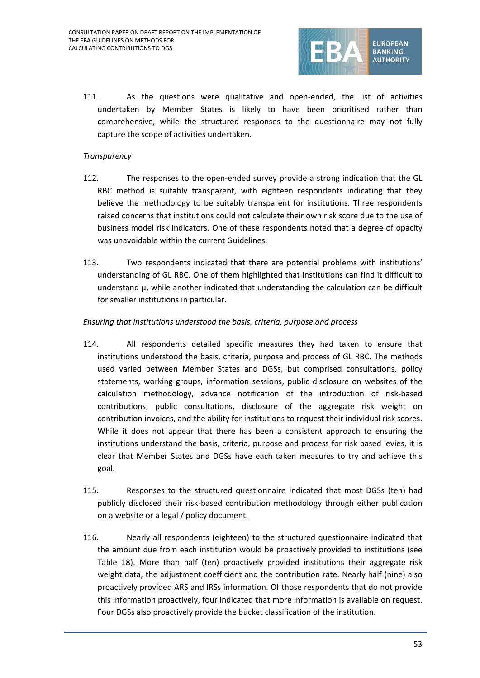

111. As the questions were qualitative and open-ended, the list of activities undertaken by Member States is likely to have been prioritised rather than comprehensive, while the structured responses to the questionnaire may not fully capture the scope of activities undertaken.

#### *Transparency*

- 112. The responses to the open-ended survey provide a strong indication that the GL RBC method is suitably transparent, with eighteen respondents indicating that they believe the methodology to be suitably transparent for institutions. Three respondents raised concerns that institutions could not calculate their own risk score due to the use of business model risk indicators. One of these respondents noted that a degree of opacity was unavoidable within the current Guidelines.
- 113. Two respondents indicated that there are potential problems with institutions' understanding of GL RBC. One of them highlighted that institutions can find it difficult to understand μ, while another indicated that understanding the calculation can be difficult for smaller institutions in particular.

#### *Ensuring that institutions understood the basis, criteria, purpose and process*

- 114. All respondents detailed specific measures they had taken to ensure that institutions understood the basis, criteria, purpose and process of GL RBC. The methods used varied between Member States and DGSs, but comprised consultations, policy statements, working groups, information sessions, public disclosure on websites of the calculation methodology, advance notification of the introduction of risk-based contributions, public consultations, disclosure of the aggregate risk weight on contribution invoices, and the ability for institutions to request their individual risk scores. While it does not appear that there has been a consistent approach to ensuring the institutions understand the basis, criteria, purpose and process for risk based levies, it is clear that Member States and DGSs have each taken measures to try and achieve this goal.
- 115. Responses to the structured questionnaire indicated that most DGSs (ten) had publicly disclosed their risk-based contribution methodology through either publication on a website or a legal / policy document.
- 116. Nearly all respondents (eighteen) to the structured questionnaire indicated that the amount due from each institution would be proactively provided to institutions (see Table 18). More than half (ten) proactively provided institutions their aggregate risk weight data, the adjustment coefficient and the contribution rate. Nearly half (nine) also proactively provided ARS and IRSs information. Of those respondents that do not provide this information proactively, four indicated that more information is available on request. Four DGSs also proactively provide the bucket classification of the institution.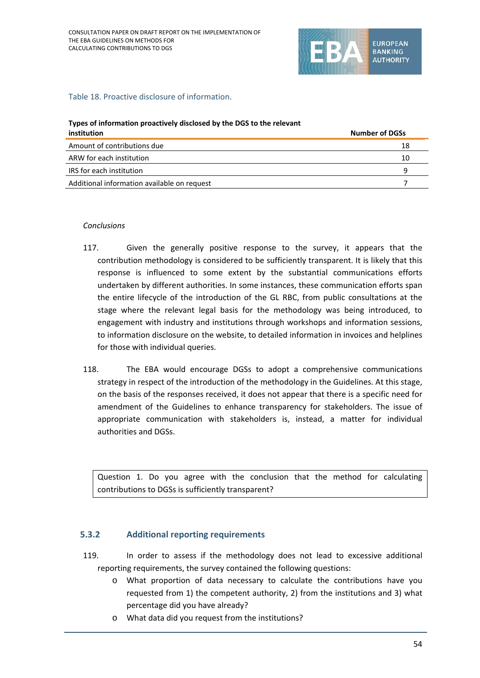

#### Table 18. Proactive disclosure of information.

#### **Types of information proactively disclosed by the DGS to the relevant**

| institution                                 | <b>Number of DGSs</b> |
|---------------------------------------------|-----------------------|
| Amount of contributions due                 | 18                    |
| ARW for each institution                    | 10                    |
| IRS for each institution                    | q                     |
| Additional information available on request |                       |

#### *Conclusions*

- 117. Given the generally positive response to the survey, it appears that the contribution methodology is considered to be sufficiently transparent. It is likely that this response is influenced to some extent by the substantial communications efforts undertaken by different authorities. In some instances, these communication efforts span the entire lifecycle of the introduction of the GL RBC, from public consultations at the stage where the relevant legal basis for the methodology was being introduced, to engagement with industry and institutions through workshops and information sessions, to information disclosure on the website, to detailed information in invoices and helplines for those with individual queries.
- 118. The EBA would encourage DGSs to adopt a comprehensive communications strategy in respect of the introduction of the methodology in the Guidelines. At this stage, on the basis of the responses received, it does not appear that there is a specific need for amendment of the Guidelines to enhance transparency for stakeholders. The issue of appropriate communication with stakeholders is, instead, a matter for individual authorities and DGSs.

Question 1. Do you agree with the conclusion that the method for calculating contributions to DGSs is sufficiently transparent?

#### **5.3.2 Additional reporting requirements**

- 119. In order to assess if the methodology does not lead to excessive additional reporting requirements, the survey contained the following questions:
	- o What proportion of data necessary to calculate the contributions have you requested from 1) the competent authority, 2) from the institutions and 3) what percentage did you have already?
	- o What data did you request from the institutions?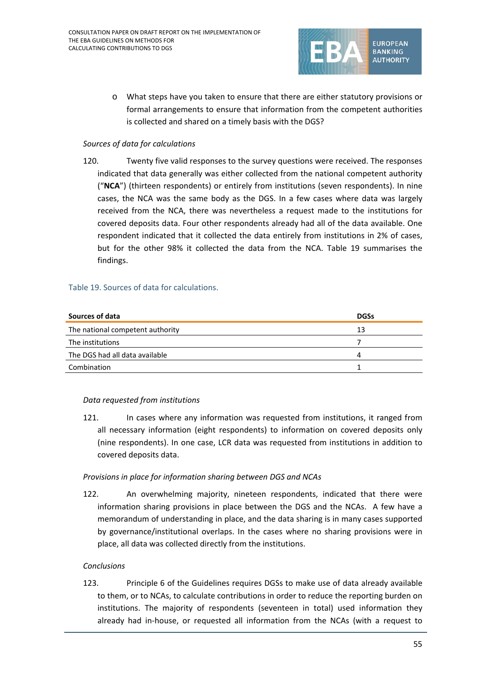

o What steps have you taken to ensure that there are either statutory provisions or formal arrangements to ensure that information from the competent authorities is collected and shared on a timely basis with the DGS?

#### *Sources of data for calculations*

120. Twenty five valid responses to the survey questions were received. The responses indicated that data generally was either collected from the national competent authority ("**NCA**") (thirteen respondents) or entirely from institutions (seven respondents). In nine cases, the NCA was the same body as the DGS. In a few cases where data was largely received from the NCA, there was nevertheless a request made to the institutions for covered deposits data. Four other respondents already had all of the data available. One respondent indicated that it collected the data entirely from institutions in 2% of cases, but for the other 98% it collected the data from the NCA. Table 19 summarises the findings.

#### Table 19. Sources of data for calculations.

| Sources of data                  | <b>DGSs</b> |
|----------------------------------|-------------|
| The national competent authority | 13          |
| The institutions                 |             |
| The DGS had all data available   | Δ           |
| Combination                      |             |

#### *Data requested from institutions*

121. In cases where any information was requested from institutions, it ranged from all necessary information (eight respondents) to information on covered deposits only (nine respondents). In one case, LCR data was requested from institutions in addition to covered deposits data.

#### *Provisions in place for information sharing between DGS and NCAs*

122. An overwhelming majority, nineteen respondents, indicated that there were information sharing provisions in place between the DGS and the NCAs. A few have a memorandum of understanding in place, and the data sharing is in many cases supported by governance/institutional overlaps. In the cases where no sharing provisions were in place, all data was collected directly from the institutions.

#### *Conclusions*

123. Principle 6 of the Guidelines requires DGSs to make use of data already available to them, or to NCAs, to calculate contributions in order to reduce the reporting burden on institutions. The majority of respondents (seventeen in total) used information they already had in-house, or requested all information from the NCAs (with a request to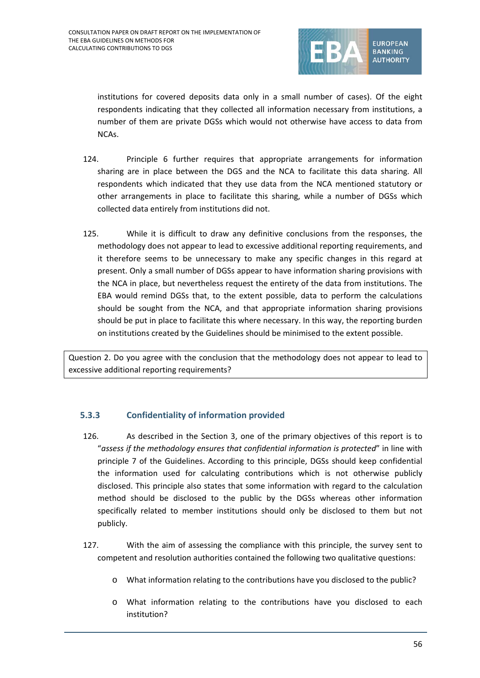

institutions for covered deposits data only in a small number of cases). Of the eight respondents indicating that they collected all information necessary from institutions, a number of them are private DGSs which would not otherwise have access to data from NCAs.

- 124. Principle 6 further requires that appropriate arrangements for information sharing are in place between the DGS and the NCA to facilitate this data sharing. All respondents which indicated that they use data from the NCA mentioned statutory or other arrangements in place to facilitate this sharing, while a number of DGSs which collected data entirely from institutions did not.
- 125. While it is difficult to draw any definitive conclusions from the responses, the methodology does not appear to lead to excessive additional reporting requirements, and it therefore seems to be unnecessary to make any specific changes in this regard at present. Only a small number of DGSs appear to have information sharing provisions with the NCA in place, but nevertheless request the entirety of the data from institutions. The EBA would remind DGSs that, to the extent possible, data to perform the calculations should be sought from the NCA, and that appropriate information sharing provisions should be put in place to facilitate this where necessary. In this way, the reporting burden on institutions created by the Guidelines should be minimised to the extent possible.

Question 2. Do you agree with the conclusion that the methodology does not appear to lead to excessive additional reporting requirements?

#### **5.3.3 Confidentiality of information provided**

- 126. As described in the Section 3, one of the primary objectives of this report is to "*assess if the methodology ensures that confidential information is protected*" in line with principle 7 of the Guidelines. According to this principle, DGSs should keep confidential the information used for calculating contributions which is not otherwise publicly disclosed. This principle also states that some information with regard to the calculation method should be disclosed to the public by the DGSs whereas other information specifically related to member institutions should only be disclosed to them but not publicly.
- 127. With the aim of assessing the compliance with this principle, the survey sent to competent and resolution authorities contained the following two qualitative questions:
	- o What information relating to the contributions have you disclosed to the public?
	- o What information relating to the contributions have you disclosed to each institution?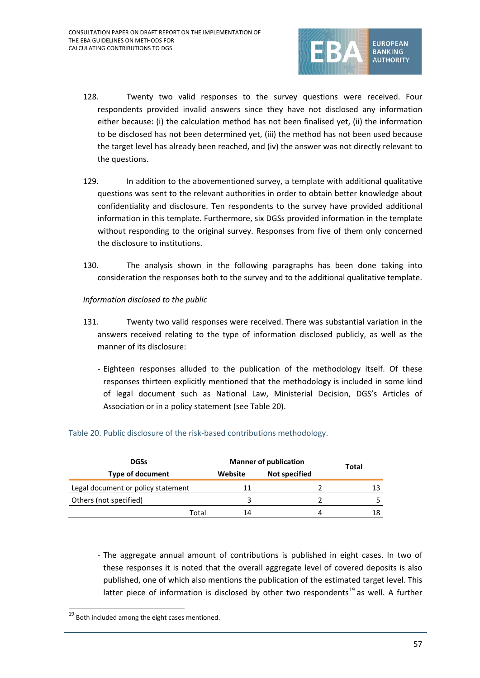

- 128. Twenty two valid responses to the survey questions were received. Four respondents provided invalid answers since they have not disclosed any information either because: (i) the calculation method has not been finalised yet, (ii) the information to be disclosed has not been determined yet, (iii) the method has not been used because the target level has already been reached, and (iv) the answer was not directly relevant to the questions.
- 129. In addition to the abovementioned survey, a template with additional qualitative questions was sent to the relevant authorities in order to obtain better knowledge about confidentiality and disclosure. Ten respondents to the survey have provided additional information in this template. Furthermore, six DGSs provided information in the template without responding to the original survey. Responses from five of them only concerned the disclosure to institutions.
- 130. The analysis shown in the following paragraphs has been done taking into consideration the responses both to the survey and to the additional qualitative template.
- *Information disclosed to the public*
- 131. Twenty two valid responses were received. There was substantial variation in the answers received relating to the type of information disclosed publicly, as well as the manner of its disclosure:
	- Eighteen responses alluded to the publication of the methodology itself. Of these responses thirteen explicitly mentioned that the methodology is included in some kind of legal document such as National Law, Ministerial Decision, DGS's Articles of Association or in a policy statement (see Table 20).

| <b>DGSs</b>                        |         | <b>Manner of publication</b> |       |  |
|------------------------------------|---------|------------------------------|-------|--|
| <b>Type of document</b>            | Website | <b>Not specified</b>         | Total |  |
| Legal document or policy statement | 11      |                              | 13    |  |
| Others (not specified)             |         |                              |       |  |
| Total                              | 14      |                              | 18    |  |

#### Table 20. Public disclosure of the risk-based contributions methodology.

- The aggregate annual amount of contributions is published in eight cases. In two of these responses it is noted that the overall aggregate level of covered deposits is also published, one of which also mentions the publication of the estimated target level. This latter piece of information is disclosed by other two respondents<sup>[19](#page-56-0)</sup> as well. A further

 $\overline{a}$ 

<span id="page-56-0"></span> $19$  Both included among the eight cases mentioned.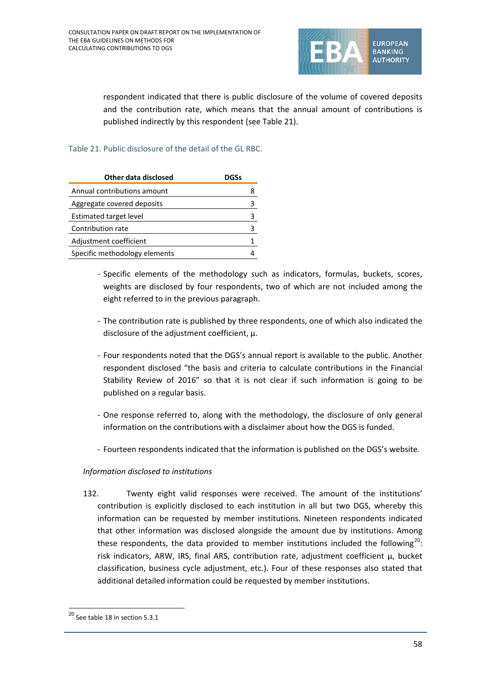

respondent indicated that there is public disclosure of the volume of covered deposits and the contribution rate, which means that the annual amount of contributions is published indirectly by this respondent (see Table 21).

#### Table 21. Public disclosure of the detail of the GL RBC.

| Other data disclosed          | DGSs |
|-------------------------------|------|
| Annual contributions amount   |      |
| Aggregate covered deposits    |      |
| <b>Estimated target level</b> |      |
| Contribution rate             |      |
| Adjustment coefficient        |      |
| Specific methodology elements |      |

- Specific elements of the methodology such as indicators, formulas, buckets, scores, weights are disclosed by four respondents, two of which are not included among the eight referred to in the previous paragraph.
- The contribution rate is published by three respondents, one of which also indicated the disclosure of the adjustment coefficient, μ.
- Four respondents noted that the DGS's annual report is available to the public. Another respondent disclosed "the basis and criteria to calculate contributions in the Financial Stability Review of 2016" so that it is not clear if such information is going to be published on a regular basis.
- One response referred to, along with the methodology, the disclosure of only general information on the contributions with a disclaimer about how the DGS is funded.
- Fourteen respondents indicated that the information is published on the DGS's website.

#### *Information disclosed to institutions*

132. Twenty eight valid responses were received. The amount of the institutions' contribution is explicitly disclosed to each institution in all but two DGS, whereby this information can be requested by member institutions. Nineteen respondents indicated that other information was disclosed alongside the amount due by institutions. Among these respondents, the data provided to member institutions included the following<sup>[20](#page-57-0)</sup>: risk indicators, ARW, IRS, final ARS, contribution rate, adjustment coefficient μ, bucket classification, business cycle adjustment, etc.). Four of these responses also stated that additional detailed information could be requested by member institutions.

 $\overline{a}$ 

<span id="page-57-0"></span><sup>20</sup> See table 18 in section 5.3.1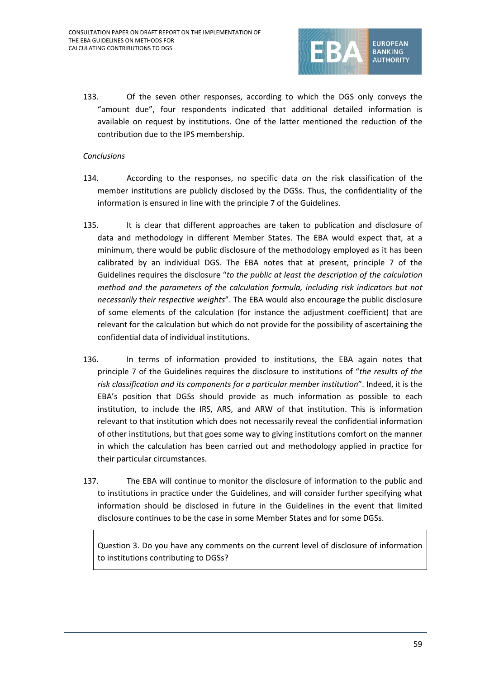

133. Of the seven other responses, according to which the DGS only conveys the "amount due", four respondents indicated that additional detailed information is available on request by institutions. One of the latter mentioned the reduction of the contribution due to the IPS membership.

#### *Conclusions*

- 134. According to the responses, no specific data on the risk classification of the member institutions are publicly disclosed by the DGSs. Thus, the confidentiality of the information is ensured in line with the principle 7 of the Guidelines.
- 135. It is clear that different approaches are taken to publication and disclosure of data and methodology in different Member States. The EBA would expect that, at a minimum, there would be public disclosure of the methodology employed as it has been calibrated by an individual DGS. The EBA notes that at present, principle 7 of the Guidelines requires the disclosure "*to the public at least the description of the calculation method and the parameters of the calculation formula, including risk indicators but not necessarily their respective weights*". The EBA would also encourage the public disclosure of some elements of the calculation (for instance the adjustment coefficient) that are relevant for the calculation but which do not provide for the possibility of ascertaining the confidential data of individual institutions.
- 136. In terms of information provided to institutions, the EBA again notes that principle 7 of the Guidelines requires the disclosure to institutions of "*the results of the risk classification and its components for a particular member institution*". Indeed, it is the EBA's position that DGSs should provide as much information as possible to each institution, to include the IRS, ARS, and ARW of that institution. This is information relevant to that institution which does not necessarily reveal the confidential information of other institutions, but that goes some way to giving institutions comfort on the manner in which the calculation has been carried out and methodology applied in practice for their particular circumstances.
- 137. The EBA will continue to monitor the disclosure of information to the public and to institutions in practice under the Guidelines, and will consider further specifying what information should be disclosed in future in the Guidelines in the event that limited disclosure continues to be the case in some Member States and for some DGSs.

Question 3. Do you have any comments on the current level of disclosure of information to institutions contributing to DGSs?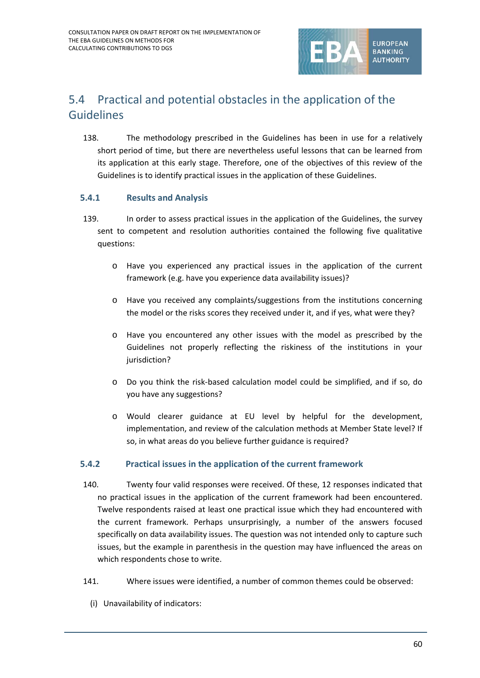

## 5.4 Practical and potential obstacles in the application of the Guidelines

138. The methodology prescribed in the Guidelines has been in use for a relatively short period of time, but there are nevertheless useful lessons that can be learned from its application at this early stage. Therefore, one of the objectives of this review of the Guidelines is to identify practical issues in the application of these Guidelines.

#### **5.4.1 Results and Analysis**

- 139. In order to assess practical issues in the application of the Guidelines, the survey sent to competent and resolution authorities contained the following five qualitative questions:
	- o Have you experienced any practical issues in the application of the current framework (e.g. have you experience data availability issues)?
	- o Have you received any complaints/suggestions from the institutions concerning the model or the risks scores they received under it, and if yes, what were they?
	- o Have you encountered any other issues with the model as prescribed by the Guidelines not properly reflecting the riskiness of the institutions in your jurisdiction?
	- o Do you think the risk-based calculation model could be simplified, and if so, do you have any suggestions?
	- o Would clearer guidance at EU level by helpful for the development, implementation, and review of the calculation methods at Member State level? If so, in what areas do you believe further guidance is required?

#### **5.4.2 Practical issues in the application of the current framework**

- 140. Twenty four valid responses were received. Of these, 12 responses indicated that no practical issues in the application of the current framework had been encountered. Twelve respondents raised at least one practical issue which they had encountered with the current framework. Perhaps unsurprisingly, a number of the answers focused specifically on data availability issues. The question was not intended only to capture such issues, but the example in parenthesis in the question may have influenced the areas on which respondents chose to write.
- 141. Where issues were identified, a number of common themes could be observed:
	- (i) Unavailability of indicators: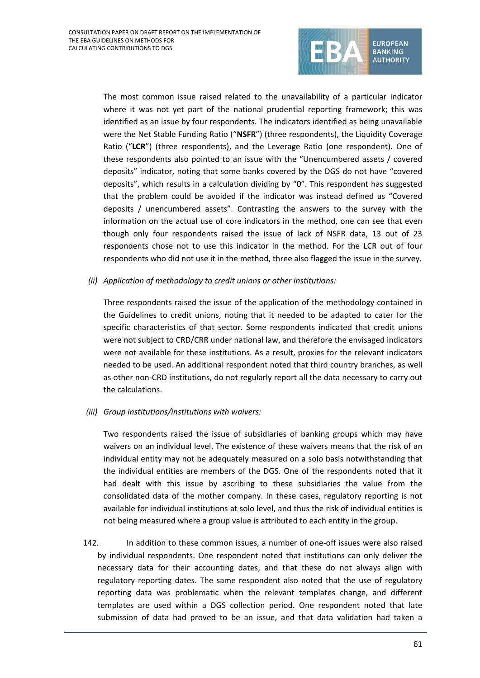

The most common issue raised related to the unavailability of a particular indicator where it was not yet part of the national prudential reporting framework; this was identified as an issue by four respondents. The indicators identified as being unavailable were the Net Stable Funding Ratio ("**NSFR**") (three respondents), the Liquidity Coverage Ratio ("**LCR**") (three respondents), and the Leverage Ratio (one respondent). One of these respondents also pointed to an issue with the "Unencumbered assets / covered deposits" indicator, noting that some banks covered by the DGS do not have "covered deposits", which results in a calculation dividing by "0". This respondent has suggested that the problem could be avoided if the indicator was instead defined as "Covered deposits / unencumbered assets". Contrasting the answers to the survey with the information on the actual use of core indicators in the method, one can see that even though only four respondents raised the issue of lack of NSFR data, 13 out of 23 respondents chose not to use this indicator in the method. For the LCR out of four respondents who did not use it in the method, three also flagged the issue in the survey.

*(ii) Application of methodology to credit unions or other institutions:*

Three respondents raised the issue of the application of the methodology contained in the Guidelines to credit unions, noting that it needed to be adapted to cater for the specific characteristics of that sector. Some respondents indicated that credit unions were not subject to CRD/CRR under national law, and therefore the envisaged indicators were not available for these institutions. As a result, proxies for the relevant indicators needed to be used. An additional respondent noted that third country branches, as well as other non-CRD institutions, do not regularly report all the data necessary to carry out the calculations.

*(iii) Group institutions/institutions with waivers:*

Two respondents raised the issue of subsidiaries of banking groups which may have waivers on an individual level. The existence of these waivers means that the risk of an individual entity may not be adequately measured on a solo basis notwithstanding that the individual entities are members of the DGS. One of the respondents noted that it had dealt with this issue by ascribing to these subsidiaries the value from the consolidated data of the mother company. In these cases, regulatory reporting is not available for individual institutions at solo level, and thus the risk of individual entities is not being measured where a group value is attributed to each entity in the group.

142. In addition to these common issues, a number of one-off issues were also raised by individual respondents. One respondent noted that institutions can only deliver the necessary data for their accounting dates, and that these do not always align with regulatory reporting dates. The same respondent also noted that the use of regulatory reporting data was problematic when the relevant templates change, and different templates are used within a DGS collection period. One respondent noted that late submission of data had proved to be an issue, and that data validation had taken a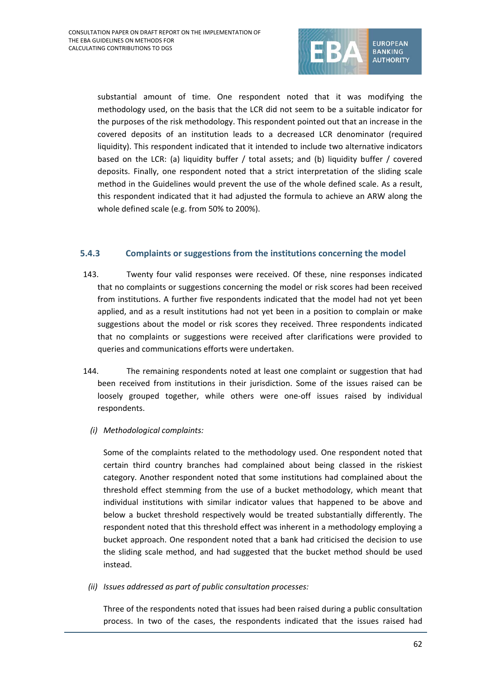

substantial amount of time. One respondent noted that it was modifying the methodology used, on the basis that the LCR did not seem to be a suitable indicator for the purposes of the risk methodology. This respondent pointed out that an increase in the covered deposits of an institution leads to a decreased LCR denominator (required liquidity). This respondent indicated that it intended to include two alternative indicators based on the LCR: (a) liquidity buffer / total assets; and (b) liquidity buffer / covered deposits. Finally, one respondent noted that a strict interpretation of the sliding scale method in the Guidelines would prevent the use of the whole defined scale. As a result, this respondent indicated that it had adjusted the formula to achieve an ARW along the whole defined scale (e.g. from 50% to 200%).

#### **5.4.3 Complaints or suggestions from the institutions concerning the model**

- 143. Twenty four valid responses were received. Of these, nine responses indicated that no complaints or suggestions concerning the model or risk scores had been received from institutions. A further five respondents indicated that the model had not yet been applied, and as a result institutions had not yet been in a position to complain or make suggestions about the model or risk scores they received. Three respondents indicated that no complaints or suggestions were received after clarifications were provided to queries and communications efforts were undertaken.
- 144. The remaining respondents noted at least one complaint or suggestion that had been received from institutions in their jurisdiction. Some of the issues raised can be loosely grouped together, while others were one-off issues raised by individual respondents.
	- *(i) Methodological complaints:*

Some of the complaints related to the methodology used. One respondent noted that certain third country branches had complained about being classed in the riskiest category. Another respondent noted that some institutions had complained about the threshold effect stemming from the use of a bucket methodology, which meant that individual institutions with similar indicator values that happened to be above and below a bucket threshold respectively would be treated substantially differently. The respondent noted that this threshold effect was inherent in a methodology employing a bucket approach. One respondent noted that a bank had criticised the decision to use the sliding scale method, and had suggested that the bucket method should be used instead.

*(ii) Issues addressed as part of public consultation processes:*

Three of the respondents noted that issues had been raised during a public consultation process. In two of the cases, the respondents indicated that the issues raised had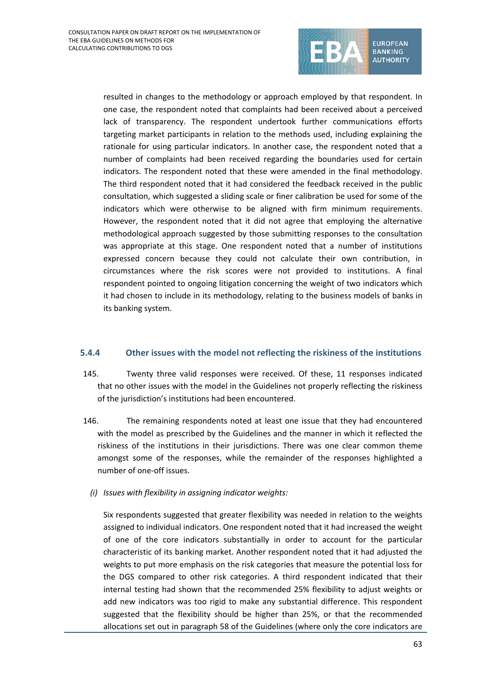

resulted in changes to the methodology or approach employed by that respondent. In one case, the respondent noted that complaints had been received about a perceived lack of transparency. The respondent undertook further communications efforts targeting market participants in relation to the methods used, including explaining the rationale for using particular indicators. In another case, the respondent noted that a number of complaints had been received regarding the boundaries used for certain indicators. The respondent noted that these were amended in the final methodology. The third respondent noted that it had considered the feedback received in the public consultation, which suggested a sliding scale or finer calibration be used for some of the indicators which were otherwise to be aligned with firm minimum requirements. However, the respondent noted that it did not agree that employing the alternative methodological approach suggested by those submitting responses to the consultation was appropriate at this stage. One respondent noted that a number of institutions expressed concern because they could not calculate their own contribution, in circumstances where the risk scores were not provided to institutions. A final respondent pointed to ongoing litigation concerning the weight of two indicators which it had chosen to include in its methodology, relating to the business models of banks in its banking system.

#### **5.4.4 Other issues with the model not reflecting the riskiness of the institutions**

- 145. Twenty three valid responses were received. Of these, 11 responses indicated that no other issues with the model in the Guidelines not properly reflecting the riskiness of the jurisdiction's institutions had been encountered.
- 146. The remaining respondents noted at least one issue that they had encountered with the model as prescribed by the Guidelines and the manner in which it reflected the riskiness of the institutions in their jurisdictions. There was one clear common theme amongst some of the responses, while the remainder of the responses highlighted a number of one-off issues.
	- *(i) Issues with flexibility in assigning indicator weights:*

Six respondents suggested that greater flexibility was needed in relation to the weights assigned to individual indicators. One respondent noted that it had increased the weight of one of the core indicators substantially in order to account for the particular characteristic of its banking market. Another respondent noted that it had adjusted the weights to put more emphasis on the risk categories that measure the potential loss for the DGS compared to other risk categories. A third respondent indicated that their internal testing had shown that the recommended 25% flexibility to adjust weights or add new indicators was too rigid to make any substantial difference. This respondent suggested that the flexibility should be higher than 25%, or that the recommended allocations set out in paragraph 58 of the Guidelines (where only the core indicators are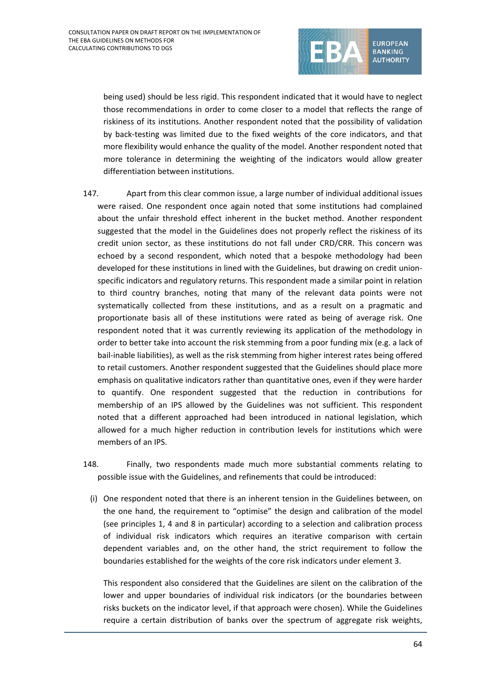

being used) should be less rigid. This respondent indicated that it would have to neglect those recommendations in order to come closer to a model that reflects the range of riskiness of its institutions. Another respondent noted that the possibility of validation by back-testing was limited due to the fixed weights of the core indicators, and that more flexibility would enhance the quality of the model. Another respondent noted that more tolerance in determining the weighting of the indicators would allow greater differentiation between institutions.

- 147. Apart from this clear common issue, a large number of individual additional issues were raised. One respondent once again noted that some institutions had complained about the unfair threshold effect inherent in the bucket method. Another respondent suggested that the model in the Guidelines does not properly reflect the riskiness of its credit union sector, as these institutions do not fall under CRD/CRR. This concern was echoed by a second respondent, which noted that a bespoke methodology had been developed for these institutions in lined with the Guidelines, but drawing on credit unionspecific indicators and regulatory returns. This respondent made a similar point in relation to third country branches, noting that many of the relevant data points were not systematically collected from these institutions, and as a result on a pragmatic and proportionate basis all of these institutions were rated as being of average risk. One respondent noted that it was currently reviewing its application of the methodology in order to better take into account the risk stemming from a poor funding mix (e.g. a lack of bail-inable liabilities), as well as the risk stemming from higher interest rates being offered to retail customers. Another respondent suggested that the Guidelines should place more emphasis on qualitative indicators rather than quantitative ones, even if they were harder to quantify. One respondent suggested that the reduction in contributions for membership of an IPS allowed by the Guidelines was not sufficient. This respondent noted that a different approached had been introduced in national legislation, which allowed for a much higher reduction in contribution levels for institutions which were members of an IPS.
- 148. Finally, two respondents made much more substantial comments relating to possible issue with the Guidelines, and refinements that could be introduced:
	- (i) One respondent noted that there is an inherent tension in the Guidelines between, on the one hand, the requirement to "optimise" the design and calibration of the model (see principles 1, 4 and 8 in particular) according to a selection and calibration process of individual risk indicators which requires an iterative comparison with certain dependent variables and, on the other hand, the strict requirement to follow the boundaries established for the weights of the core risk indicators under element 3.

This respondent also considered that the Guidelines are silent on the calibration of the lower and upper boundaries of individual risk indicators (or the boundaries between risks buckets on the indicator level, if that approach were chosen). While the Guidelines require a certain distribution of banks over the spectrum of aggregate risk weights,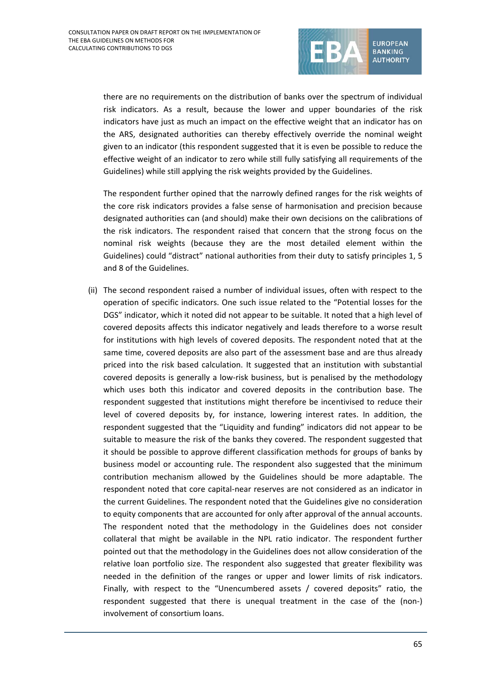

there are no requirements on the distribution of banks over the spectrum of individual risk indicators. As a result, because the lower and upper boundaries of the risk indicators have just as much an impact on the effective weight that an indicator has on the ARS, designated authorities can thereby effectively override the nominal weight given to an indicator (this respondent suggested that it is even be possible to reduce the effective weight of an indicator to zero while still fully satisfying all requirements of the Guidelines) while still applying the risk weights provided by the Guidelines.

The respondent further opined that the narrowly defined ranges for the risk weights of the core risk indicators provides a false sense of harmonisation and precision because designated authorities can (and should) make their own decisions on the calibrations of the risk indicators. The respondent raised that concern that the strong focus on the nominal risk weights (because they are the most detailed element within the Guidelines) could "distract" national authorities from their duty to satisfy principles 1, 5 and 8 of the Guidelines.

(ii) The second respondent raised a number of individual issues, often with respect to the operation of specific indicators. One such issue related to the "Potential losses for the DGS" indicator, which it noted did not appear to be suitable. It noted that a high level of covered deposits affects this indicator negatively and leads therefore to a worse result for institutions with high levels of covered deposits. The respondent noted that at the same time, covered deposits are also part of the assessment base and are thus already priced into the risk based calculation. It suggested that an institution with substantial covered deposits is generally a low-risk business, but is penalised by the methodology which uses both this indicator and covered deposits in the contribution base. The respondent suggested that institutions might therefore be incentivised to reduce their level of covered deposits by, for instance, lowering interest rates. In addition, the respondent suggested that the "Liquidity and funding" indicators did not appear to be suitable to measure the risk of the banks they covered. The respondent suggested that it should be possible to approve different classification methods for groups of banks by business model or accounting rule. The respondent also suggested that the minimum contribution mechanism allowed by the Guidelines should be more adaptable. The respondent noted that core capital-near reserves are not considered as an indicator in the current Guidelines. The respondent noted that the Guidelines give no consideration to equity components that are accounted for only after approval of the annual accounts. The respondent noted that the methodology in the Guidelines does not consider collateral that might be available in the NPL ratio indicator. The respondent further pointed out that the methodology in the Guidelines does not allow consideration of the relative loan portfolio size. The respondent also suggested that greater flexibility was needed in the definition of the ranges or upper and lower limits of risk indicators. Finally, with respect to the "Unencumbered assets / covered deposits" ratio, the respondent suggested that there is unequal treatment in the case of the (non-) involvement of consortium loans.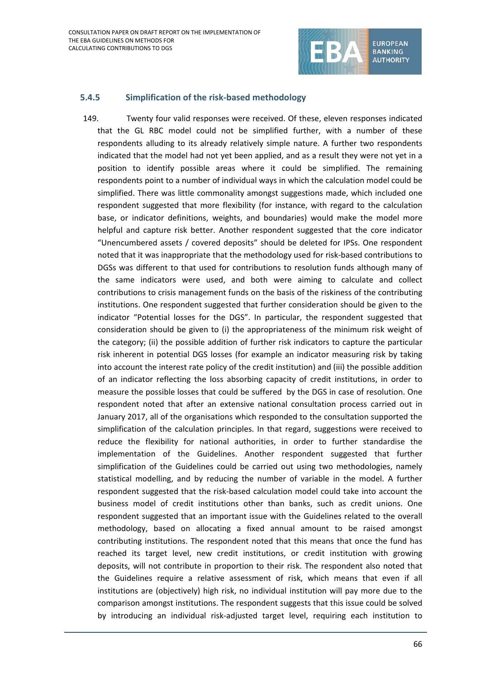

#### **5.4.5 Simplification of the risk-based methodology**

149. Twenty four valid responses were received. Of these, eleven responses indicated that the GL RBC model could not be simplified further, with a number of these respondents alluding to its already relatively simple nature. A further two respondents indicated that the model had not yet been applied, and as a result they were not yet in a position to identify possible areas where it could be simplified. The remaining respondents point to a number of individual ways in which the calculation model could be simplified. There was little commonality amongst suggestions made, which included one respondent suggested that more flexibility (for instance, with regard to the calculation base, or indicator definitions, weights, and boundaries) would make the model more helpful and capture risk better. Another respondent suggested that the core indicator "Unencumbered assets / covered deposits" should be deleted for IPSs. One respondent noted that it was inappropriate that the methodology used for risk-based contributions to DGSs was different to that used for contributions to resolution funds although many of the same indicators were used, and both were aiming to calculate and collect contributions to crisis management funds on the basis of the riskiness of the contributing institutions. One respondent suggested that further consideration should be given to the indicator "Potential losses for the DGS". In particular, the respondent suggested that consideration should be given to (i) the appropriateness of the minimum risk weight of the category; (ii) the possible addition of further risk indicators to capture the particular risk inherent in potential DGS losses (for example an indicator measuring risk by taking into account the interest rate policy of the credit institution) and (iii) the possible addition of an indicator reflecting the loss absorbing capacity of credit institutions, in order to measure the possible losses that could be suffered by the DGS in case of resolution. One respondent noted that after an extensive national consultation process carried out in January 2017, all of the organisations which responded to the consultation supported the simplification of the calculation principles. In that regard, suggestions were received to reduce the flexibility for national authorities, in order to further standardise the implementation of the Guidelines. Another respondent suggested that further simplification of the Guidelines could be carried out using two methodologies, namely statistical modelling, and by reducing the number of variable in the model. A further respondent suggested that the risk-based calculation model could take into account the business model of credit institutions other than banks, such as credit unions. One respondent suggested that an important issue with the Guidelines related to the overall methodology, based on allocating a fixed annual amount to be raised amongst contributing institutions. The respondent noted that this means that once the fund has reached its target level, new credit institutions, or credit institution with growing deposits, will not contribute in proportion to their risk. The respondent also noted that the Guidelines require a relative assessment of risk, which means that even if all institutions are (objectively) high risk, no individual institution will pay more due to the comparison amongst institutions. The respondent suggests that this issue could be solved by introducing an individual risk-adjusted target level, requiring each institution to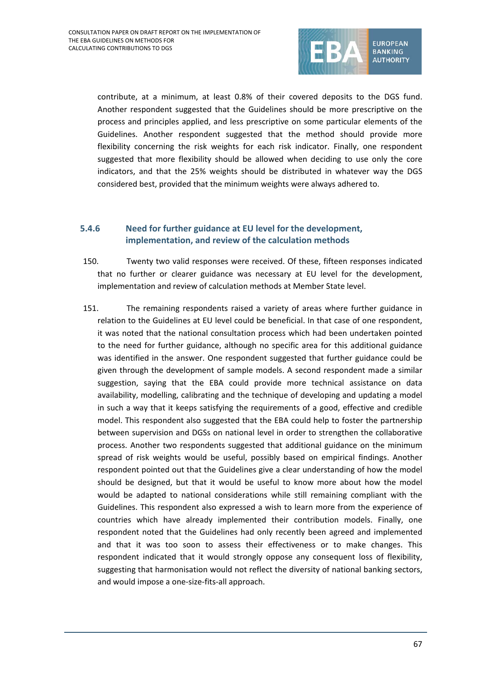

contribute, at a minimum, at least 0.8% of their covered deposits to the DGS fund. Another respondent suggested that the Guidelines should be more prescriptive on the process and principles applied, and less prescriptive on some particular elements of the Guidelines. Another respondent suggested that the method should provide more flexibility concerning the risk weights for each risk indicator. Finally, one respondent suggested that more flexibility should be allowed when deciding to use only the core indicators, and that the 25% weights should be distributed in whatever way the DGS considered best, provided that the minimum weights were always adhered to.

#### **5.4.6 Need for further guidance at EU level for the development, implementation, and review of the calculation methods**

- 150. Twenty two valid responses were received. Of these, fifteen responses indicated that no further or clearer guidance was necessary at EU level for the development, implementation and review of calculation methods at Member State level.
- 151. The remaining respondents raised a variety of areas where further guidance in relation to the Guidelines at EU level could be beneficial. In that case of one respondent, it was noted that the national consultation process which had been undertaken pointed to the need for further guidance, although no specific area for this additional guidance was identified in the answer. One respondent suggested that further guidance could be given through the development of sample models. A second respondent made a similar suggestion, saying that the EBA could provide more technical assistance on data availability, modelling, calibrating and the technique of developing and updating a model in such a way that it keeps satisfying the requirements of a good, effective and credible model. This respondent also suggested that the EBA could help to foster the partnership between supervision and DGSs on national level in order to strengthen the collaborative process. Another two respondents suggested that additional guidance on the minimum spread of risk weights would be useful, possibly based on empirical findings. Another respondent pointed out that the Guidelines give a clear understanding of how the model should be designed, but that it would be useful to know more about how the model would be adapted to national considerations while still remaining compliant with the Guidelines. This respondent also expressed a wish to learn more from the experience of countries which have already implemented their contribution models. Finally, one respondent noted that the Guidelines had only recently been agreed and implemented and that it was too soon to assess their effectiveness or to make changes. This respondent indicated that it would strongly oppose any consequent loss of flexibility, suggesting that harmonisation would not reflect the diversity of national banking sectors, and would impose a one-size-fits-all approach.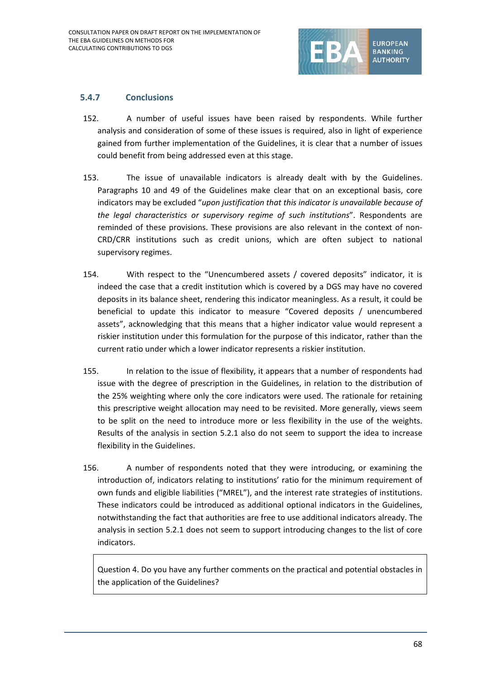

#### **5.4.7 Conclusions**

- 152. A number of useful issues have been raised by respondents. While further analysis and consideration of some of these issues is required, also in light of experience gained from further implementation of the Guidelines, it is clear that a number of issues could benefit from being addressed even at this stage.
- 153. The issue of unavailable indicators is already dealt with by the Guidelines. Paragraphs 10 and 49 of the Guidelines make clear that on an exceptional basis, core indicators may be excluded "*upon justification that this indicator is unavailable because of the legal characteristics or supervisory regime of such institutions*". Respondents are reminded of these provisions. These provisions are also relevant in the context of non-CRD/CRR institutions such as credit unions, which are often subject to national supervisory regimes.
- 154. With respect to the "Unencumbered assets / covered deposits" indicator, it is indeed the case that a credit institution which is covered by a DGS may have no covered deposits in its balance sheet, rendering this indicator meaningless. As a result, it could be beneficial to update this indicator to measure "Covered deposits / unencumbered assets", acknowledging that this means that a higher indicator value would represent a riskier institution under this formulation for the purpose of this indicator, rather than the current ratio under which a lower indicator represents a riskier institution.
- 155. In relation to the issue of flexibility, it appears that a number of respondents had issue with the degree of prescription in the Guidelines, in relation to the distribution of the 25% weighting where only the core indicators were used. The rationale for retaining this prescriptive weight allocation may need to be revisited. More generally, views seem to be split on the need to introduce more or less flexibility in the use of the weights. Results of the analysis in section 5.2.1 also do not seem to support the idea to increase flexibility in the Guidelines.
- 156. A number of respondents noted that they were introducing, or examining the introduction of, indicators relating to institutions' ratio for the minimum requirement of own funds and eligible liabilities ("MREL"), and the interest rate strategies of institutions. These indicators could be introduced as additional optional indicators in the Guidelines, notwithstanding the fact that authorities are free to use additional indicators already. The analysis in section 5.2.1 does not seem to support introducing changes to the list of core indicators.

Question 4. Do you have any further comments on the practical and potential obstacles in the application of the Guidelines?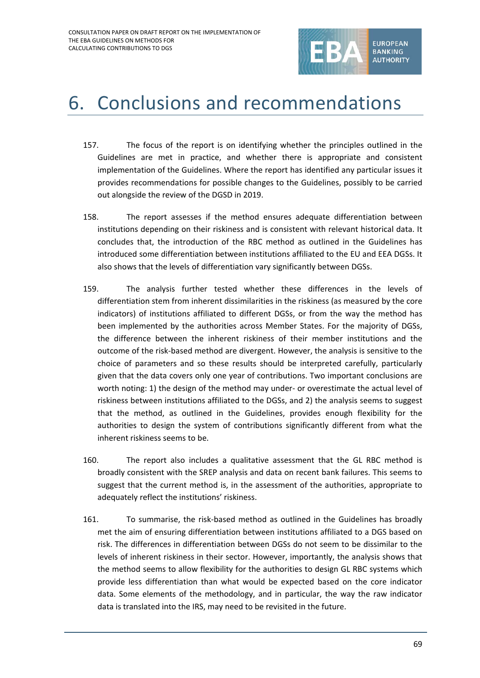

## 6. Conclusions and recommendations

- 157. The focus of the report is on identifying whether the principles outlined in the Guidelines are met in practice, and whether there is appropriate and consistent implementation of the Guidelines. Where the report has identified any particular issues it provides recommendations for possible changes to the Guidelines, possibly to be carried out alongside the review of the DGSD in 2019.
- 158. The report assesses if the method ensures adequate differentiation between institutions depending on their riskiness and is consistent with relevant historical data. It concludes that, the introduction of the RBC method as outlined in the Guidelines has introduced some differentiation between institutions affiliated to the EU and EEA DGSs. It also shows that the levels of differentiation vary significantly between DGSs.
- 159. The analysis further tested whether these differences in the levels of differentiation stem from inherent dissimilarities in the riskiness (as measured by the core indicators) of institutions affiliated to different DGSs, or from the way the method has been implemented by the authorities across Member States. For the majority of DGSs, the difference between the inherent riskiness of their member institutions and the outcome of the risk-based method are divergent. However, the analysis is sensitive to the choice of parameters and so these results should be interpreted carefully, particularly given that the data covers only one year of contributions. Two important conclusions are worth noting: 1) the design of the method may under- or overestimate the actual level of riskiness between institutions affiliated to the DGSs, and 2) the analysis seems to suggest that the method, as outlined in the Guidelines, provides enough flexibility for the authorities to design the system of contributions significantly different from what the inherent riskiness seems to be.
- 160. The report also includes a qualitative assessment that the GL RBC method is broadly consistent with the SREP analysis and data on recent bank failures. This seems to suggest that the current method is, in the assessment of the authorities, appropriate to adequately reflect the institutions' riskiness.
- 161. To summarise, the risk-based method as outlined in the Guidelines has broadly met the aim of ensuring differentiation between institutions affiliated to a DGS based on risk. The differences in differentiation between DGSs do not seem to be dissimilar to the levels of inherent riskiness in their sector. However, importantly, the analysis shows that the method seems to allow flexibility for the authorities to design GL RBC systems which provide less differentiation than what would be expected based on the core indicator data. Some elements of the methodology, and in particular, the way the raw indicator data is translated into the IRS, may need to be revisited in the future.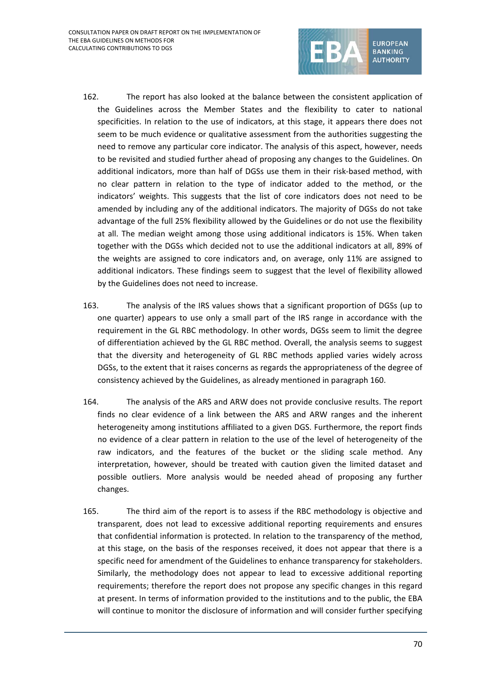

- 162. The report has also looked at the balance between the consistent application of the Guidelines across the Member States and the flexibility to cater to national specificities. In relation to the use of indicators, at this stage, it appears there does not seem to be much evidence or qualitative assessment from the authorities suggesting the need to remove any particular core indicator. The analysis of this aspect, however, needs to be revisited and studied further ahead of proposing any changes to the Guidelines. On additional indicators, more than half of DGSs use them in their risk-based method, with no clear pattern in relation to the type of indicator added to the method, or the indicators' weights. This suggests that the list of core indicators does not need to be amended by including any of the additional indicators. The majority of DGSs do not take advantage of the full 25% flexibility allowed by the Guidelines or do not use the flexibility at all. The median weight among those using additional indicators is 15%. When taken together with the DGSs which decided not to use the additional indicators at all, 89% of the weights are assigned to core indicators and, on average, only 11% are assigned to additional indicators. These findings seem to suggest that the level of flexibility allowed by the Guidelines does not need to increase.
- 163. The analysis of the IRS values shows that a significant proportion of DGSs (up to one quarter) appears to use only a small part of the IRS range in accordance with the requirement in the GL RBC methodology. In other words, DGSs seem to limit the degree of differentiation achieved by the GL RBC method. Overall, the analysis seems to suggest that the diversity and heterogeneity of GL RBC methods applied varies widely across DGSs, to the extent that it raises concerns as regards the appropriateness of the degree of consistency achieved by the Guidelines, as already mentioned in paragraph 160.
- 164. The analysis of the ARS and ARW does not provide conclusive results. The report finds no clear evidence of a link between the ARS and ARW ranges and the inherent heterogeneity among institutions affiliated to a given DGS. Furthermore, the report finds no evidence of a clear pattern in relation to the use of the level of heterogeneity of the raw indicators, and the features of the bucket or the sliding scale method. Any interpretation, however, should be treated with caution given the limited dataset and possible outliers. More analysis would be needed ahead of proposing any further changes.
- 165. The third aim of the report is to assess if the RBC methodology is objective and transparent, does not lead to excessive additional reporting requirements and ensures that confidential information is protected. In relation to the transparency of the method, at this stage, on the basis of the responses received, it does not appear that there is a specific need for amendment of the Guidelines to enhance transparency for stakeholders. Similarly, the methodology does not appear to lead to excessive additional reporting requirements; therefore the report does not propose any specific changes in this regard at present. In terms of information provided to the institutions and to the public, the EBA will continue to monitor the disclosure of information and will consider further specifying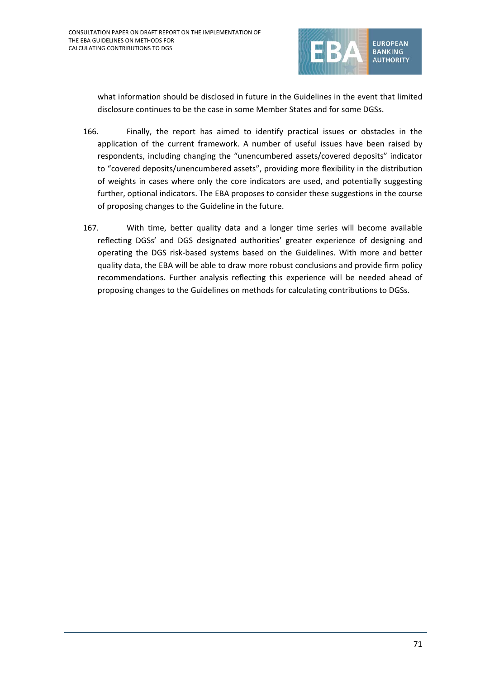

what information should be disclosed in future in the Guidelines in the event that limited disclosure continues to be the case in some Member States and for some DGSs.

- 166. Finally, the report has aimed to identify practical issues or obstacles in the application of the current framework. A number of useful issues have been raised by respondents, including changing the "unencumbered assets/covered deposits" indicator to "covered deposits/unencumbered assets", providing more flexibility in the distribution of weights in cases where only the core indicators are used, and potentially suggesting further, optional indicators. The EBA proposes to consider these suggestions in the course of proposing changes to the Guideline in the future.
- 167. With time, better quality data and a longer time series will become available reflecting DGSs' and DGS designated authorities' greater experience of designing and operating the DGS risk-based systems based on the Guidelines. With more and better quality data, the EBA will be able to draw more robust conclusions and provide firm policy recommendations. Further analysis reflecting this experience will be needed ahead of proposing changes to the Guidelines on methods for calculating contributions to DGSs.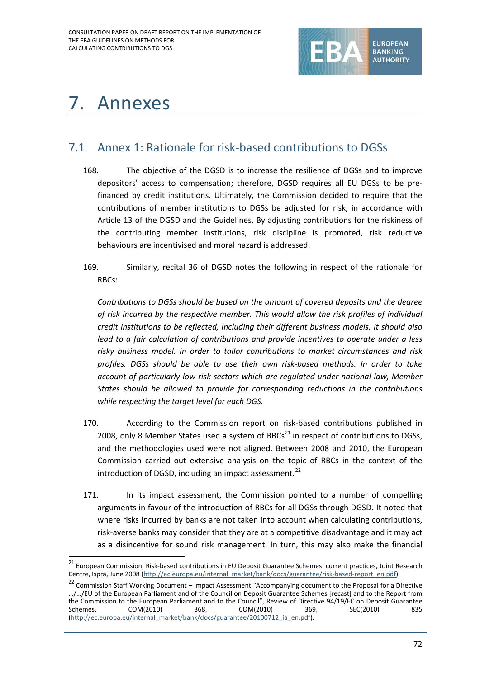

# 7. Annexes

### 7.1 Annex 1: Rationale for risk-based contributions to DGSs

- 168. The objective of the DGSD is to increase the resilience of DGSs and to improve depositors' access to compensation; therefore, DGSD requires all EU DGSs to be prefinanced by credit institutions. Ultimately, the Commission decided to require that the contributions of member institutions to DGSs be adjusted for risk, in accordance with Article 13 of the DGSD and the Guidelines. By adjusting contributions for the riskiness of the contributing member institutions, risk discipline is promoted, risk reductive behaviours are incentivised and moral hazard is addressed.
- 169. Similarly, recital 36 of DGSD notes the following in respect of the rationale for RBCs:

*Contributions to DGSs should be based on the amount of covered deposits and the degree of risk incurred by the respective member. This would allow the risk profiles of individual credit institutions to be reflected, including their different business models. It should also lead to a fair calculation of contributions and provide incentives to operate under a less risky business model. In order to tailor contributions to market circumstances and risk profiles, DGSs should be able to use their own risk-based methods. In order to take account of particularly low-risk sectors which are regulated under national law, Member States should be allowed to provide for corresponding reductions in the contributions while respecting the target level for each DGS.* 

- 170. According to the Commission report on risk-based contributions published in 2008, only 8 Member States used a system of RBCs $^{21}$  $^{21}$  $^{21}$  in respect of contributions to DGSs, and the methodologies used were not aligned. Between 2008 and 2010, the European Commission carried out extensive analysis on the topic of RBCs in the context of the introduction of DGSD, including an impact assessment. $^{22}$  $^{22}$  $^{22}$
- 171. In its impact assessment, the Commission pointed to a number of compelling arguments in favour of the introduction of RBCs for all DGSs through DGSD. It noted that where risks incurred by banks are not taken into account when calculating contributions, risk-averse banks may consider that they are at a competitive disadvantage and it may act as a disincentive for sound risk management. In turn, this may also make the financial

<span id="page-71-0"></span> <sup>21</sup> European Commission, Risk-based contributions in EU Deposit Guarantee Schemes: current practices, Joint Research Centre, Ispra, June 2008 [\(http://ec.europa.eu/internal\\_market/bank/docs/guarantee/risk-based-report\\_en.pdf\)](http://ec.europa.eu/internal_market/bank/docs/guarantee/risk-based-report_en.pdf).

<span id="page-71-1"></span><sup>&</sup>lt;sup>22</sup> Commission Staff Working Document – Impact Assessment "Accompanying document to the Proposal for a Directive …/…/EU of the European Parliament and of the Council on Deposit Guarantee Schemes [recast] and to the Report from the Commission to the European Parliament and to the Council", Review of Directive 94/19/EC on Deposit Guarantee Schemes, COM(2010) 368, COM(2010) 369, SEC(2010) 835 [\(http://ec.europa.eu/internal\\_market/bank/docs/guarantee/20100712\\_ia\\_en.pdf\)](http://ec.europa.eu/internal_market/bank/docs/guarantee/20100712_ia_en.pdf).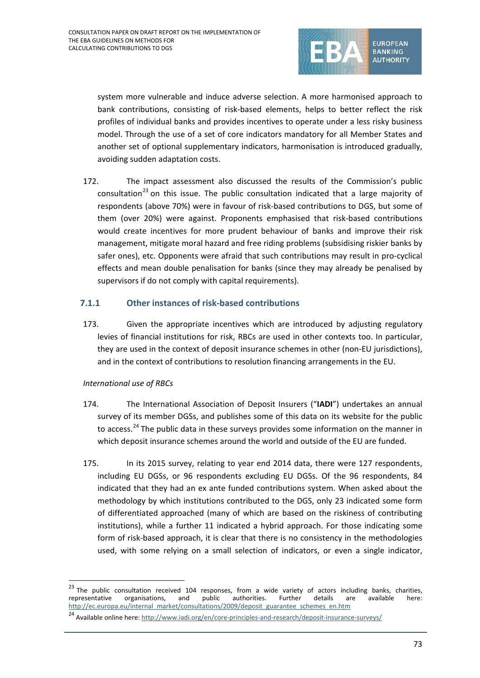

system more vulnerable and induce adverse selection. A more harmonised approach to bank contributions, consisting of risk-based elements, helps to better reflect the risk profiles of individual banks and provides incentives to operate under a less risky business model. Through the use of a set of core indicators mandatory for all Member States and another set of optional supplementary indicators, harmonisation is introduced gradually, avoiding sudden adaptation costs.

172. The impact assessment also discussed the results of the Commission's public consultation<sup>[23](#page-72-0)</sup> on this issue. The public consultation indicated that a large majority of respondents (above 70%) were in favour of risk-based contributions to DGS, but some of them (over 20%) were against. Proponents emphasised that risk-based contributions would create incentives for more prudent behaviour of banks and improve their risk management, mitigate moral hazard and free riding problems (subsidising riskier banks by safer ones), etc. Opponents were afraid that such contributions may result in pro-cyclical effects and mean double penalisation for banks (since they may already be penalised by supervisors if do not comply with capital requirements).

### **7.1.1 Other instances of risk-based contributions**

173. Given the appropriate incentives which are introduced by adjusting regulatory levies of financial institutions for risk, RBCs are used in other contexts too. In particular, they are used in the context of deposit insurance schemes in other (non-EU jurisdictions), and in the context of contributions to resolution financing arrangements in the EU.

### *International use of RBCs*

 $\overline{a}$ 

- 174. The International Association of Deposit Insurers ("**IADI**") undertakes an annual survey of its member DGSs, and publishes some of this data on its website for the public to access.<sup>[24](#page-72-1)</sup> The public data in these surveys provides some information on the manner in which deposit insurance schemes around the world and outside of the EU are funded.
- 175. In its 2015 survey, relating to year end 2014 data, there were 127 respondents, including EU DGSs, or 96 respondents excluding EU DGSs. Of the 96 respondents, 84 indicated that they had an ex ante funded contributions system. When asked about the methodology by which institutions contributed to the DGS, only 23 indicated some form of differentiated approached (many of which are based on the riskiness of contributing institutions), while a further 11 indicated a hybrid approach. For those indicating some form of risk-based approach, it is clear that there is no consistency in the methodologies used, with some relying on a small selection of indicators, or even a single indicator,

<span id="page-72-0"></span><sup>&</sup>lt;sup>23</sup> The public consultation received 104 responses, from a wide variety of actors including banks, charities, representative organisations, and public authorities. Further details are available here: [http://ec.europa.eu/internal\\_market/consultations/2009/deposit\\_guarantee\\_schemes\\_en.htm](http://ec.europa.eu/internal_market/consultations/2009/deposit_guarantee_schemes_en.htm)

<span id="page-72-1"></span><sup>&</sup>lt;sup>24</sup> Available online here[: http://www.iadi.org/en/core-principles-and-research/deposit-insurance-surveys/](http://www.iadi.org/en/core-principles-and-research/deposit-insurance-surveys/)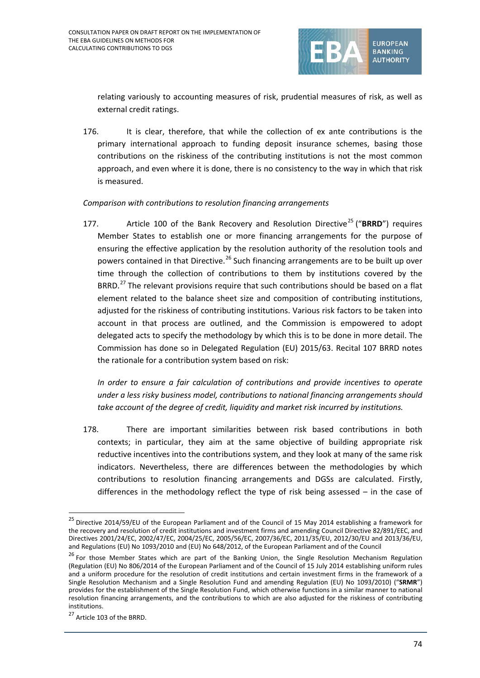

relating variously to accounting measures of risk, prudential measures of risk, as well as external credit ratings.

176. It is clear, therefore, that while the collection of ex ante contributions is the primary international approach to funding deposit insurance schemes, basing those contributions on the riskiness of the contributing institutions is not the most common approach, and even where it is done, there is no consistency to the way in which that risk is measured.

#### *Comparison with contributions to resolution financing arrangements*

177. Article 100 of the Bank Recovery and Resolution Directive<sup>[25](#page-73-0)</sup> ("BRRD") requires Member States to establish one or more financing arrangements for the purpose of ensuring the effective application by the resolution authority of the resolution tools and powers contained in that Directive.<sup>[26](#page-73-1)</sup> Such financing arrangements are to be built up over time through the collection of contributions to them by institutions covered by the BRRD.<sup>[27](#page-73-2)</sup> The relevant provisions require that such contributions should be based on a flat element related to the balance sheet size and composition of contributing institutions, adjusted for the riskiness of contributing institutions. Various risk factors to be taken into account in that process are outlined, and the Commission is empowered to adopt delegated acts to specify the methodology by which this is to be done in more detail. The Commission has done so in Delegated Regulation (EU) 2015/63. Recital 107 BRRD notes the rationale for a contribution system based on risk:

*In order to ensure a fair calculation of contributions and provide incentives to operate under a less risky business model, contributions to national financing arrangements should take account of the degree of credit, liquidity and market risk incurred by institutions.*

178. There are important similarities between risk based contributions in both contexts; in particular, they aim at the same objective of building appropriate risk reductive incentives into the contributions system, and they look at many of the same risk indicators. Nevertheless, there are differences between the methodologies by which contributions to resolution financing arrangements and DGSs are calculated. Firstly, differences in the methodology reflect the type of risk being assessed – in the case of

 $\overline{a}$ 

<span id="page-73-0"></span><sup>&</sup>lt;sup>25</sup> Directive 2014/59/EU of the European Parliament and of the Council of 15 May 2014 establishing a framework for the recovery and resolution of credit institutions and investment firms and amending Council Directive 82/891/EEC, and Directives 2001/24/EC, 2002/47/EC, 2004/25/EC, 2005/56/EC, 2007/36/EC, 2011/35/EU, 2012/30/EU and 2013/36/EU, and Regulations (EU) No 1093/2010 and (EU) No 648/2012, of the European Parliament and of the Council

<span id="page-73-1"></span><sup>&</sup>lt;sup>26</sup> For those Member States which are part of the Banking Union, the Single Resolution Mechanism Regulation (Regulation (EU) No 806/2014 of the European Parliament and of the Council of 15 July 2014 establishing uniform rules and a uniform procedure for the resolution of credit institutions and certain investment firms in the framework of a Single Resolution Mechanism and a Single Resolution Fund and amending Regulation (EU) No 1093/2010) ("**SRMR**") provides for the establishment of the Single Resolution Fund, which otherwise functions in a similar manner to national resolution financing arrangements, and the contributions to which are also adjusted for the riskiness of contributing institutions.

<span id="page-73-2"></span><sup>&</sup>lt;sup>27</sup> Article 103 of the BRRD.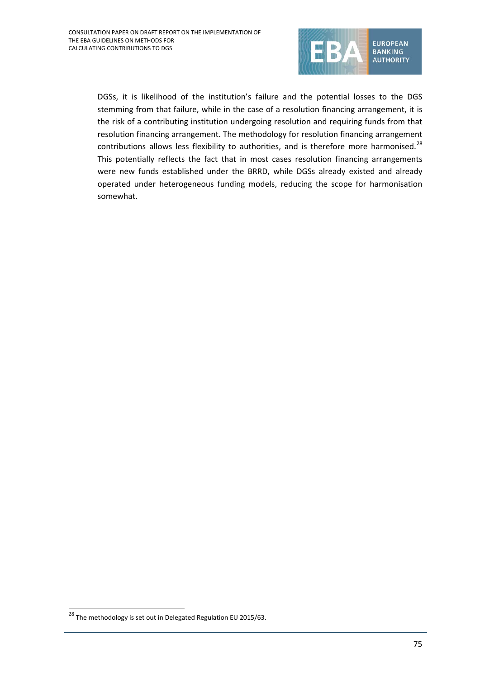

DGSs, it is likelihood of the institution's failure and the potential losses to the DGS stemming from that failure, while in the case of a resolution financing arrangement, it is the risk of a contributing institution undergoing resolution and requiring funds from that resolution financing arrangement. The methodology for resolution financing arrangement contributions allows less flexibility to authorities, and is therefore more harmonised. $^{28}$  $^{28}$  $^{28}$ This potentially reflects the fact that in most cases resolution financing arrangements were new funds established under the BRRD, while DGSs already existed and already operated under heterogeneous funding models, reducing the scope for harmonisation somewhat.

<span id="page-74-0"></span> $\frac{28}{28}$ The methodology is set out in Delegated Regulation EU 2015/63.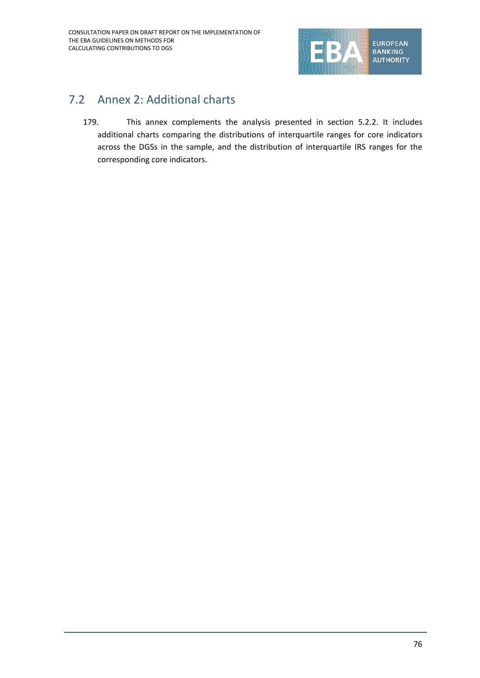

# 7.2 Annex 2: Additional charts

179. This annex complements the analysis presented in section 5.2.2. It includes additional charts comparing the distributions of interquartile ranges for core indicators across the DGSs in the sample, and the distribution of interquartile IRS ranges for the corresponding core indicators.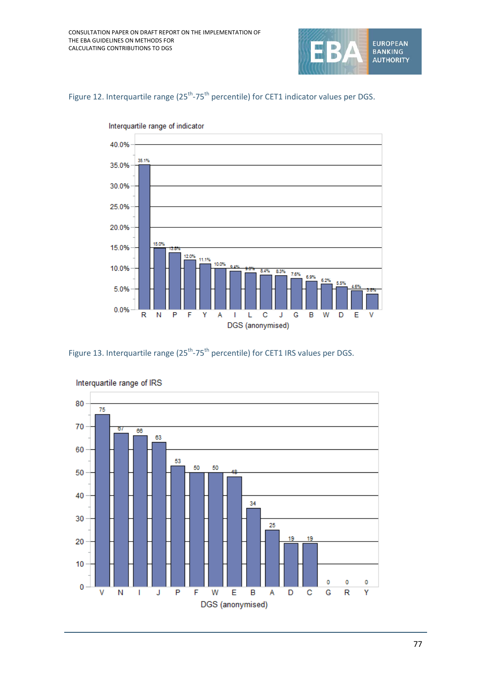





Figure 13. Interquartile range  $(25^{th}$ -75<sup>th</sup> percentile) for CET1 IRS values per DGS.



Interquartile range of IRS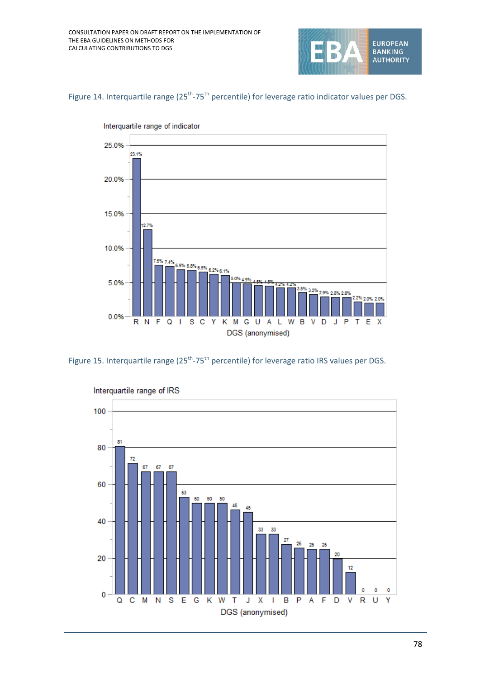

## Figure 14. Interquartile range (25<sup>th</sup>-75<sup>th</sup> percentile) for leverage ratio indicator values per DGS.



Interquartile range of indicator



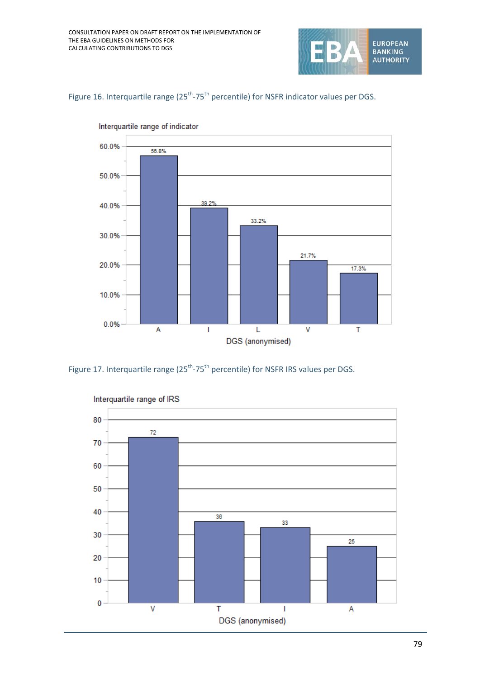

Figure 16. Interquartile range (25<sup>th</sup>-75<sup>th</sup> percentile) for NSFR indicator values per DGS.



Interquartile range of indicator

Figure 17. Interquartile range (25<sup>th</sup>-75<sup>th</sup> percentile) for NSFR IRS values per DGS.

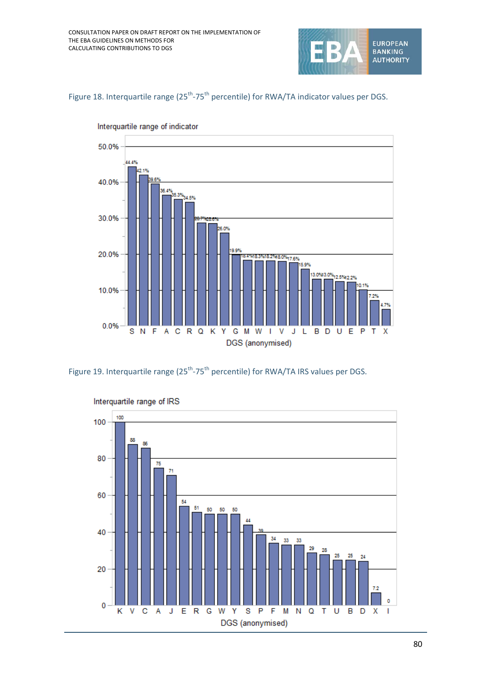

Figure 18. Interquartile range (25<sup>th</sup>-75<sup>th</sup> percentile) for RWA/TA indicator values per DGS.



Interquartile range of indicator

Figure 19. Interquartile range (25<sup>th</sup>-75<sup>th</sup> percentile) for RWA/TA IRS values per DGS.

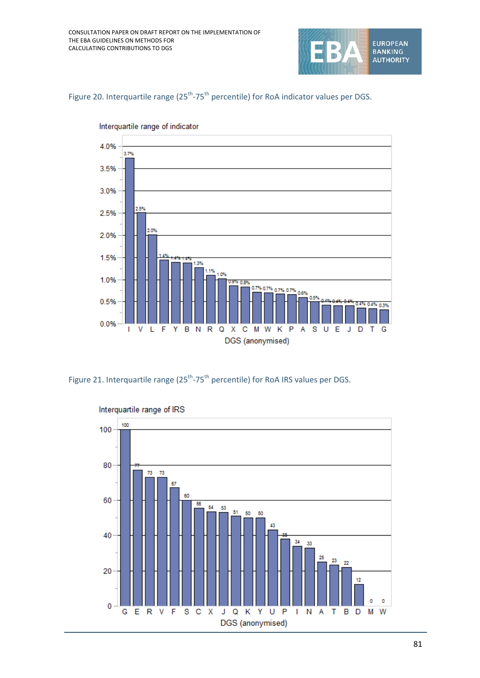





Interquartile range of indicator

Figure 21. Interquartile range  $(25^{th}-75^{th})$  percentile) for RoA IRS values per DGS.

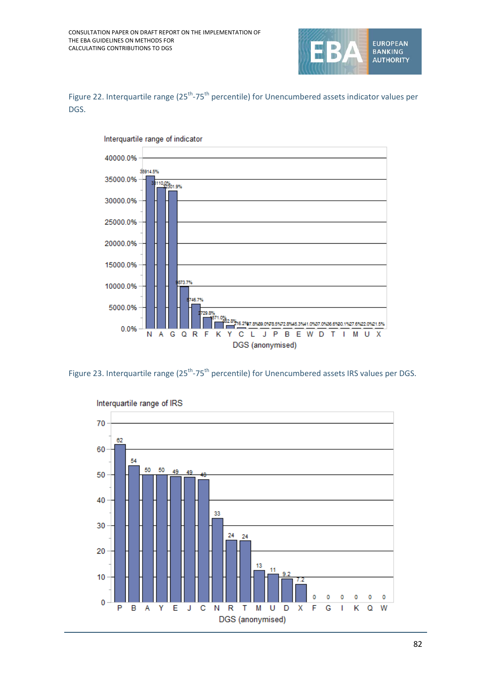

Figure 22. Interquartile range (25<sup>th</sup>-75<sup>th</sup> percentile) for Unencumbered assets indicator values per DGS.



Figure 23. Interquartile range (25<sup>th</sup>-75<sup>th</sup> percentile) for Unencumbered assets IRS values per DGS.